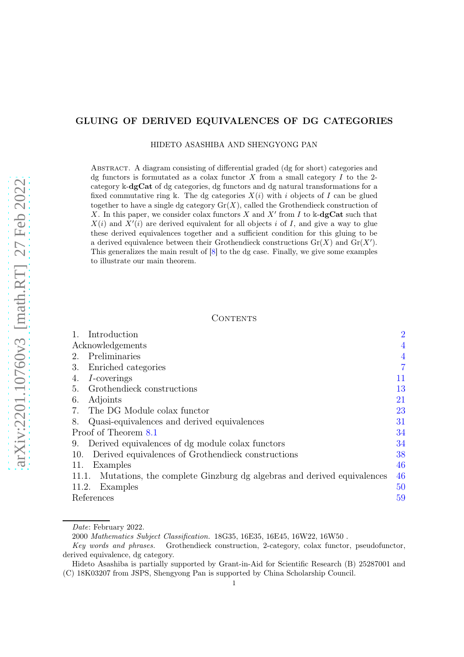## GLUING OF DERIVED EQUIVALENCES OF DG CATEGORIES

HIDETO ASASHIBA AND SHENGYONG PAN

Abstract. A diagram consisting of differential graded (dg for short) categories and dg functors is formutated as a colax functor X from a small category I to the 2category k-dgCat of dg categories, dg functors and dg natural transformations for a fixed commutative ring k. The dg categories  $X(i)$  with i objects of I can be glued together to have a single dg category  $\text{Gr}(X)$ , called the Grothendieck construction of X. In this paper, we consider colax functors X and X' from I to  $\Bbbk$ -dgCat such that  $X(i)$  and  $X'(i)$  are derived equivalent for all objects i of I, and give a way to glue these derived equivalences together and a sufficient condition for this gluing to be a derived equivalence between their Grothendieck constructions  $Gr(X)$  and  $Gr(X')$ . This generalizes the main result of [\[8\]](#page-58-0) to the dg case. Finally, we give some examples to illustrate our main theorem.

### CONTENTS

|       | Introduction                                                          | $\overline{2}$ |
|-------|-----------------------------------------------------------------------|----------------|
|       | Acknowledgements                                                      |                |
| 2.    | Preliminaries                                                         | $\overline{4}$ |
| 3.    | Enriched categories                                                   | $\overline{7}$ |
| 4.    | <i>I</i> -coverings                                                   | 11             |
| 5.    | Grothendieck constructions                                            | 13             |
| 6.    | Adjoints                                                              | 21             |
| 7.    | The DG Module colax functor                                           | 23             |
| 8.    | Quasi-equivalences and derived equivalences                           | 31             |
|       | Proof of Theorem 8.1                                                  |                |
| 9.    | Derived equivalences of dg module colax functors                      | 34             |
| 10.   | Derived equivalences of Grothendieck constructions                    | 38             |
| 11.   | Examples                                                              | 46             |
| 11.1. | Mutations, the complete Ginzburg dg algebras and derived equivalences | 46             |
| 11.2. | Examples                                                              | 50             |
|       | References                                                            |                |
|       |                                                                       |                |

Date: February 2022.

<sup>2000</sup> Mathematics Subject Classification. 18G35, 16E35, 16E45, 16W22, 16W50 .

Key words and phrases. Grothendieck construction, 2-category, colax functor, pseudofunctor, derived equivalence, dg category.

Hideto Asashiba is partially supported by Grant-in-Aid for Scientific Research (B) 25287001 and (C) 18K03207 from JSPS, Shengyong Pan is supported by China Scholarship Council.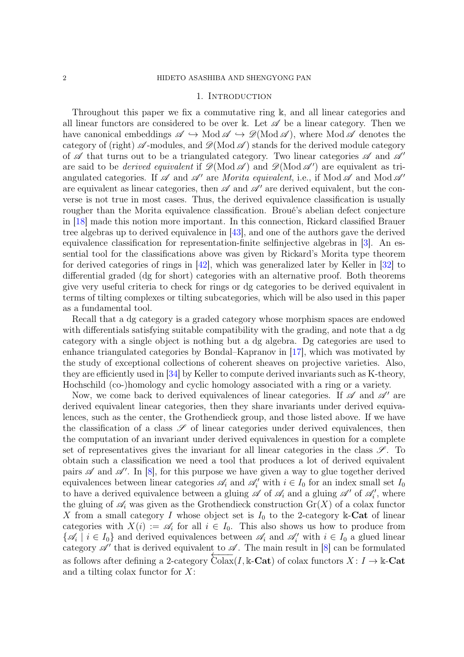### 1. INTRODUCTION

<span id="page-1-0"></span>Throughout this paper we fix a commutative ring k, and all linear categories and all linear functors are considered to be over k. Let  $\mathscr A$  be a linear category. Then we have canonical embeddings  $\mathscr{A} \hookrightarrow \text{Mod } \mathscr{A} \hookrightarrow \mathscr{D}(\text{Mod } \mathscr{A})$ , where Mod  $\mathscr{A}$  denotes the category of (right)  $\mathscr A$ -modules, and  $\mathscr D(\text{Mod }\mathscr A)$  stands for the derived module category of  $\mathscr A$  that turns out to be a triangulated category. Two linear categories  $\mathscr A$  and  $\mathscr A'$ are said to be *derived equivalent* if  $\mathscr{D}(\text{Mod }\mathscr{A})$  and  $\mathscr{D}(\text{Mod }\mathscr{A}')$  are equivalent as triangulated categories. If  $\mathscr A$  and  $\mathscr A'$  are *Morita equivalent*, i.e., if Mod  $\mathscr A$  and Mod  $\mathscr A'$ are equivalent as linear categories, then  $\mathscr A$  and  $\mathscr A'$  are derived equivalent, but the converse is not true in most cases. Thus, the derived equivalence classification is usually rougher than the Morita equivalence classification. Broué's abelian defect conjecture in [\[18\]](#page-59-0) made this notion more important. In this connection, Rickard classified Brauer tree algebras up to derived equivalence in [\[43\]](#page-60-0), and one of the authors gave the derived equivalence classification for representation-finite selfinjective algebras in [\[3\]](#page-58-2). An essential tool for the classifications above was given by Rickard's Morita type theorem for derived categories of rings in [\[42\]](#page-60-1), which was generalized later by Keller in [\[32\]](#page-59-1) to differential graded (dg for short) categories with an alternative proof. Both theorems give very useful criteria to check for rings or dg categories to be derived equivalent in terms of tilting complexes or tilting subcategories, which will be also used in this paper as a fundamental tool.

Recall that a dg category is a graded category whose morphism spaces are endowed with differentials satisfying suitable compatibility with the grading, and note that a dg category with a single object is nothing but a dg algebra. Dg categories are used to enhance triangulated categories by Bondal–Kapranov in [\[17\]](#page-59-2), which was motivated by the study of exceptional collections of coherent sheaves on projective varieties. Also, they are efficiently used in [\[34\]](#page-59-3) by Keller to compute derived invariants such as K-theory, Hochschild (co-)homology and cyclic homology associated with a ring or a variety.

Now, we come back to derived equivalences of linear categories. If  $\mathscr A$  and  $\mathscr A'$  are derived equivalent linear categories, then they share invariants under derived equivalences, such as the center, the Grothendieck group, and those listed above. If we have the classification of a class  $\mathscr S$  of linear categories under derived equivalences, then the computation of an invariant under derived equivalences in question for a complete set of representatives gives the invariant for all linear categories in the class  $\mathscr{S}$ . To obtain such a classification we need a tool that produces a lot of derived equivalent pairs  $\mathscr A$  and  $\mathscr A'$ . In [\[8\]](#page-58-0), for this purpose we have given a way to glue together derived equivalences between linear categories  $\mathscr{A}_i$  and  $\mathscr{A}'_i$  with  $i \in I_0$  for an index small set  $I_0$ to have a derived equivalence between a gluing  $\mathscr A$  of  $\mathscr A_i$  and a gluing  $\mathscr A'$  of  $\mathscr A'_i$ , where the gluing of  $\mathscr{A}_i$  was given as the Grothendieck construction  $\mathrm{Gr}(X)$  of a colax functor X from a small category I whose object set is  $I_0$  to the 2-category k-Cat of linear categories with  $X(i) := \mathscr{A}_i$  for all  $i \in I_0$ . This also shows us how to produce from  $\{\mathscr{A}_i \mid i \in I_0\}$  and derived equivalences between  $\mathscr{A}_i$  and  $\mathscr{A}'_i$  with  $i \in I_0$  a glued linear category  $\mathscr{A}'$  that is derived equivalent to  $\mathscr{A}$ . The main result in [\[8\]](#page-58-0) can be formulated as follows after defining a 2-category  $\overline{\text{Colax}}(I, \mathbb{k}\text{-}\mathbf{Cat})$  of colax functors  $X: I \to \mathbb{k}\text{-}\mathbf{Cat}$ and a tilting colax functor for  $X$ :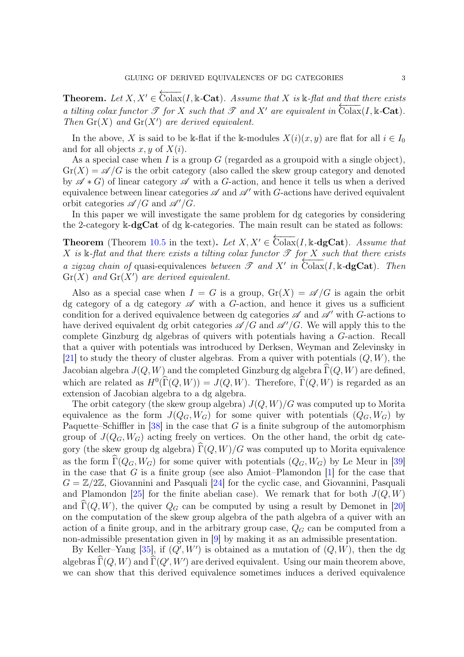**Theorem.** Let  $X, X' \in \overleftarrow{\text{Colax}}(I, \mathbb{k}\text{-Cat})$ . Assume that X is  $\mathbb{k}\text{-flat}$  and that there exists *a tilting colax functor*  $\mathscr T$  *for* X *such that*  $\mathscr T$  *and*  $X'$  *are equivalent in*  $\overline{\text{Colax}}(I, \mathbb{k}\text{-}\text{Cat})$ *. Then*  $\text{Gr}(X)$  *and*  $\text{Gr}(X')$  *are derived equivalent.* 

In the above, X is said to be k-flat if the k-modules  $X(i)(x, y)$  are flat for all  $i \in I_0$ and for all objects  $x, y$  of  $X(i)$ .

As a special case when I is a group  $G$  (regarded as a groupoid with a single object),  $Gr(X) = \mathscr{A}/G$  is the orbit category (also called the skew group category and denoted by  $\mathscr{A} * G$  of linear category  $\mathscr A$  with a G-action, and hence it tells us when a derived equivalence between linear categories  $\mathscr A$  and  $\mathscr A'$  with G-actions have derived equivalent orbit categories  $\mathscr{A}/G$  and  $\mathscr{A}'/G$ .

In this paper we will investigate the same problem for dg categories by considering the 2-category k-dgCat of dg k-categories. The main result can be stated as follows:

**Theorem** (Theorem [10.5](#page-43-0) in the text). Let  $X, X' \in \overleftarrow{\text{Colax}}(I, \mathbb{k} \text{-dgCat})$ . Assume that  $X$  is  $\Bbbk$ -flat and that there exists a tilting colax functor  $\mathscr T$  *for*  $X$  *such that there exists a zigzag chain of* quasi-equivalences *between*  $\mathscr T$  *and*  $X'$  *in*  $\text{Colax}(I, \mathbb{k} - \text{dgCat})$ *. Then*  $\mathrm{Gr}(X)$  and  $\mathrm{Gr}(X')$  are derived equivalent.

Also as a special case when  $I = G$  is a group,  $\text{Gr}(X) = \mathscr{A}/G$  is again the orbit dg category of a dg category  $\mathscr A$  with a G-action, and hence it gives us a sufficient condition for a derived equivalence between dg categories  $\mathscr A$  and  $\mathscr A'$  with G-actions to have derived equivalent dg orbit categories  $\mathscr{A}/G$  and  $\mathscr{A}'/G$ . We will apply this to the complete Ginzburg dg algebras of quivers with potentials having a G-action. Recall that a quiver with potentials was introduced by Derksen, Weyman and Zelevinsky in [\[21\]](#page-59-4) to study the theory of cluster algebras. From a quiver with potentials  $(Q, W)$ , the Jacobian algebra  $J(Q, W)$  and the completed Ginzburg dg algebra  $\widehat{\Gamma}(Q, W)$  are defined, which are related as  $H^0(\Gamma(Q, W)) = J(Q, W)$ . Therefore,  $\Gamma(Q, W)$  is regarded as an extension of Jacobian algebra to a dg algebra.

The orbit category (the skew group algebra)  $J(Q, W)/G$  was computed up to Morita equivalence as the form  $J(Q_G, W_G)$  for some quiver with potentials  $(Q_G, W_G)$  by Paquette–Schiffler in  $[38]$  in the case that G is a finite subgroup of the automorphism group of  $J(Q_G, W_G)$  acting freely on vertices. On the other hand, the orbit dg category (the skew group dg algebra)  $\widehat{\Gamma}(Q, W)/G$  was computed up to Morita equivalence as the form  $\widehat{\Gamma}(Q_G, W_G)$  for some quiver with potentials  $(Q_G, W_G)$  by Le Meur in [\[39\]](#page-60-3) in the case that  $G$  is a finite group (see also Amiot–Plamondon [\[1\]](#page-58-3) for the case that  $G = \mathbb{Z}/2\mathbb{Z}$ , Giovannini and Pasquali [\[24\]](#page-59-5) for the cyclic case, and Giovannini, Pasquali and Plamondon [\[25\]](#page-59-6) for the finite abelian case). We remark that for both  $J(Q, W)$ and  $\Gamma(Q, W)$ , the quiver  $Q_G$  can be computed by using a result by Demonet in [\[20\]](#page-59-7) on the computation of the skew group algebra of the path algebra of a quiver with an action of a finite group, and in the arbitrary group case,  $Q_G$  can be computed from a non-admissible presentation given in [\[9\]](#page-58-4) by making it as an admissible presentation.

By Keller-Yang [\[35\]](#page-59-8), if  $(Q', W')$  is obtained as a mutation of  $(Q, W)$ , then the dg algebras  $\widehat{\Gamma}(Q, W)$  and  $\widehat{\Gamma}(Q', W')$  are derived equivalent. Using our main theorem above, we can show that this derived equivalence sometimes induces a derived equivalence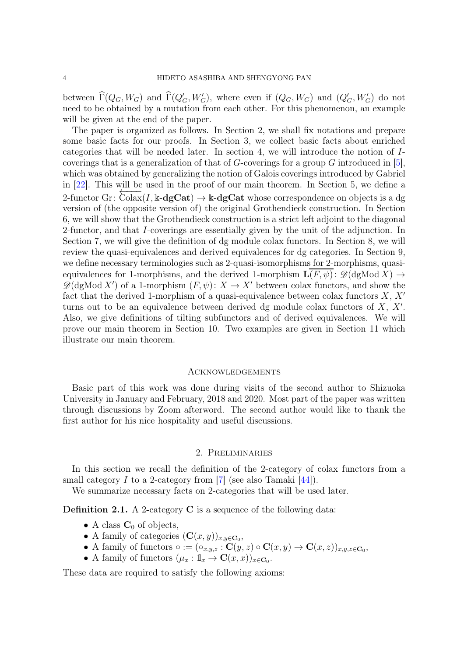between  $\widehat{\Gamma}(Q_G, W_G)$  and  $\widehat{\Gamma}(Q'_G, W'_G)$ , where even if  $(Q_G, W_G)$  and  $(Q'_G, W'_G)$  do not need to be obtained by a mutation from each other. For this phenomenon, an example will be given at the end of the paper.

The paper is organized as follows. In Section 2, we shall fix notations and prepare some basic facts for our proofs. In Section 3, we collect basic facts about enriched categories that will be needed later. In section 4, we will introduce the notion of Icoverings that is a generalization of that of  $G$ -coverings for a group  $G$  introduced in [\[5\]](#page-58-5), which was obtained by generalizing the notion of Galois coverings introduced by Gabriel in [\[22\]](#page-59-9). This will be used in the proof of our main theorem. In Section 5, we define a 2-functor Gr:  $\text{Colax}(I, \mathbf{k}\text{-}\mathbf{dgCat}) \rightarrow \mathbf{k}\text{-}\mathbf{dgCat}$  whose correspondence on objects is a dg version of (the opposite version of) the original Grothendieck construction. In Section 6, we will show that the Grothendieck construction is a strict left adjoint to the diagonal 2-functor, and that I-coverings are essentially given by the unit of the adjunction. In Section 7, we will give the definition of dg module colax functors. In Section 8, we will review the quasi-equivalences and derived equivalences for dg categories. In Section 9, we define necessary terminologies such as 2-quasi-isomorphisms for 2-morphisms, quasiequivalences for 1-morphisms, and the derived 1-morphism  $\mathbf{L}(F, \psi)$ :  $\mathscr{D}(\mathrm{dgMod} X) \rightarrow$  $\mathscr{D}(\text{dgMod } X')$  of a 1-morphism  $(F, \psi): X \to X'$  between colax functors, and show the fact that the derived 1-morphism of a quasi-equivalence between colax functors  $X, X'$ turns out to be an equivalence between derived dg module colax functors of  $X, X'$ . Also, we give definitions of tilting subfunctors and of derived equivalences. We will prove our main theorem in Section 10. Two examples are given in Section 11 which illustrate our main theorem.

# <span id="page-3-0"></span>**ACKNOWLEDGEMENTS**

Basic part of this work was done during visits of the second author to Shizuoka University in January and February, 2018 and 2020. Most part of the paper was written through discussions by Zoom afterword. The second author would like to thank the first author for his nice hospitality and useful discussions.

### 2. Preliminaries

<span id="page-3-1"></span>In this section we recall the definition of the 2-category of colax functors from a small category I to a 2-category from  $[7]$  (see also Tamaki  $[44]$ ).

We summarize necessary facts on 2-categories that will be used later.

Definition 2.1. A 2-category C is a sequence of the following data:

- A class  $C_0$  of objects,
- A family of categories  $(\mathbf{C}(x,y))_{x,y\in\mathbf{C}_0}$ ,
- A family of functors  $\circ := (\circ_{x,y,z} : \mathbf{C}(y,z) \circ \mathbf{C}(x,y) \to \mathbf{C}(x,z))_{x,y,z \in \mathbf{C}_0},$
- A family of functors  $(\mu_x : \mathbb{1}_x \to \mathbf{C}(x, x))_{x \in \mathbf{C}_0}$ .

These data are required to satisfy the following axioms: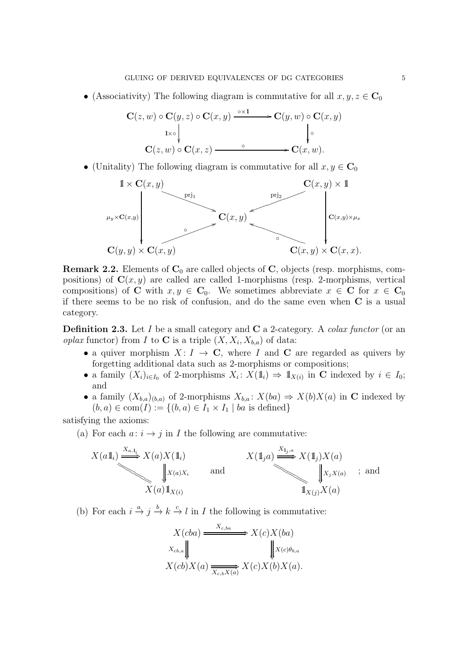• (Associativity) The following diagram is commutative for all  $x, y, z \in \mathbb{C}_0$ 

$$
\mathbf{C}(z,w) \circ \mathbf{C}(y,z) \circ \mathbf{C}(x,y) \xrightarrow{\circ \times 1} \mathbf{C}(y,w) \circ \mathbf{C}(x,y)
$$
  
\n
$$
\downarrow^{\circ} \qquad \qquad \downarrow^{\circ}
$$
  
\n
$$
\mathbf{C}(z,w) \circ \mathbf{C}(x,z) \xrightarrow{\circ} \mathbf{C}(x,w).
$$

• (Unitality) The following diagram is commutative for all  $x, y \in \mathbb{C}_0$ 



**Remark 2.2.** Elements of  $C_0$  are called objects of  $C$ , objects (resp. morphisms, compositions) of  $C(x, y)$  are called are called 1-morphisms (resp. 2-morphisms, vertical compositions) of C with  $x, y \in C_0$ . We sometimes abbreviate  $x \in C$  for  $x \in C_0$ if there seems to be no risk of confusion, and do the same even when C is a usual category.

<span id="page-4-0"></span>Definition 2.3. Let I be a small category and C a 2-category. A *colax functor* (or an *oplax* functor) from I to C is a triple  $(X, X_i, X_{b,a})$  of data:

- a quiver morphism  $X: I \to \mathbb{C}$ , where I and C are regarded as quivers by forgetting additional data such as 2-morphisms or compositions;
- a family  $(X_i)_{i\in I_0}$  of 2-morphisms  $X_i: X(1_i) \Rightarrow 1_{X(i)}$  in C indexed by  $i \in I_0$ ; and
- a family  $(X_{b,a})_{(b,a)}$  of 2-morphisms  $X_{b,a}$ :  $X(ba) \Rightarrow X(b)X(a)$  in C indexed by  $(b, a) \in \text{com}(I) := \{(b, a) \in I_1 \times I_1 \mid ba \text{ is defined}\}\$

satisfying the axioms:

(a) For each  $a: i \rightarrow j$  in I the following are commutative:

$$
X(a1i) \xrightarrow{X_{a,1i}} X(a)X(1i)
$$
  
\n
$$
\downarrow X(a)Xi
$$
 and  
\n
$$
X(1ja) \xrightarrow{X_{1j,a}} X(1j)X(a)
$$
  
\n
$$
\downarrow XjX(a)
$$
 and  
\n
$$
X(a)1X(i)
$$
 and  
\n
$$
1X(j)X(a)
$$

(b) For each  $i \xrightarrow{a} j \xrightarrow{b} k \xrightarrow{c} l$  in I the following is commutative:

$$
X(cba) \xrightarrow{X_{c,ba}} X(c)X(ba)
$$
  

$$
X_{cb,a} \downarrow \qquad \qquad X(c)b_{b,a}
$$
  

$$
X(cb)X(a) \xrightarrow{\overline{X_{c,b}X(a)}} X(c)X(b)X(a).
$$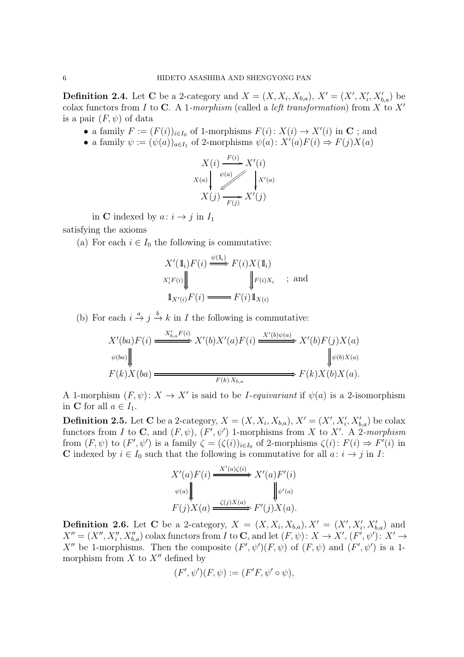<span id="page-5-0"></span>**Definition 2.4.** Let C be a 2-category and  $X = (X, X_i, X_{b,a})$ ,  $X' = (X', X'_i, X'_{b,a})$  be colax functors from I to C. A 1*-morphism* (called a *left transformation*) from X to X′ is a pair  $(F, \psi)$  of data

- a family  $F := (F(i))_{i \in I_0}$  of 1-morphisms  $F(i): X(i) \to X'(i)$  in C; and
- a family  $\psi := (\psi(a))_{a \in I_1}$  of 2-morphisms  $\psi(a) : X'(a)F(i) \Rightarrow F(j)X(a)$



in C indexed by  $a: i \rightarrow j$  in  $I_1$ 

satisfying the axioms

(a) For each  $i \in I_0$  the following is commutative:

$$
X'(\mathbb{1}_i) F(i) \xrightarrow{\psi(\mathbb{1}_i)} F(i) X(\mathbb{1}_i)
$$
  
\n
$$
X'_i F(i) \downarrow \qquad \qquad \downarrow F(i) X_i \quad ; \text{ and}
$$
  
\n
$$
\mathbb{1}_{X'(i)} F(i) \xrightarrow{\hspace{0.5cm}} F(i) \mathbb{1}_{X(i)}
$$

(b) For each  $i \stackrel{a}{\rightarrow} j \stackrel{b}{\rightarrow} k$  in *I* the following is commutative:

$$
X'(ba)F(i) \xrightarrow{\qquad X'_{b,a}F(i)} X'(b)X'(a)F(i) \xrightarrow{\qquad X'(b)\psi(a)} X'(b)F(j)X(a)
$$
  
\n
$$
\psi(ba) \downarrow \qquad \qquad \downarrow \psi(b)X(a)
$$
  
\n
$$
F(k)X(ba) \xrightarrow{\qquad \qquad F(k)X_{b,a}} F(k)X(b)X(a).
$$

A 1-morphism  $(F, \psi)$ :  $X \to X'$  is said to be *I-equivariant* if  $\psi(a)$  is a 2-isomorphism in C for all  $a \in I_1$ .

**Definition 2.5.** Let C be a 2-category,  $X = (X, X_i, X_{b,a})$ ,  $X' = (X', X'_i, X'_{b,a})$  be colax functors from I to C, and  $(F, \psi)$ ,  $(F', \psi')$  1-morphisms from X to X'. A 2-morphism from  $(F, \psi)$  to  $(F', \psi')$  is a family  $\zeta = (\zeta(i))_{i \in I_0}$  of 2-morphisms  $\zeta(i) \colon F(i) \Rightarrow F'(i)$  in C indexed by  $i \in I_0$  such that the following is commutative for all  $a: i \rightarrow j$  in I:

$$
X'(a)F(i) \xrightarrow{X'(a)\zeta(i)} X'(a)F'(i)
$$
  

$$
\Downarrow \psi(a) \qquad \qquad \downarrow \psi'(a)
$$
  

$$
F(j)X(a) \xrightarrow{\zeta(j)X(a)} F'(j)X(a).
$$

**Definition 2.6.** Let C be a 2-category,  $X = (X, X_i, X_{b,a}), X' = (X', X'_i, X'_{b,a})$  and  $X''=(X'', X''_i, X''_{b,a})$  colax functors from I to C, and let  $(F, \psi): X \to X'$ ,  $(F', \psi')$ :  $X' \to$ X'' be 1-morphisms. Then the composite  $(F', \psi')(F, \psi)$  of  $(F, \psi)$  and  $(F', \psi')$  is a 1morphism from  $X$  to  $X''$  defined by

$$
(F',\psi')(F,\psi) := (F'F,\psi'\circ\psi),
$$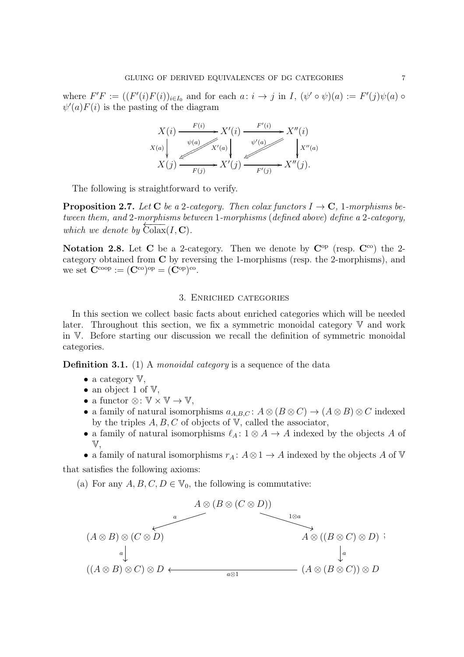where  $F'F := ((F'(i)F(i))_{i\in I_0}$  and for each  $a: i \to j$  in  $I, (\psi' \circ \psi)(a) := F'(j)\psi(a) \circ$  $\psi'(a)F(i)$  is the pasting of the diagram



The following is straightforward to verify.

**Proposition 2.7.** Let C be a 2-category. Then colax functors  $I \rightarrow C$ , 1-morphisms be*tween them, and* 2*-morphisms between* 1*-morphisms* (*defined above*) *define a* 2*-category, which we denote by*  $\overline{\text{Colax}}(I, \mathbf{C})$ .

<span id="page-6-1"></span>Notation 2.8. Let C be a 2-category. Then we denote by  $C^{op}$  (resp.  $C^{co}$ ) the 2category obtained from C by reversing the 1-morphisms (resp. the 2-morphisms), and we set  $\mathbf{C}^{\text{coop}} := (\mathbf{C}^{\text{co}})^{\text{op}} = (\mathbf{C}^{\text{op}})^{\text{co}}.$ 

# 3. Enriched categories

<span id="page-6-0"></span>In this section we collect basic facts about enriched categories which will be needed later. Throughout this section, we fix a symmetric monoidal category  $\nabla$  and work in V. Before starting our discussion we recall the definition of symmetric monoidal categories.

Definition 3.1. (1) A *monoidal category* is a sequence of the data

- a category  $V$ ,
- an object 1 of  $V$ ,
- a functor  $\otimes: \mathbb{V} \times \mathbb{V} \to \mathbb{V}$ ,
- a family of natural isomorphisms  $a_{A,B,C}$ :  $A \otimes (B \otimes C) \rightarrow (A \otimes B) \otimes C$  indexed by the triples  $A, B, C$  of objects of  $V$ , called the associator,
- a family of natural isomorphisms  $\ell_A: 1 \otimes A \rightarrow A$  indexed by the objects A of V,
- a family of natural isomorphisms  $r_A: A \otimes 1 \to A$  indexed by the objects A of V

that satisfies the following axioms:

(a) For any  $A, B, C, D \in V_0$ , the following is commutative:

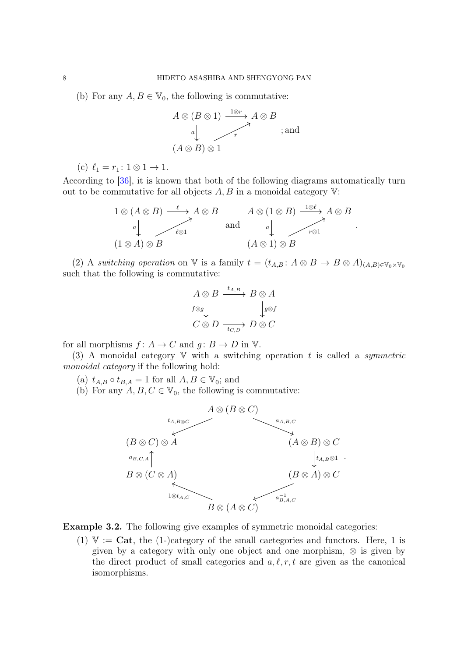(b) For any  $A, B \in V_0$ , the following is commutative:

$$
A \otimes (B \otimes 1) \xrightarrow{1 \otimes r} A \otimes B
$$
  
\n
$$
\downarrow \qquad \qquad \downarrow \qquad \qquad ; \text{and}
$$
  
\n
$$
(A \otimes B) \otimes 1
$$

(c)  $\ell_1 = r_1$ :  $1 \otimes 1 \rightarrow 1$ .

According to [\[36\]](#page-59-10), it is known that both of the following diagrams automatically turn out to be commutative for all objects  $A, B$  in a monoidal category  $V$ :

$$
1 \otimes (A \otimes B) \xrightarrow{\ell} A \otimes B
$$
  
\n
$$
A \otimes (1 \otimes B) \xrightarrow{1 \otimes \ell} A \otimes B
$$
  
\n
$$
A \otimes (1 \otimes B) \xrightarrow{1 \otimes \ell} A \otimes B
$$
  
\nand  
\n
$$
a \downarrow \qquad \qquad r \otimes 1
$$
  
\n
$$
(A \otimes 1) \otimes B
$$

.

(2) A *switching operation* on V is a family  $t = (t_{A,B}: A \otimes B \to B \otimes A)_{(A,B) \in V_0 \times V_0}$ such that the following is commutative:

$$
A \otimes B \xrightarrow{t_{A,B}} B \otimes A
$$
  

$$
f \otimes g \downarrow \qquad \qquad \downarrow g \otimes f
$$
  

$$
C \otimes D \xrightarrow[t_{C,D}]{} D \otimes C
$$

for all morphisms  $f: A \to C$  and  $g: B \to D$  in V.

(3) A monoidal category V with a switching operation t is called a *symmetric monoidal category* if the following hold:

- (a)  $t_{A,B} \circ t_{B,A} = 1$  for all  $A, B \in \mathbb{V}_0$ ; and
- (b) For any  $A, B, C \in V_0$ , the following is commutative:



<span id="page-7-0"></span>Example 3.2. The following give examples of symmetric monoidal categories:

(1)  $V := \text{Cat}$ , the (1-)category of the small caetegories and functors. Here, 1 is given by a category with only one object and one morphism,  $\otimes$  is given by the direct product of small categories and  $a, \ell, r, t$  are given as the canonical isomorphisms.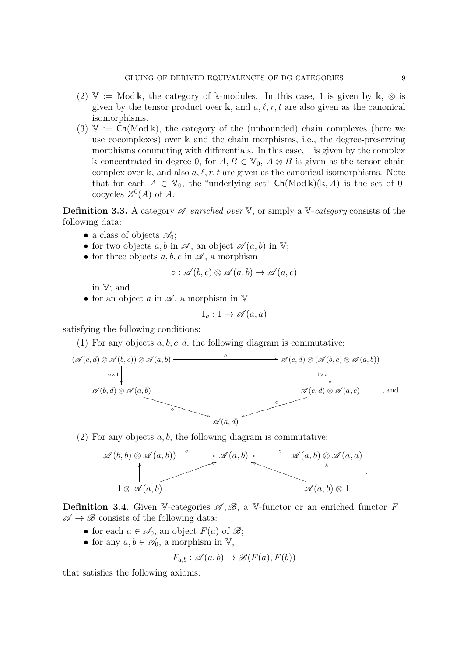- (2)  $\mathbb{V} := \text{Mod}\,\mathbb{k}$ , the category of k-modules. In this case, 1 is given by  $\mathbb{k}, \otimes$  is given by the tensor product over k, and  $a, \ell, r, t$  are also given as the canonical isomorphisms.
- $(3)$  V := Ch(Mod k), the category of the (unbounded) chain complexes (here we use cocomplexes) over k and the chain morphisms, i.e., the degree-preserving morphisms commuting with differentials. In this case, 1 is given by the complex k concentrated in degree 0, for  $A, B \in \mathbb{V}_0$ ,  $A \otimes B$  is given as the tensor chain complex over k, and also  $a, \ell, r, t$  are given as the canonical isomorphisms. Note that for each  $A \in V_0$ , the "underlying set"  $\mathsf{Ch}(\mathrm{Mod}\,\mathbb{k})(\mathbb{k}, A)$  is the set of 0cocycles  $Z^0(A)$  of A.

**Definition 3.3.** A category  $\mathscr A$  *enriched over* V, or simply a V-*category* consists of the following data:

- a class of objects  $\mathscr{A}_0$ ;
- for two objects a, b in  $\mathscr A$ , an object  $\mathscr A(a, b)$  in V;
- for three objects  $a, b, c$  in  $\mathscr A$ , a morphism

$$
\circ : \mathscr{A}(b,c) \otimes \mathscr{A}(a,b) \to \mathscr{A}(a,c)
$$

in V; and

• for an object a in  $\mathscr A$ , a morphism in  $\mathbb V$ 

$$
1_a: 1 \to \mathscr{A}(a, a)
$$

satisfying the following conditions:

(1) For any objects  $a, b, c, d$ , the following diagram is commutative:



(2) For any objects  $a, b$ , the following diagram is commutative:



**Definition 3.4.** Given V-categories  $\mathscr{A}, \mathscr{B},$  a V-functor or an enriched functor F :  $\mathscr{A} \to \mathscr{B}$  consists of the following data:

- for each  $a \in \mathcal{A}_0$ , an object  $F(a)$  of  $\mathcal{B}$ ;
- for any  $a, b \in \mathscr{A}_0$ , a morphism in V,

$$
F_{a,b} : \mathscr{A}(a,b) \to \mathscr{B}(F(a), F(b))
$$

that satisfies the following axioms: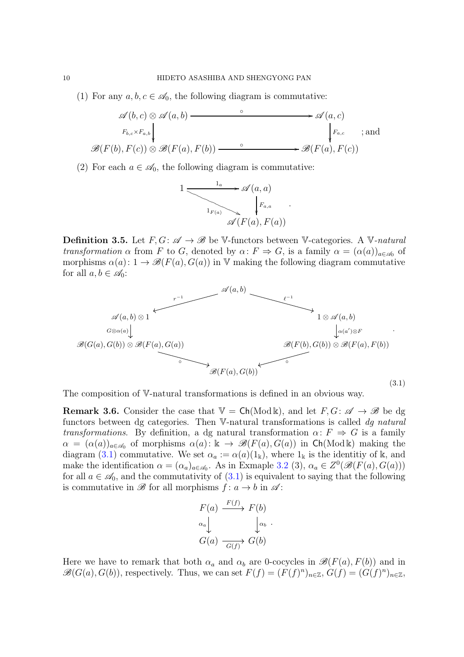(1) For any  $a, b, c \in \mathcal{A}_0$ , the following diagram is commutative:

$$
\mathscr{A}(b, c) \otimes \mathscr{A}(a, b) \longrightarrow \mathscr{A}(a, c)
$$
  
\n
$$
F_{b, c} \times F_{a, b} \downarrow
$$
  
\n
$$
\mathscr{B}(F(b), F(c)) \otimes \mathscr{B}(F(a), F(b)) \longrightarrow \mathscr{B}(F(a), F(c))
$$
  
\n
$$
\xrightarrow{\circ} \mathscr{B}(F(a), F(c))
$$

(2) For each  $a \in \mathscr{A}_0$ , the following diagram is commutative:



**Definition 3.5.** Let  $F, G: \mathscr{A} \to \mathscr{B}$  be V-functors between V-categories. A V-natural *transformation*  $\alpha$  from F to G, denoted by  $\alpha$ :  $F \Rightarrow G$ , is a family  $\alpha = (\alpha(a))_{a \in \mathscr{A}_0}$  of morphisms  $\alpha(a): 1 \to \mathscr{B}(F(a), G(a))$  in V making the following diagram commutative for all  $a, b \in \mathcal{A}_0$ :

<span id="page-9-0"></span>

The composition of V-natural transformations is defined in an obvious way.

<span id="page-9-1"></span>**Remark 3.6.** Consider the case that  $V = \mathsf{Ch}(\text{Mod } \mathbb{k})$ , and let  $F, G: \mathscr{A} \to \mathscr{B}$  be dg functors between dg categories. Then V-natural transformations is called *dg natural transformations*. By definition, a dg natural transformation  $\alpha: F \Rightarrow G$  is a family  $\alpha = (\alpha(a))_{a \in \mathcal{A}_0}$  of morphisms  $\alpha(a): \mathbb{k} \to \mathscr{B}(F(a), G(a))$  in Ch(Mod k) making the diagram [\(3.1\)](#page-9-0) commutative. We set  $\alpha_a := \alpha(a)(1_k)$ , where  $1_k$  is the identitiy of k, and make the identification  $\alpha = (\alpha_a)_{a \in \mathcal{A}_0}$ . As in Exmaple [3.2](#page-7-0) (3),  $\alpha_a \in Z^0(\mathcal{B}(F(a), G(a)))$ for all  $a \in \mathcal{A}_0$ , and the commutativity of  $(3.1)$  is equivalent to saying that the following is commutative in  $\mathscr{B}$  for all morphisms  $f: a \to b$  in  $\mathscr{A}$ :

$$
F(a) \xrightarrow{F(f)} F(b)
$$
  
\n
$$
\alpha_a \downarrow \qquad \qquad \downarrow \alpha_b
$$
  
\n
$$
G(a) \xrightarrow{G(f)} G(b)
$$

Here we have to remark that both  $\alpha_a$  and  $\alpha_b$  are 0-cocycles in  $\mathscr{B}(F(a), F(b))$  and in  $\mathscr{B}(G(a), G(b))$ , respectively. Thus, we can set  $F(f) = (F(f)^n)_{n \in \mathbb{Z}}$ ,  $G(f) = (G(f)^n)_{n \in \mathbb{Z}}$ ,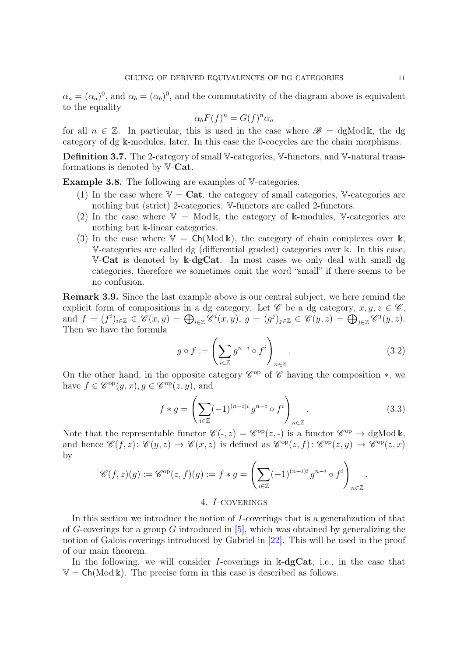$\alpha_a = (\alpha_a)^0$ , and  $\alpha_b = (\alpha_b)^0$ , and the commutativity of the diagram above is equivalent to the equality

$$
\alpha_b F(f)^n = G(f)^n \alpha_a
$$

for all  $n \in \mathbb{Z}$ . In particular, this is used in the case where  $\mathscr{B} = dg \text{Mod } \mathbb{k}$ , the dg category of dg k-modules, later. In this case the 0-cocycles are the chain morphisms.

Definition 3.7. The 2-category of small V-categories, V-functors, and V-natural transformations is denoted by V-Cat.

Example 3.8. The following are examples of V-categories.

- (1) In the case where  $V = \mathbf{Cat}$ , the category of small categories, V-categories are nothing but (strict) 2-categories. V-functors are called 2-functors.
- (2) In the case where  $V = Mod k$ , the category of k-modules, V-categories are nothing but k-linear categories.
- (3) In the case where  $V = Ch(\text{Mod } \mathbb{k})$ , the category of chain complexes over k, V-categories are called dg (differential graded) categories over k. In this case, V-Cat is denoted by  $k$ -dgCat. In most cases we only deal with small dg categories, therefore we sometimes omit the word "small" if there seems to be no confusion.

Remark 3.9. Since the last example above is our central subject, we here remind the explicit form of compositions in a dg category. Let  $\mathscr C$  be a dg category,  $x, y, z \in \mathscr C$ , and  $f = (f^i)_{i \in \mathbb{Z}} \in \mathscr{C}(x, y) = \bigoplus_{i \in \mathbb{Z}} \mathscr{C}^i(x, y), g = (g^j)_{j \in \mathbb{Z}} \in \mathscr{C}(y, z) = \bigoplus_{j \in \mathbb{Z}} \mathscr{C}^j(y, z).$ Then we have the formula

$$
g \circ f := \left(\sum_{i \in \mathbb{Z}} g^{n-i} \circ f^i\right)_{n \in \mathbb{Z}}.\tag{3.2}
$$

On the other hand, in the opposite category  $\mathscr{C}^{op}$  of  $\mathscr{C}$  having the composition  $*$ , we have  $f \in \mathscr{C}^{\mathrm{op}}(y,x), g \in \mathscr{C}^{\mathrm{op}}(z,y)$ , and

<span id="page-10-1"></span>
$$
f * g = \left(\sum_{i \in \mathbb{Z}} (-1)^{(n-i)i} g^{n-i} \circ f^i\right)_{n \in \mathbb{Z}}.
$$
\n(3.3)

Note that the representable functor  $\mathscr{C}(-,z) = \mathscr{C}^{\text{op}}(z,-)$  is a functor  $\mathscr{C}^{\text{op}} \to \text{dgMod } \mathbb{k}$ , and hence  $\mathscr{C}(f,z)$ :  $\mathscr{C}(y,z) \to \mathscr{C}(x,z)$  is defined as  $\mathscr{C}^{op}(z,f)$ :  $\mathscr{C}^{op}(z,y) \to \mathscr{C}^{op}(z,x)$ by

$$
\mathscr{C}(f,z)(g) := \mathscr{C}^{\mathrm{op}}(z,f)(g) := f * g = \left(\sum_{i \in \mathbb{Z}} (-1)^{(n-i)i} g^{n-i} \circ f^i\right)_{n \in \mathbb{Z}}.
$$

### 4. I-coverings

<span id="page-10-0"></span>In this section we introduce the notion of I-coverings that is a generalization of that of G-coverings for a group G introduced in  $[5]$ , which was obtained by generalizing the notion of Galois coverings introduced by Gabriel in [\[22\]](#page-59-9). This will be used in the proof of our main theorem.

In the following, we will consider I-coverings in  $\mathbb{k}\text{-}\mathbf{dgCat}$ , i.e., in the case that  $V = Ch(Mod \&)$ . The precise form in this case is described as follows.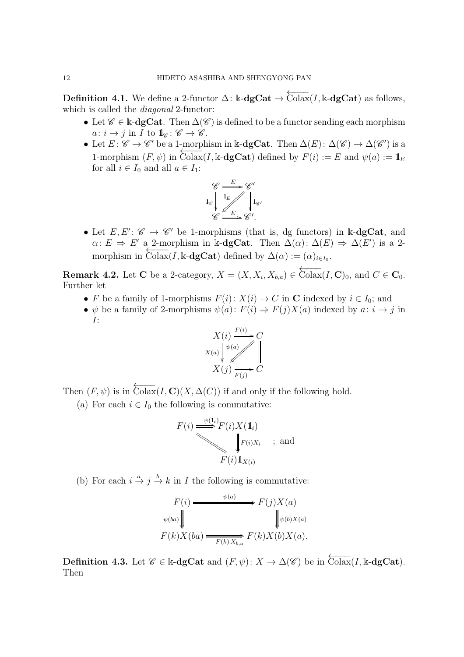**Definition 4.1.** We define a 2-functor  $\Delta$ : k-**dgCat**  $\rightarrow \overleftarrow{\text{Colax}}(I, \text{k-dgCat})$  as follows, which is called the *diagonal* 2-functor:

- Let  $\mathscr{C} \in \mathbb{k}$ -dgCat. Then  $\Delta(\mathscr{C})$  is defined to be a functor sending each morphism  $a: i \to j$  in I to  $\mathbb{1}_{\mathscr{C}}: \mathscr{C} \to \mathscr{C}$ .
- Let  $E: \mathscr{C} \to \mathscr{C}'$  be a 1-morphism in k-dgCat. Then  $\Delta(E): \Delta(\mathscr{C}) \to \Delta(\mathscr{C}')$  is a 1-morphism  $(F, \psi)$  in Colax(I, k-dgCat) defined by  $F(i) := E$  and  $\psi(a) := \mathbb{1}_E$ for all  $i \in I_0$  and all  $a \in I_1$ :



• Let  $E, E' : \mathscr{C} \to \mathscr{C}'$  be 1-morphisms (that is, dg functors) in k-dgCat, and  $\alpha: E \Rightarrow E'$  a 2-morphism in k-dgCat. Then  $\Delta(\alpha): \Delta(E) \Rightarrow \Delta(E')$  is a 2morphism in  $\overline{\text{Colax}}(I, \mathbb{k}\text{-}\text{dgCat})$  defined by  $\Delta(\alpha) := (\alpha)_{i \in I_0}$ .

<span id="page-11-0"></span>**Remark 4.2.** Let **C** be a 2-category,  $X = (X, X_i, X_{b,a}) \in \overleftarrow{\text{Colax}}(I, \mathbf{C})_0$ , and  $C \in \mathbf{C}_0$ . Further let

- F be a family of 1-morphisms  $F(i): X(i) \to C$  in C indexed by  $i \in I_0$ ; and
- $\psi$  be a family of 2-morphisms  $\psi(a): F(i) \Rightarrow F(j)X(a)$  indexed by  $a: i \to j$  in I:



Then  $(F, \psi)$  is in  $\overleftarrow{\text{Colax}}(I, \mathbf{C})(X, \Delta(C))$  if and only if the following hold.

(a) For each  $i \in I_0$  the following is commutative:

$$
F(i) \stackrel{\psi(1_i)}{\bigvee} F(i)X(1_i)
$$
  

$$
\downarrow F(i)X_i
$$
; and  

$$
F(i)1_{X(i)}
$$

(b) For each  $i \stackrel{a}{\rightarrow} j \stackrel{b}{\rightarrow} k$  in *I* the following is commutative:

$$
F(i) \xrightarrow{\psi(a)} F(j)X(a)
$$
  

$$
\psi(ba) \downarrow \qquad \qquad \downarrow \psi(b)X(a)
$$
  

$$
F(k)X(ba) \xrightarrow{F(k)X_{b,a}} F(k)X(b)X(a).
$$

**Definition 4.3.** Let  $\mathscr{C} \in \mathbb{k}$ -**dgCat** and  $(F, \psi)$ :  $X \to \Delta(\mathscr{C})$  be in  $\overline{\text{Colax}}(I, \mathbb{k}$ -**dgCat**). Then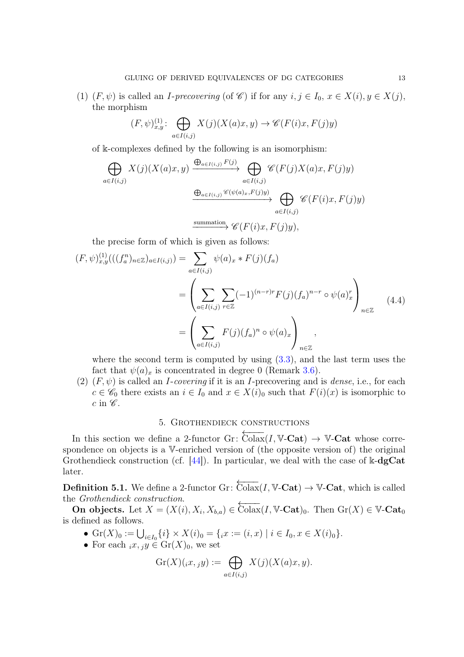(1)  $(F, \psi)$  is called an *I-precovering* (of  $\mathscr{C}$ ) if for any  $i, j \in I_0, x \in X(i), y \in X(j)$ , the morphism

$$
(F,\psi)_{x,y}^{(1)}\colon \bigoplus_{a\in I(i,j)} X(j)(X(a)x,y) \to \mathscr{C}(F(i)x,F(j)y)
$$

of k-complexes defined by the following is an isomorphism:

$$
\bigoplus_{a \in I(i,j)} X(j)(X(a)x, y) \xrightarrow{\bigoplus_{a \in I(i,j)} F(j)} \bigoplus_{a \in I(i,j)} \mathscr{C}(F(j)X(a)x, F(j)y)
$$

$$
\xrightarrow{\bigoplus_{a \in I(i,j)} \mathscr{C}(\psi(a)x, F(j)y)} \bigoplus_{a \in I(i,j)} \mathscr{C}(F(i)x, F(j)y)
$$

$$
\xrightarrow{\text{summation}} \mathscr{C}(F(i)x, F(j)y),
$$

the precise form of which is given as follows:

<span id="page-12-1"></span>
$$
(F, \psi)_{x,y}^{(1)}(((f_a^n)_{n \in \mathbb{Z}})_{a \in I(i,j)}) = \sum_{a \in I(i,j)} \psi(a)_x * F(j)(f_a)
$$
  
= 
$$
\left( \sum_{a \in I(i,j)} \sum_{r \in \mathbb{Z}} (-1)^{(n-r)r} F(j)(f_a)^{n-r} \circ \psi(a)_x^r \right)_{n \in \mathbb{Z}}
$$
  
= 
$$
\left( \sum_{a \in I(i,j)} F(j)(f_a)^n \circ \psi(a)_x \right)_{n \in \mathbb{Z}},
$$
 (4.4)

where the second term is computed by using  $(3.3)$ , and the last term uses the fact that  $\psi(a)_x$  is concentrated in degree 0 (Remark [3.6\)](#page-9-1).

(2)  $(F, \psi)$  is called an *I-covering* if it is an *I*-precovering and is *dense*, i.e., for each  $c \in \mathscr{C}_0$  there exists an  $i \in I_0$  and  $x \in X(i)_0$  such that  $F(i)(x)$  is isomorphic to  $c$  in  $\mathscr{C}$ .

# 5. Grothendieck constructions

<span id="page-12-0"></span>In this section we define a 2-functor Gr:  $\overline{\text{Colax}}(I, V\text{-}\text{Cat}) \rightarrow V\text{-}\text{Cat}$  whose correspondence on objects is a V-enriched version of (the opposite version of) the original Grothendieck construction (cf.  $[44]$ ). In particular, we deal with the case of k-dgCat later.

**Definition 5.1.** We define a 2-functor Gr:  $\overleftarrow{\text{Colax}}(I, \mathbb{V}\text{-}\text{Cat}) \rightarrow \mathbb{V}\text{-}\text{Cat}$ , which is called the *Grothendieck construction*.

**On objects.** Let  $X = (X(i), X_i, X_{b,a}) \in \overleftarrow{\text{Colax}}(I, V\text{-}\text{Cat})_0$ . Then  $\text{Gr}(X) \in V\text{-}\text{Cat}_0$ is defined as follows.

- $\text{Gr}(X)_0 := \bigcup_{i \in I_0} \{i\} \times X(i)_0 = \{i \in I_0, x \in I_0, x \in X(i)_0\}.$
- For each  $_ix, y \in Gr(X)_0$ , we set

$$
\operatorname{Gr}(X)(,x,y) := \bigoplus_{a \in I(i,j)} X(j)(X(a)x,y).
$$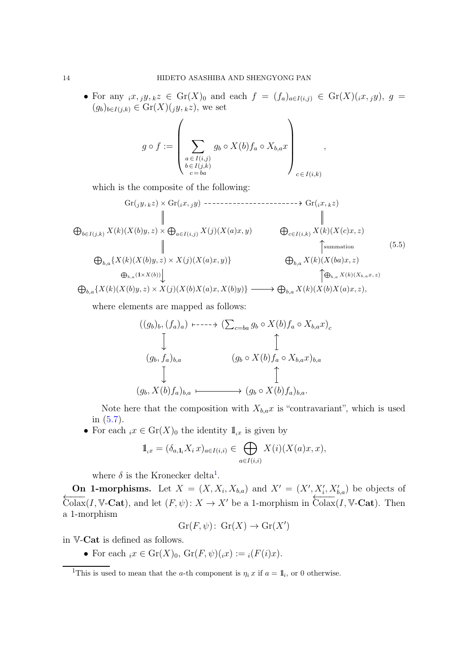• For any  $_ix, jy, kz \in Gr(X)_0$  and each  $f = (f_a)_{a \in I(i,j)} \in Gr(X)(ix, jy), g =$  $(g_b)_{b\in I(j,k)} \in \text{Gr}(X)(jy, kz)$ , we set

,

$$
g \circ f := \left(\sum_{\substack{a \in I(i,j) \\ b \in I(j,k) \\ c = ba}} g_b \circ X(b) f_a \circ X_{b,a} x \right)_{c \in I(i,k)}
$$

which is the composite of the following:

<span id="page-13-1"></span>
$$
\mathbb{G}r(jy, kz) \times \text{Gr}(ix, jy) \longrightarrow \text{S}r(ix, kz)
$$
\n
$$
\oplus_{b \in I(j,k)} X(k)(X(b)y, z) \times \bigoplus_{a \in I(i,j)} X(j)(X(a)x, y) \qquad \bigoplus_{c \in I(i,k)} X(k)(X(c)x, z)
$$
\n
$$
\oplus_{b,a} \{X(k)(X(b)y, z) \times X(j)(X(a)x, y)\} \qquad \bigoplus_{b,a} X(k)(X(ba)x, z)
$$
\n
$$
\oplus_{b,a} \{X(k)(X(b)y, z) \times X(j)(X(b)x(a)x, X(b)y)\} \longrightarrow \bigoplus_{b,a} X(k)(X(b)x(a)x, z),
$$
\n
$$
(5.5)
$$

where elements are mapped as follows:

$$
((g_b)_b, (f_a)_a) \dashrightarrow (\sum_{c=ba} g_b \circ X(b) f_a \circ X_{b,a} x)_c
$$
  
\n
$$
\downarrow \qquad \qquad \uparrow
$$
  
\n
$$
(g_b, f_a)_{b,a} \qquad (g_b \circ X(b) f_a \circ X_{b,a} x)_{b,a}
$$
  
\n
$$
\downarrow \qquad \qquad \downarrow
$$
  
\n
$$
(g_b, X(b) f_a)_{b,a} \longmapsto (g_b \circ X(b) f_a)_{b,a}.
$$

Note here that the composition with  $X_{b,a}x$  is "contravariant", which is used in [\(5.7\)](#page-15-0).

• For each  $_i x \in \text{Gr}(X)_0$  the identity  $\mathbb{1}_{i}$  is given by

$$
\mathbb{1}_{i} = (\delta_{a,1_i} X_i x)_{a \in I(i,i)} \in \bigoplus_{a \in I(i,i)} X(i) (X(a)x, x),
$$

where  $\delta$  is the Kronecker delta<sup>[1](#page-13-0)</sup>.

On 1-morphisms. Let  $X = (X, X_i, X_{b,a})$  and  $X' = (X', X'_i, X'_{b,a})$  be objects of  $\overleftarrow{\text{Colax}}(I, \mathbb{V}\text{-}\mathbf{Cat}),$  and let  $(F, \psi): X \to X'$  be a 1-morphism in  $\overleftarrow{\text{Colax}}(I, \mathbb{V}\text{-}\mathbf{Cat}).$  Then a 1-morphism

$$
Gr(F, \psi) \colon Gr(X) \to Gr(X')
$$

in V-Cat is defined as follows.

• For each  $ix \in \mathrm{Gr}(X)_0$ ,  $\mathrm{Gr}(F, \psi)(ix) := i(F(i)x)$ .

<span id="page-13-0"></span><sup>&</sup>lt;sup>1</sup>This is used to mean that the *a*-th component is  $\eta_i x$  if  $a = 1\!\!\mathbb{1}_i$ , or 0 otherwise.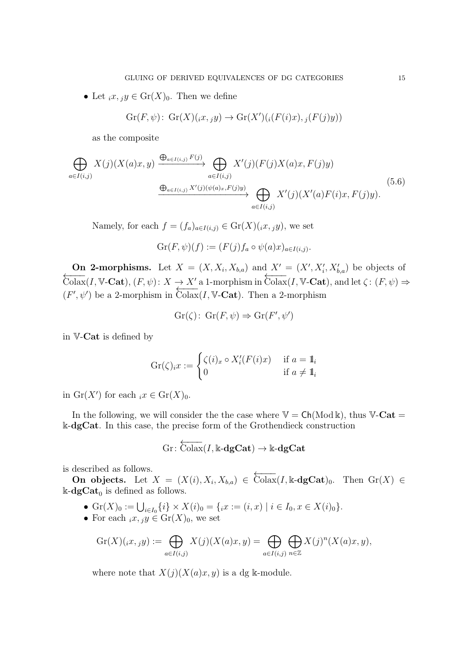• Let  $_ix, jy \in \text{Gr}(X)_0$ . Then we define

$$
Gr(F, \psi) \colon Gr(X)(ix, jy) \to Gr(X')((F(i)x), j(F(j)y))
$$

as the composite

<span id="page-14-0"></span>
$$
\bigoplus_{a \in I(i,j)} X(j)(X(a)x, y) \xrightarrow{\bigoplus_{a \in I(i,j)} F(j)} \bigoplus_{a \in I(i,j)} X'(j)(F(j)X(a)x, F(j)y)
$$
\n
$$
\xrightarrow{\bigoplus_{a \in I(i,j)} X'(j)(\psi(a)x, F(j)y)} \bigoplus_{a \in I(i,j)} X'(j)(X'(a)F(i)x, F(j)y).
$$
\n(5.6)

Namely, for each  $f = (f_a)_{a \in I(i,j)} \in \mathrm{Gr}(X)(i,x, y)$ , we set

$$
\operatorname{Gr}(F,\psi)(f) := (F(j)f_a \circ \psi(a)x)_{a \in I(i,j)}.
$$

On 2-morphisms. Let  $X = (X, X_i, X_{b,a})$  and  $X' = (X', X'_i, X'_{b,a})$  be objects of  $\overleftarrow{\text{Colax}}(I, \mathbb{V}\text{-}\textbf{Cat}), (F, \psi): X \to X'$  a 1-morphism in  $\overleftarrow{\text{Colax}}(I, \mathbb{V}\text{-}\textbf{Cat}),$  and let  $\zeta: (F, \psi) \Rightarrow$  $(F', \psi')$  be a 2-morphism in Colax(I, V-Cat). Then a 2-morphism

$$
Gr(\zeta): Gr(F, \psi) \Rightarrow Gr(F', \psi')
$$

in V-Cat is defined by

$$
\operatorname{Gr}(\zeta)_i x := \begin{cases} \zeta(i)_x \circ X_i'(F(i)x) & \text{if } a = 1_i \\ 0 & \text{if } a \neq 1_i \end{cases}
$$

in  $\mathrm{Gr}(X')$  for each  $_ix \in \mathrm{Gr}(X)_0$ .

In the following, we will consider the the case where  $V = Ch(\text{Mod } \mathbb{k})$ , thus V-Cat = k-dgCat. In this case, the precise form of the Grothendieck construction

$$
\mathrm{Gr}\colon \overleftarrow{\mathrm{Colax}}(I,\Bbbk\text{-}\mathbf{dgCat})\to \Bbbk\text{-}\mathbf{dgCat}
$$

is described as follows.

On objects. Let  $X = (X(i), X_i, X_{b,a}) \in \overleftarrow{\text{Colax}}(I, \mathbb{k} \text{-dgCat})_0$ . Then  $\text{Gr}(X) \in$  $\Bbbk\text{-}\mathbf{dgCat}_0$  is defined as follows.

- $\text{Gr}(X)_0 := \bigcup_{i \in I_0} \{i\} \times X(i)_0 = \{ix := (i, x) \mid i \in I_0, x \in X(i)_0\}.$
- For each  $_ix, y \in Gr(X)_0$ , we set

$$
\mathrm{Gr}(X)(\mathbf{x},\mathbf{y}) := \bigoplus_{a \in I(i,j)} X(\mathbf{y})(X(a)\mathbf{x},\mathbf{y}) = \bigoplus_{a \in I(i,j)} \bigoplus_{n \in \mathbb{Z}} X(\mathbf{y})^n (X(a)\mathbf{x},\mathbf{y}),
$$

where note that  $X(j)(X(a)x, y)$  is a dg k-module.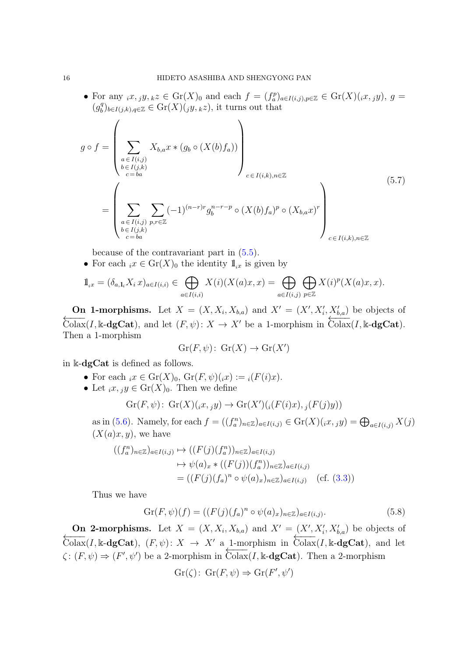• For any  $_ix, jy, kz \in \mathrm{Gr}(X)_0$  and each  $f = (f_a^p)_{a \in I(i,j), p \in \mathbb{Z}} \in \mathrm{Gr}(X)(_ix, jy), g =$  $(g_b^q$  $\mathcal{B}_b^q$ <sub>b∈I(j,k),q∈Z</sub> ∈ Gr(X)(<sub>j</sub>y,<sub>k</sub>z), it turns out that

<span id="page-15-0"></span>
$$
g \circ f = \left(\sum_{\substack{a \in I(i,j) \\ b \in I(j,k) \\ c = ba}} X_{b,a} x * (g_b \circ (X(b) f_a))\right)_{c \in I(i,k), n \in \mathbb{Z}}
$$
  
= 
$$
\left(\sum_{\substack{a \in I(i,j) \\ a \in I(i,j) \\ b \in I(j,k)}} \sum_{p,r \in \mathbb{Z}} (-1)^{(n-r)r} g_b^{n-r-p} \circ (X(b) f_a)^p \circ (X_{b,a} x)^r\right)_{c \in I(i,k), n \in \mathbb{Z}}
$$

$$
(5.7)
$$

because of the contravariant part in [\(5.5\)](#page-13-1).

• For each  $_i x \in \text{Gr}(X)_0$  the identity  $\mathbb{1}_{i}$  is given by

$$
\mathbb{1}_{i^x} = (\delta_{a,1_i} X_i x)_{a \in I(i,i)} \in \bigoplus_{a \in I(i,i)} X(i) (X(a)x, x) = \bigoplus_{a \in I(i,j)} \bigoplus_{p \in \mathbb{Z}} X(i)^p (X(a)x, x).
$$

On 1-morphisms. Let  $X = (X, X_i, X_{b,a})$  and  $X' = (X', X'_i, X'_{b,a})$  be objects of  $\overleftarrow{\text{Colax}}(I, \mathbb{k} - \text{dgCat})$ , and let  $(F, \psi) \colon X \to X'$  be a 1-morphism in  $\overleftarrow{\text{Colax}}(I, \mathbb{k} - \text{dgCat})$ . Then a 1-morphism

$$
Gr(F, \psi) \colon Gr(X) \to Gr(X')
$$

in k-dgCat is defined as follows.

- For each  $_ix \in \mathrm{Gr}(X)_0$ ,  $\mathrm{Gr}(F, \psi)(ix) := i(F(i)x)$ .
- Let  $_ix, y \in \text{Gr}(X)_0$ . Then we define

$$
Gr(F, \psi) \colon Gr(X)(\mathbf{i}x, \mathbf{j}y) \to Gr(X')(\mathbf{i}(F(\mathbf{i})x), \mathbf{j}(F(\mathbf{j})y))
$$

as in [\(5.6\)](#page-14-0). Namely, for each  $f = ((f_a^n)_{n \in \mathbb{Z}})_{a \in I(i,j)} \in \text{Gr}(X)(i,x,y) = \bigoplus_{a \in I(i,j)} X(j)$  $(X(a)x, y)$ , we have

$$
((f_a^n)_{n \in \mathbb{Z}})_{a \in I(i,j)} \mapsto ((F(j)(f_a^n))_{n \in \mathbb{Z}})_{a \in I(i,j)}
$$
  
\n
$$
\mapsto \psi(a)_x * ((F(j))(f_a^n))_{n \in \mathbb{Z}})_{a \in I(i,j)}
$$
  
\n
$$
= ((F(j)(f_a)^n \circ \psi(a)_x)_{n \in \mathbb{Z}})_{a \in I(i,j)} \quad (\text{cf. (3.3)})
$$

Thus we have

$$
Gr(F, \psi)(f) = ((F(j)(f_a)^n \circ \psi(a)_x)_{n \in \mathbb{Z}})_{a \in I(i,j)}.
$$
\n(5.8)

On 2-morphisms. Let  $X = (X, X_i, X_{b,a})$  and  $X' = (X', X'_i, X'_{b,a})$  be objects of  $\overleftarrow{\text{Colax}}(I,\mathbb{k}\text{-}\text{dgCat}), (F,\psi): X → X'$  a 1-morphism in  $\overleftarrow{\text{Colax}}(I,\mathbb{k}\text{-}\text{dgCat}),$  and let  $\zeta: (F, \psi) \Rightarrow (F', \psi')$  be a 2-morphism in Colax(I, k-dgCat). Then a 2-morphism

$$
Gr(\zeta): Gr(F, \psi) \Rightarrow Gr(F', \psi')
$$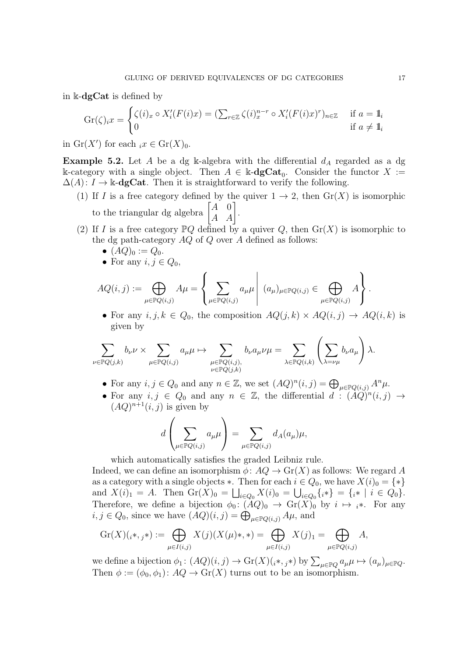in k-dgCat is defined by

$$
\operatorname{Gr}(\zeta)_i x = \begin{cases} \zeta(i)_x \circ X_i'(F(i)x) = (\sum_{r \in \mathbb{Z}} \zeta(i)_x^{n-r} \circ X_i'(F(i)x)^r)_{n \in \mathbb{Z}} & \text{if } a = 1_i \\ 0 & \text{if } a \neq 1_i \end{cases}
$$

in  $\mathrm{Gr}(X')$  for each  $_i x \in \mathrm{Gr}(X)_0$ .

<span id="page-16-0"></span>**Example 5.2.** Let A be a dg k-algebra with the differential  $d_A$  regarded as a dg k-category with a single object. Then  $A \in \mathbb{k}$ -**dgCat**<sub>0</sub>. Consider the functor  $X :=$  $\Delta(A)$ :  $I \to \mathbb{k}$ -**dgCat**. Then it is straightforward to verify the following.

- (1) If I is a free category defined by the quiver  $1 \rightarrow 2$ , then  $Gr(X)$  is isomorphic to the triangular dg algebra  $\begin{bmatrix} A & 0 \\ A & A \end{bmatrix}$ .
- (2) If I is a free category  $\mathbb{P}Q$  defined by a quiver Q, then  $\mathrm{Gr}(X)$  is isomorphic to the dg path-category  $AQ$  of  $Q$  over  $A$  defined as follows:
	- $(AQ)_0 := Q_0$ .
	- For any  $i, j \in Q_0$ ,

$$
AQ(i,j) := \bigoplus_{\mu \in \mathbb{P}Q(i,j)} A\mu = \left\{ \sum_{\mu \in \mathbb{P}Q(i,j)} a_{\mu}\mu \mid (a_{\mu})_{\mu \in \mathbb{P}Q(i,j)} \in \bigoplus_{\mu \in \mathbb{P}Q(i,j)} A \right\}.
$$

• For any  $i, j, k \in Q_0$ , the composition  $AQ(j, k) \times AQ(i, j) \rightarrow AQ(i, k)$  is given by

$$
\sum_{\nu \in \mathbb{P}Q(j,k)} b_{\nu} \nu \times \sum_{\mu \in \mathbb{P}Q(i,j)} a_{\mu} \mu \mapsto \sum_{\substack{\mu \in \mathbb{P}Q(i,j), \\ \nu \in \mathbb{P}Q(j,k)}} b_{\nu} a_{\mu} \nu \mu = \sum_{\lambda \in \mathbb{P}Q(i,k)} \left( \sum_{\lambda = \nu \mu} b_{\nu} a_{\mu} \right) \lambda.
$$

- For any  $i, j \in Q_0$  and any  $n \in \mathbb{Z}$ , we set  $(AQ)^n(i,j) = \bigoplus_{\mu \in \mathbb{P}Q(i,j)} A^n \mu$ .
- For any  $i, j \in Q_0$  and any  $n \in \mathbb{Z}$ , the differential  $d : (\widetilde{AQ})^n(i,j) \rightarrow$  $(AQ)^{n+1}(i, j)$  is given by

$$
d\left(\sum_{\mu \in \mathbb{P}Q(i,j)} a_{\mu}\mu\right) = \sum_{\mu \in \mathbb{P}Q(i,j)} d_{A}(a_{\mu})\mu,
$$

which automatically satisfies the graded Leibniz rule.

Indeed, we can define an isomorphism  $\phi: AQ \to \text{Gr}(X)$  as follows: We regard A as a category with a single objects  $\ast$ . Then for each  $i \in Q_0$ , we have  $X(i)_0 = \{\ast\}$ and  $X(i)_1 = A$ . Then  $\text{Gr}(X)_0 = \bigsqcup_{i \in Q_0} X(i)_0 = \bigcup_{i \in Q_0} \{i*\} = \{i* \mid i \in Q_0\}.$ Therefore, we define a bijection  $\phi_0: (AQ)_0 \to Gr(X)_0$  by  $i \mapsto i^*$ . For any  $i, j \in Q_0$ , since we have  $(AQ)(i, j) = \bigoplus_{\mu \in \mathbb{P}Q(i,j)} A\mu$ , and

$$
\mathrm{Gr}(X)(_{i^*}, {_{j^*}}) := \bigoplus_{\mu \in I(i,j)} X(j)(X(\mu)^* , *) = \bigoplus_{\mu \in I(i,j)} X(j)_1 = \bigoplus_{\mu \in \mathbb{P}Q(i,j)} A,
$$

we define a bijection  $\phi_1: (AQ)(i, j) \to Gr(X)(i*, j*)$  by  $\sum_{\mu \in \mathbb{P}Q} a_{\mu}\mu \mapsto (a_{\mu})_{\mu \in \mathbb{P}Q}$ . Then  $\phi := (\phi_0, \phi_1): AQ \to Gr(X)$  turns out to be an isomorphism.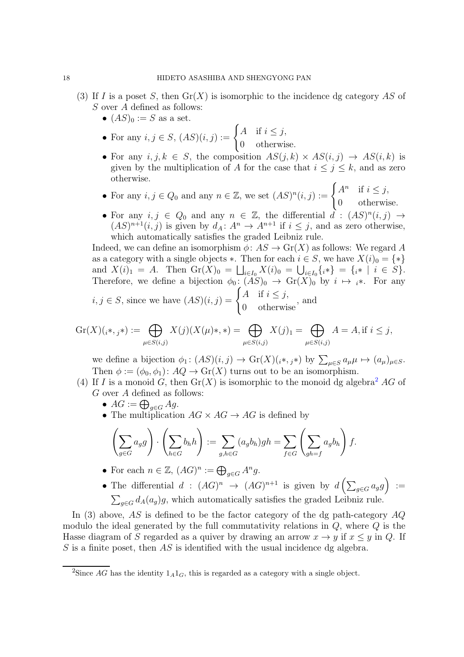- (3) If I is a poset S, then  $Gr(X)$  is isomorphic to the incidence dg category AS of S over A defined as follows:
	- $(AS)_0 := S$  as a set.
	- For any  $i, j \in S$ ,  $(AS)(i, j) := \begin{cases} A & \text{if } i \leq j, \\ 0 & \text{if } j \leq k \end{cases}$ 0 otherwise.
	- For any  $i, j, k \in S$ , the composition  $AS(j, k) \times AS(i, j) \rightarrow AS(i, k)$  is given by the multiplication of A for the case that  $i \leq j \leq k$ , and as zero otherwise.
	- For any  $i, j \in Q_0$  and any  $n \in \mathbb{Z}$ , we set  $(AS)^n(i,j) := \begin{cases} A^n & \text{if } i \leq j, \\ 0 & \text{otherwise.} \end{cases}$ 0 otherwise.
	- For any  $i, j \in Q_0$  and any  $n \in \mathbb{Z}$ , the differential  $\tilde{d} : (AS)^n(i,j) \to$  $(AS)^{n+1}(i, j)$  is given by  $d_A: A^n \to A^{n+1}$  if  $i \leq j$ , and as zero otherwise, which automatically satisfies the graded Leibniz rule.

Indeed, we can define an isomorphism  $\phi: AS \to Gr(X)$  as follows: We regard A as a category with a single objects  $\ast$ . Then for each  $i \in S$ , we have  $X(i)_0 = \{\ast\}$ and  $X(i)_1 = A$ . Then  $\text{Gr}(X)_0 = \bigsqcup_{i \in I_0} X(i)_0 = \bigcup_{i \in I_0} \{i * \} = \{i * | i \in S\}.$ Therefore, we define a bijection  $\phi_0: (AS)_0 \to \text{Gr}(X)_0$  by  $i \mapsto i^*$ . For any  $i, j \in S$ , since we have  $(AS)(i, j) = \begin{cases} A & \text{if } i \leq j, \\ 0 & \text{if } j \end{cases}$ 0 otherwise , and

$$
\operatorname{Gr}(X)(_{i^*,j^*}):=\bigoplus_{\mu\in S(i,j)}X(j)(X(\mu)^{*},*)=\bigoplus_{\mu\in S(i,j)}X(j)_1=\bigoplus_{\mu\in S(i,j)}A=A,\text{if }i\leq j,
$$

we define a bijection  $\phi_1: (AS)(i, j) \to Gr(X)(i^*, j^*)$  by  $\sum_{\mu \in S} a_{\mu} \mu \mapsto (a_{\mu})_{\mu \in S}$ . Then  $\phi := (\phi_0, \phi_1): AQ \to Gr(X)$  turns out to be an isomorphism.

- (4) If I is a monoid G, then  $Gr(X)$  is isomorphic to the monoid dg algebra<sup>[2](#page-17-0)</sup> AG of G over A defined as follows:
	- $AG := \bigoplus_{g \in G} Ag$ .
	- The multiplication  $AG \times AG \rightarrow AG$  is defined by

$$
\left(\sum_{g\in G}a_gg\right)\cdot\left(\sum_{h\in G}b_hh\right):=\sum_{g,h\in G}(a_gb_h)gh=\sum_{f\in G}\left(\sum_{gh=f}a_gb_h\right)f.
$$

- For each  $n \in \mathbb{Z}$ ,  $(AG)^n := \bigoplus_{g \in G} A^n g$ .
- The differential  $d : (AG)^n \rightarrow (AG)^{n+1}$  is given by  $d\left(\sum_{g \in G} a_g g\right) :=$  $\sum_{g \in G} d_A(a_g)g$ , which automatically satisfies the graded Leibniz rule.

In (3) above,  $AS$  is defined to be the factor category of the dg path-category  $AQ$ modulo the ideal generated by the full commutativity relations in Q, where Q is the Hasse diagram of S regarded as a quiver by drawing an arrow  $x \to y$  if  $x \leq y$  in Q. If S is a finite poset, then  $AS$  is identified with the usual incidence dg algebra.

<span id="page-17-0"></span><sup>&</sup>lt;sup>2</sup>Since AG has the identity  $1_A1_G$ , this is regarded as a category with a single object.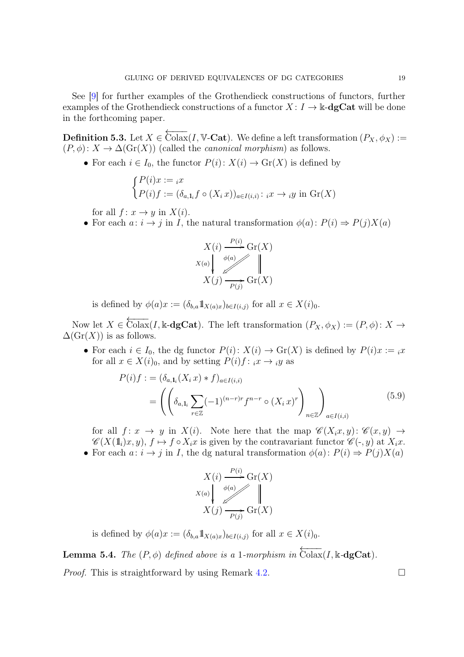See [\[9\]](#page-58-4) for further examples of the Grothendieck constructions of functors, further examples of the Grothendieck constructions of a functor  $X: I \to \mathbb{k}$ -**dgCat** will be done in the forthcoming paper.

**Definition 5.3.** Let  $X \in \overleftarrow{\text{Colax}}(I, \mathbb{V}\text{-}\text{Cat})$ . We define a left transformation  $(P_X, \phi_X) :=$  $(P, \phi)$ :  $X \to \Delta(\text{Gr}(X))$  (called the *canonical morphism*) as follows.

• For each  $i \in I_0$ , the functor  $P(i): X(i) \to Gr(X)$  is defined by

$$
\begin{cases} P(i)x := i x \\ P(i)f := (\delta_{a,1_i} f \circ (X_i x))_{a \in I(i,i)} : i x \to i y \text{ in } \operatorname{Gr}(X) \end{cases}
$$

for all  $f: x \to y$  in  $X(i)$ .

• For each  $a: i \to j$  in I, the natural transformation  $\phi(a): P(i) \Rightarrow P(j)X(a)$ 

$$
X(i) \xrightarrow{P(i)} \operatorname{Gr}(X)
$$
  

$$
X(a) \downarrow \swarrow \swarrow \swarrow \swarrow
$$
  

$$
X(j) \xrightarrow{P(j)} \operatorname{Gr}(X)
$$

is defined by  $\phi(a)x := (\delta_{b,a} 1\!\!1_{X(a)x})_{b \in I(i,j)}$  for all  $x \in X(i)_0$ .

Now let  $X \in \overleftarrow{\text{Colax}}(I,\Bbbk-\text{dgCat})$ . The left transformation  $(P_X,\phi_X) := (P,\phi) : X \to$  $\Delta(\text{Gr}(X))$  is as follows.

• For each  $i \in I_0$ , the dg functor  $P(i): X(i) \to Gr(X)$  is defined by  $P(i)x := i x$ for all  $x \in X(i)_0$ , and by setting  $P(i)f: i x \to i y$  as

<span id="page-18-0"></span>
$$
P(i)f := (\delta_{a,1_i}(X_i x) * f)_{a \in I(i,i)}
$$
  
= 
$$
\left( \left( \delta_{a,1_i} \sum_{r \in \mathbb{Z}} (-1)^{(n-r)r} f^{n-r} \circ (X_i x)^r \right)_{n \in \mathbb{Z}} \right)_{a \in I(i,i)}
$$
(5.9)

for all  $f: x \to y$  in  $X(i)$ . Note here that the map  $\mathscr{C}(X_ix, y)$ :  $\mathscr{C}(x, y) \to$  $\mathscr{C}(X(\mathbb{1}_i)x, y), f \mapsto f \circ X_i x$  is given by the contravariant functor  $\mathscr{C}(-, y)$  at  $X_i x$ . • For each  $a: i \to j$  in I, the dg natural transformation  $\phi(a): P(i) \Rightarrow P(j)X(a)$ 

$$
X(i) \xrightarrow{P(i)} \operatorname{Gr}(X)
$$
  

$$
X(a) \downarrow \qquad \qquad \downarrow \qquad \qquad \downarrow
$$
  

$$
X(j) \xrightarrow{P(j)} \operatorname{Gr}(X)
$$

is defined by  $\phi(a)x := (\delta_{b,a} 1\!\!1_{X(a)x})_{b \in I(i,j)}$  for all  $x \in X(i)_0$ .

**Lemma 5.4.** *The*  $(P, \phi)$  *defined above is a* 1*-morphism in*  $\overleftarrow{\text{Colax}}(I, \mathbb{k} - \text{dgCat})$ *.* 

*Proof.* This is straightforward by using Remark [4.2.](#page-11-0)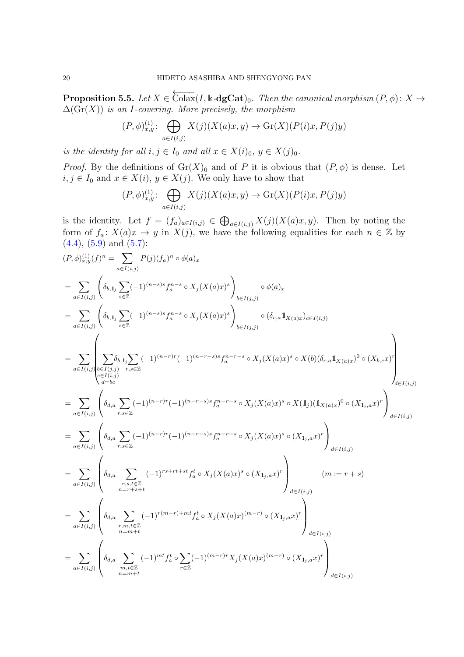<span id="page-19-0"></span>**Proposition 5.5.** Let  $X \in \overleftarrow{\text{Colax}}(I, \Bbbk \text{-}\text{dgCat})_0$ . Then the canonical morphism  $(P, \phi) \colon X \to$ ∆(Gr(X)) *is an* I*-covering. More precisely, the morphism*

$$
(P,\phi)_{x,y}^{(1)}\colon \bigoplus_{a\in I(i,j)} X(j)(X(a)x,y) \to \mathrm{Gr}(X)(P(i)x,P(j)y)
$$

*is the identity for all*  $i, j \in I_0$  *and all*  $x \in X(i)_0, y \in X(j)_0$ *.* 

*Proof.* By the definitions of  $\mathrm{Gr}(X)_0$  and of P it is obvious that  $(P, \phi)$  is dense. Let  $i, j \in I_0$  and  $x \in X(i)$ ,  $y \in X(j)$ . We only have to show that

$$
(P,\phi)_{x,y}^{(1)}\colon \bigoplus_{a\in I(i,j)} X(j)(X(a)x,y) \to \mathrm{Gr}(X)(P(i)x,P(j)y)
$$

is the identity. Let  $f = (f_a)_{a \in I(i,j)} \in \bigoplus_{a \in I(i,j)} X(j) (X(a)x, y)$ . Then by noting the form of  $f_a: X(a)x \to y$  in  $X(j)$ , we have the following equalities for each  $n \in \mathbb{Z}$  by  $(4.4), (5.9)$  $(4.4), (5.9)$  $(4.4), (5.9)$  and  $(5.7)$ :

$$
(P, \phi)_{x,y}^{(1)}(f)^n = \sum_{a \in I(i,j)} P(j)(f_a)^n \circ \phi(a)_x
$$
  
\n
$$
= \sum_{a \in I(i,j)} \left( \delta_{b,1,j} \sum_{s \in \mathbb{Z}} (-1)^{(n-s)s} f_a^{n-s} \circ X_j(X(a)x)^s \right)_{b \in I(j,j)} \circ \phi(a)_x
$$
  
\n
$$
= \sum_{a \in I(i,j)} \left( \delta_{b,1,j} \sum_{s \in \mathbb{Z}} (-1)^{(n-s)s} f_a^{n-s} \circ X_j(X(a)x)^s \right)_{b \in I(j,j)} \circ (\delta_{c,a} \mathbb{1}_{X(a)x})_{c \in I(i,j)}
$$
  
\n
$$
= \sum_{a \in I(i,j)} \left( \sum_{\substack{s \in I(i,j) \\ c \in I(i,j)}} \delta_{b,1,j} \sum_{s \in \mathbb{Z}} (-1)^{(n-r)r} (-1)^{(n-r-s)s} f_a^{n-r-s} \circ X_j(X(a)x)^s \circ X(b)(\delta_{c,a} \mathbb{1}_{X(a)x})^0 \circ (X_{b,c}x)^r \right)
$$
  
\n
$$
= \sum_{a \in I(i,j)} \left( \delta_{d,a} \sum_{r,s \in \mathbb{Z}} (-1)^{(n-r)r} (-1)^{(n-r-s)s} f_a^{n-r-s} \circ X_j(X(a)x)^s \circ X(\mathbb{1}_{j}) (\mathbb{1}_{X(a)x})^0 \circ (X_{1j,a}x)^r \right)_{d \in I(i,j)}
$$
  
\n
$$
= \sum_{a \in I(i,j)} \left( \delta_{d,a} \sum_{r,s \in \mathbb{Z}} (-1)^{(n-r)r} (-1)^{(n-r-s)s} f_a^{n-r-s} \circ X_j(X(a)x)^s \circ (X_{1j,a}x)^r \right)_{d \in I(i,j)}
$$
  
\n
$$
= \sum_{a \in I(i,j)} \left( \delta_{d,a} \sum_{\substack{r,s,t \in \mathbb{Z} \\ n=r+s+t}} (-1)^{r s+r t+st} f_a^t \circ X_j(X(a)x)^s \circ (X_{1j,a}x)^r \right)_{d \in I(i,j)}
$$
  
\n
$$
= \sum_{a \in I(i,j)} \left( \delta_{d,a} \sum_{\substack{r,m,t \in \mathbb{Z} \\ n=m+t}} (-1)^{r(m-r)+mt
$$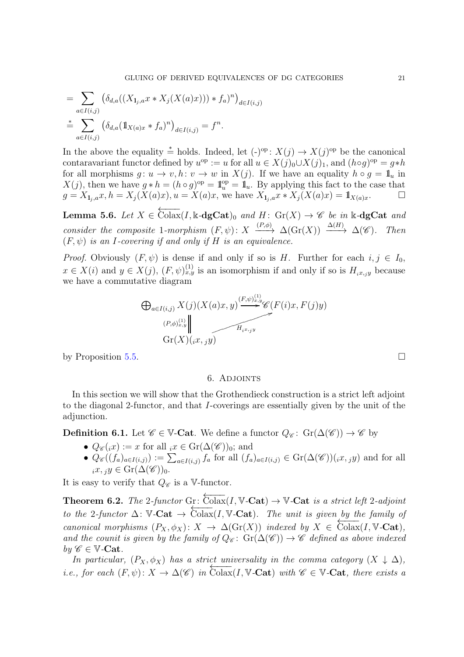$$
= \sum_{a \in I(i,j)} \left( \delta_{d,a}((X_{1_j,a} x * X_j (X(a)x))) * f_a)^n \right)_{d \in I(i,j)}
$$
  

$$
\stackrel{*}{=} \sum_{a \in I(i,j)} \left( \delta_{d,a} (\mathbb{1}_{X(a)x} * f_a)^n \right)_{d \in I(i,j)} = f^n.
$$

In the above the equality  $\stackrel{*}{=}$  holds. Indeed, let  $(\cdot)^{\rm op}$ :  $X(j) \to X(j)^{\rm op}$  be the canonical contaravariant functor defined by  $u^{\rm op} := u$  for all  $u \in X(j)_0 \cup X(j)_1$ , and  $(h \circ g)^{\rm op} = g * h$ for all morphisms  $g: u \to v, h: v \to w$  in  $X(j)$ . If we have an equality  $h \circ g = \mathbb{1}_u$  in  $X(j)$ , then we have  $g * h = (h \circ g)^{op} = \mathbb{1}_{u}^{op} = \mathbb{1}_{u}$ . By applying this fact to the case that  $g = X_{1_i,a}x, h = X_i(X(a)x), u = X(a)x$ , we have  $X_{1_i,a}x * X_i(X(a)x) = 1_{X(a)x}$ .

<span id="page-20-2"></span>Lemma 5.6. Let  $X \in \overleftarrow{\text{Colax}}(I, \mathbb{k} \text{-}\text{dgCat})_0$  and  $H: \text{Gr}(X) \to \mathscr{C}$  be in  $\mathbb{k} \text{-}\text{dgCat}$  and *consider the composite* 1*-morphism*  $(F, \psi)$ :  $X \xrightarrow{(P, \phi)} \Delta(\text{Gr}(X)) \xrightarrow{\Delta(H)} \Delta(\mathscr{C})$ *. Then*  $(F, \psi)$  *is an I-covering if and only if*  $H$  *is an equivalence.* 

*Proof.* Obviously  $(F, \psi)$  is dense if and only if so is H. Further for each  $i, j \in I_0$ ,  $x \in X(i)$  and  $y \in X(j)$ ,  $(F, \psi)_{x,y}^{(1)}$  is an isomorphism if and only if so is  $H_{i,x_jy}$  because we have a commutative diagram

$$
\bigoplus_{a \in I(i,j)} X(j) (X(a)x, y) \xrightarrow{(F, \psi)^{(1)}_{x,y}} \mathscr{C}(F(i)x, F(j)y)
$$
\n
$$
\xrightarrow{(P, \phi)^{(1)}_{x,y}} \qquad \qquad \overbrace{\text{Gr}(X)(_{i}x, y)}
$$

<span id="page-20-0"></span>by Proposition [5.5.](#page-19-0)

#### 6. Adjoints

In this section we will show that the Grothendieck construction is a strict left adjoint to the diagonal 2-functor, and that I-coverings are essentially given by the unit of the adjunction.

**Definition 6.1.** Let  $\mathscr{C} \in \mathbb{V}$ -Cat. We define a functor  $Q_{\mathscr{C}}: Gr(\Delta(\mathscr{C})) \to \mathscr{C}$  by

- $Q_{\mathscr{C}}(x) := x$  for all  $\mathrm{d}x \in \mathrm{Gr}(\Delta(\mathscr{C}))_0$ ; and
- $Q_{\mathscr{C}}((f_a)_{a\in I(i,j)}) := \sum_{a\in I(i,j)} f_a$  for all  $(f_a)_{a\in I(i,j)} \in \mathrm{Gr}(\Delta(\mathscr{C}))((x, y))$  and for all  $i, x, y \in \mathrm{Gr}(\Delta(\mathscr{C}))_0.$

It is easy to verify that  $Q_{\mathscr{C}}$  is a V-functor.

<span id="page-20-1"></span>**Theorem 6.2.** *The* 2*-functor* Gr:  $\overleftarrow{\text{Colax}}(I, \mathbb{V}\text{-}\text{Cat}) \rightarrow \mathbb{V}\text{-}\text{Cat}$  *is a strict left* 2*-adjoint to the* 2*-functor*  $\Delta$ :  $\nabla$ - $\mathbf{Cat}$   $\rightarrow$   $\widehat{\text{Colax}}(I, \mathbb{V}\text{-}\mathbf{Cat})$ *. The unit is given by the family of canonical morphisms*  $(P_X, \phi_X)$ :  $X \to \Delta(\text{Gr}(X))$  *indexed by*  $X \in \text{Colax}(I, V\text{-Cat})$ *,* and the counit is given by the family of  $Q_{\mathscr{C}}: Gr(\Delta(\mathscr{C})) \to \mathscr{C}$  defined as above indexed  $by \mathscr{C} \in \mathbb{V}$ -Cat.

*In particular,*  $(P_X, \phi_X)$  *has a strict universality in the comma category*  $(X \downarrow \Delta)$ *, i.e., for each*  $(F, \psi): X \to \Delta(\mathscr{C})$  *in* Colax(I, V**-Cat**) with  $\mathscr{C} \in \mathbb{V}$ -Cat, there exists a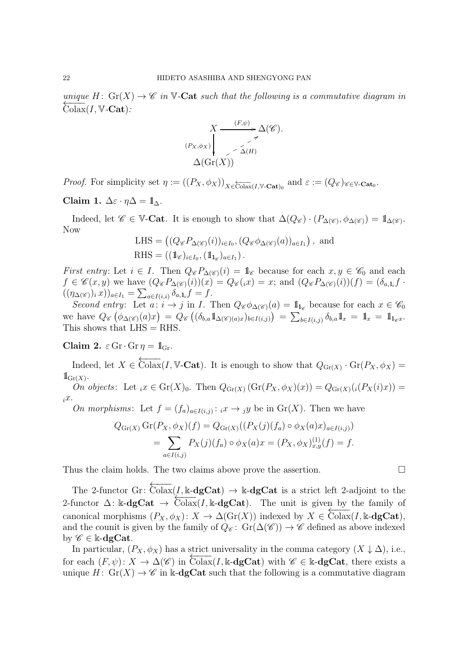*unique*  $H: Gr(X) \to \mathscr{C}$  *in*  $\mathbb{V}\text{-}\mathbf{Cat}$  *such that the following is a commutative diagram in*  $\widehat{Colax}(I, \mathbb{V}\text{-}\mathbf{Cat})$ :

$$
X \xrightarrow{(F,\psi)} \Delta(\mathscr{C}).
$$
  
\n
$$
P_X, \phi_X
$$
  
\n
$$
\phi_X
$$
  
\n
$$
\Delta(\text{Gr}(X))
$$

*Proof.* For simplicity set  $\eta := ((P_X, \phi_X))_{X \in \overline{\text{Coax}}(I, \mathbb{V}\text{-}\text{Cat})_0}$  and  $\varepsilon := (Q_{\mathscr{C}})_{\mathscr{C} \in \mathbb{V}\text{-}\text{Cat}_0}$ .

Claim 1.  $\Delta \varepsilon \cdot \eta \Delta = \mathbb{1}_{\wedge}$ .

Indeed, let  $\mathscr{C} \in \mathbb{V}\text{-}\mathbf{Cat}$ . It is enough to show that  $\Delta(Q_{\mathscr{C}}) \cdot (P_{\Delta(\mathscr{C})}, \phi_{\Delta(\mathscr{C})}) = \mathbb{1}_{\Delta(\mathscr{C})}$ . Now

LHS = 
$$
((Q_{\mathscr{C}}P_{\Delta(\mathscr{C})}(i))_{i\in I_0}, (Q_{\mathscr{C}}\phi_{\Delta(\mathscr{C})}(a))_{a\in I_1})
$$
, and  
RHS =  $((\mathbb{1}_{\mathscr{C}})_{i\in I_0}, (\mathbb{1}_{\mathbb{1}_{\mathscr{C}}})_{a\in I_1})$ .

*First entry*: Let  $i \in I$ . Then  $Q_{\mathscr{C}}P_{\Delta(\mathscr{C})}(i) = \mathbb{1}_{\mathscr{C}}$  because for each  $x, y \in \mathscr{C}_0$  and each  $f \in \mathscr{C}(x,y)$  we have  $(Q_{\mathscr{C}}P_{\Delta(\mathscr{C})}(i))(x) = Q_{\mathscr{C}}(ix) = x$ ; and  $(Q_{\mathscr{C}}P_{\Delta(\mathscr{C})}(i))(f) = (\delta_{a,1}f \cdot f)$  $((\eta_{\Delta(\mathscr{C}}))_i x))_{a \in I_1} = \sum_{a \in I(i,i)} \delta_{a,1_i} f = f.$ 

*Second entry*: Let  $\overline{a}: i \to j$  in *I*. Then  $Q_{\mathscr{C}}\phi_{\Delta(\mathscr{C})}(a) = 1\!\!1_{l_{\mathscr{C}}}$  because for each  $x \in \mathscr{C}_0$ we have  $Q_{\mathscr{C}}(\phi_{\Delta(\mathscr{C})}(a)x) = Q_{\mathscr{C}}((\delta_{b,a}1\!1_{\Delta(\mathscr{C})(a)x})_{b\in I(i,j)}) = \sum_{b\in I(i,j)} \delta_{b,a}1\!1_x = 1\!1_{x} = 1\!1_{x}$ This shows that  $LHS = RHS$ .

Claim 2.  $\varepsilon$  Gr·Gr  $\eta = \mathbb{1}_{\text{Gr}}$ .

Indeed, let  $X \in \overleftarrow{\text{Colax}}(I, \mathbb{V}\text{-}\text{Cat})$ . It is enough to show that  $Q_{\text{Gr}(X)} \cdot \text{Gr}(P_X, \phi_X) =$  $1\!\!1_{\mathrm{Gr}(X)}$ .

*On objects*: Let  ${}_{i}x \in Gr(X)_0$ . Then  $Q_{Gr(X)}(Gr(P_X, \phi_X)(x)) = Q_{Gr(X)}(i(P_X(i)x))$  $\partial x$ .

*On morphisms*: Let  $f = (f_a)_{a \in I(i,j)}$ :  $_i x \to j y$  be in  $\text{Gr}(X)$ . Then we have

$$
Q_{\text{Gr}(X)} \text{Gr}(P_X, \phi_X)(f) = Q_{\text{Gr}(X)}((P_X(j)(f_a) \circ \phi_X(a)x)_{a \in I(i,j)})
$$
  
= 
$$
\sum_{a \in I(i,j)} P_X(j)(f_a) \circ \phi_X(a)x = (P_X, \phi_X)_{x,y}^{(1)}(f) = f.
$$

Thus the claim holds. The two claims above prove the assertion.

The 2-functor Gr:  $\overline{\text{Colax}}(I, \mathbb{k} - \text{dgCat}) \rightarrow \mathbb{k} - \text{dgCat}$  is a strict left 2-adjoint to the 2-functor  $\Delta$ : k-dgCat  $\rightarrow$  Colax(I, k-dgCat). The unit is given by the family of canonical morphisms  $(P_X, \phi_X): X \to \Delta(\text{Gr}(X))$  indexed by  $X \in \text{Colax}(I, \mathbb{k} \text{-}dg\text{Cat}),$ and the counit is given by the family of  $\hat{Q}_{\mathscr{C}}$ :  $\hat{Gr}(\Delta(\mathscr{C})) \to \mathscr{C}$  defined as above indexed by  $\mathscr{C} \in \Bbbk$ -dgCat.

In particular,  $(P_X, \phi_X)$  has a strict universality in the comma category  $(X \downarrow \Delta)$ , i.e., for each  $(F, \psi): X \to \Delta(\mathscr{C})$  in  $\text{Colax}(I, \mathbb{k}\text{-}\text{dgCat})$  with  $\mathscr{C} \in \mathbb{k}\text{-}\text{dgCat}$ , there exists a unique  $H: Gr(X) \to \mathscr{C}$  in k-dgCat such that the following is a commutative diagram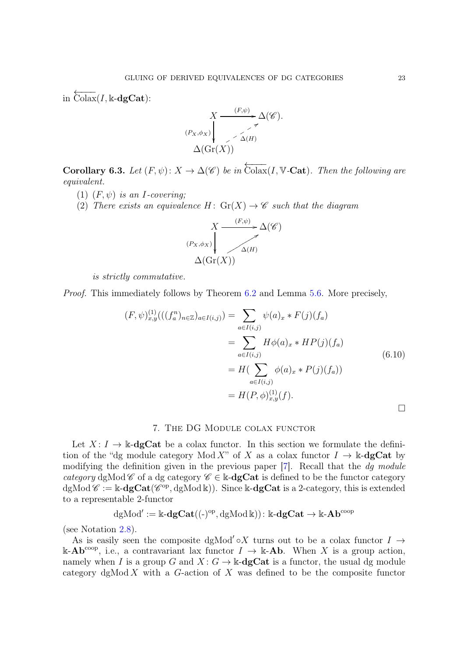in  $\overleftarrow{\text{Colax}}(I,\Bbbk\text{-}\mathbf{dgCat})$ :

$$
X \xrightarrow{(F,\psi)} \Delta(\mathscr{C}).
$$
  
\n
$$
\left.\begin{array}{c}\n\chi & \to \\
\hline\n\zeta & \text{if } \\
\hline\n\zeta & \text{if } \\
\Delta(\text{Gr}(X)) & \text{if } \\
\end{array}\right.
$$

<span id="page-22-1"></span>**Corollary 6.3.** Let  $(F, \psi)$ :  $X \to \Delta(\mathscr{C})$  be in  $\overleftarrow{\text{Colax}}(I, \mathbb{V}\text{-}\text{Cat})$ *. Then the following are equivalent.*

- (1)  $(F, \psi)$  *is an I-covering*;
- (2) *There exists an equivalence*  $H: Gr(X) \to \mathscr{C}$  *such that the diagram*



*is strictly commutative.*

*Proof.* This immediately follows by Theorem [6.2](#page-20-1) and Lemma [5.6.](#page-20-2) More precisely,

$$
(F, \psi)^{(1)}_{x,y}(((f_a^n)_{n \in \mathbb{Z}})_{a \in I(i,j)}) = \sum_{a \in I(i,j)} \psi(a)_x * F(j)(f_a)
$$
  
= 
$$
\sum_{a \in I(i,j)} H\phi(a)_x * HP(j)(f_a)
$$
  
= 
$$
H(\sum_{a \in I(i,j)} \phi(a)_x * P(j)(f_a))
$$
  
= 
$$
H(P, \phi)^{(1)}_{x,y}(f).
$$

### 7. The DG Module colax functor

<span id="page-22-0"></span>Let  $X: I \to \mathbb{k}$ -dgCat be a colax functor. In this section we formulate the definition of the "dg module category Mod X" of X as a colax functor  $I \to \mathbb{k}$ -dgCat by modifying the definition given in the previous paper [\[7\]](#page-58-6). Recall that the *dg module category* dgMod C of a dg category  $\mathscr{C} \in \mathbb{k}$ -**dgCat** is defined to be the functor category  $dgMod \mathscr{C} := \Bbbk-\mathbf{dgCat}(\mathscr{C}^{op}, dgMod \Bbbk)).$  Since  $\Bbbk-\mathbf{dgCat}$  is a 2-category, this is extended to a representable 2-functor

$$
\mathrm{dgMod}':=\Bbbk\text{-}\mathbf{dgCat}((\text{-})^{\mathrm{op}},\mathrm{dgMod}\,\Bbbk))\colon \Bbbk\text{-}\mathbf{dgCat}\to\Bbbk\text{-}\mathbf{Ab}^{\mathrm{coop}}
$$

(see Notation [2.8\)](#page-6-1).

As is easily seen the composite dgMod' $\circ X$  turns out to be a colax functor  $I \rightarrow$ k-Ab<sup>coop</sup>, i.e., a contravariant lax functor  $I \to \mathbb{k}$ -Ab. When X is a group action, namely when I is a group G and  $X: G \to \mathbb{k}$ -**dgCat** is a functor, the usual dg module category  $\text{dgMod } X$  with a G-action of X was defined to be the composite functor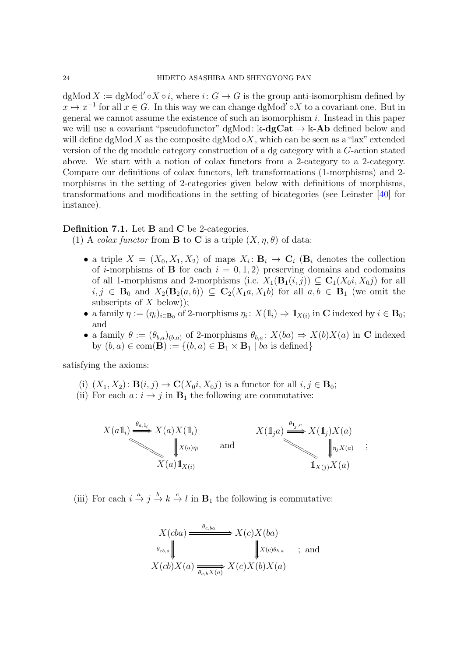dgMod  $X := dg\text{Mod}' \circ X \circ i$ , where  $i: G \to G$  is the group anti-isomorphism defined by  $x \mapsto x^{-1}$  for all  $x \in G$ . In this way we can change dgMod<sup>'</sup>  $\circ X$  to a covariant one. But in general we cannot assume the existence of such an isomorphism  $i$ . Instead in this paper we will use a covariant "pseudofunctor" dgMod:  $k-\frac{d}{dx}$  +  $k-\frac{1}{dx}$  defined below and will define dgMod X as the composite dgMod  $\circ X$ , which can be seen as a "lax" extended version of the dg module category construction of a dg category with a G-action stated above. We start with a notion of colax functors from a 2-category to a 2-category. Compare our definitions of colax functors, left transformations (1-morphisms) and 2 morphisms in the setting of 2-categories given below with definitions of morphisms, transformations and modifications in the setting of bicategories (see Leinster [\[40\]](#page-60-5) for instance).

# Definition 7.1. Let B and C be 2-categories.

(1) A *colax functor* from **B** to **C** is a triple  $(X, \eta, \theta)$  of data:

- a triple  $X = (X_0, X_1, X_2)$  of maps  $X_i: \mathbf{B}_i \to \mathbf{C}_i$  ( $\mathbf{B}_i$  denotes the collection of *i*-morphisms of **B** for each  $i = 0, 1, 2$  preserving domains and codomains of all 1-morphisms and 2-morphisms (i.e.  $X_1(\mathbf{B}_1(i,j)) \subseteq \mathbf{C}_1(X_0i, X_0j)$  for all  $i, j \in \mathbf{B}_0$  and  $X_2(\mathbf{B}_2(a, b)) \subseteq \mathbf{C}_2(X_1a, X_1b)$  for all  $a, b \in \mathbf{B}_1$  (we omit the subscripts of  $X$  below));
- a family  $\eta := (\eta_i)_{i \in \mathbf{B}_0}$  of 2-morphisms  $\eta_i : X(\mathbb{1}_i) \Rightarrow \mathbb{1}_{X(i)}$  in C indexed by  $i \in \mathbf{B}_0$ ; and
- a family  $\theta := (\theta_{b,a})_{(b,a)}$  of 2-morphisms  $\theta_{b,a} : X(ba) \Rightarrow X(b)X(a)$  in C indexed by  $(b, a) \in \text{com}(\mathbf{B}) := \{(b, a) \in \mathbf{B}_1 \times \mathbf{B}_1 | ba \text{ is defined}\}\$

satisfying the axioms:

- (i)  $(X_1, X_2)$ :  $\mathbf{B}(i, j) \to \mathbf{C}(X_0i, X_0j)$  is a functor for all  $i, j \in \mathbf{B}_0$ ;
- (ii) For each  $a: i \rightarrow j$  in  $\mathbf{B}_1$  the following are commutative:



(iii) For each  $i \stackrel{a}{\rightarrow} j \stackrel{b}{\rightarrow} k \stackrel{c}{\rightarrow} l$  in  $\mathbf{B}_1$  the following is commutative:

$$
X(cba) \xrightarrow{\theta_{c,ba}} X(c)X(ba)
$$
  
\n
$$
\theta_{cb,a} \parallel \qquad \qquad \downarrow X(c)\theta_{b,a} \qquad ; \text{ and}
$$
  
\n
$$
X(cb)X(a) \xrightarrow{\theta_{c,b}X(a)} X(c)X(b)X(a)
$$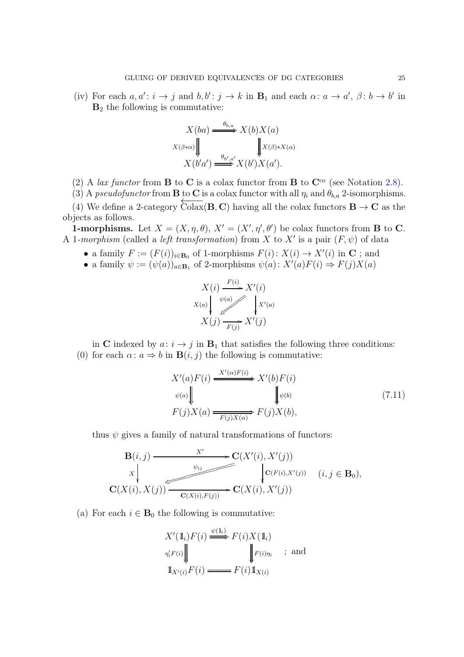(iv) For each  $a, a' : i \to j$  and  $b, b' : j \to k$  in  $\mathbf{B}_1$  and each  $\alpha : a \to a'$ ,  $\beta : b \to b'$  in  $B_2$  the following is commutative:

$$
X(ba) \xrightarrow{\theta_{b,a}} X(b)X(a)
$$

$$
X(\beta \ast \alpha) \downarrow \qquad \qquad \downarrow \qquad \qquad \downarrow \qquad \downarrow \qquad \downarrow \qquad \downarrow \qquad \downarrow \qquad \downarrow \qquad \downarrow \qquad \downarrow \qquad \downarrow \qquad \downarrow \qquad \downarrow \qquad \downarrow \qquad \downarrow \qquad \downarrow \qquad \downarrow \qquad \downarrow \qquad \downarrow \qquad \downarrow \qquad \downarrow \qquad \downarrow \qquad \downarrow \qquad \downarrow \qquad \downarrow \qquad \downarrow \qquad \downarrow \qquad \downarrow \qquad \downarrow \qquad \downarrow \qquad \downarrow \qquad \downarrow \qquad \downarrow \qquad \downarrow \qquad \downarrow \qquad \downarrow \qquad \downarrow \qquad \downarrow \qquad \downarrow \qquad \downarrow \qquad \downarrow \qquad \downarrow \qquad \downarrow \qquad \downarrow \qquad \downarrow \qquad \downarrow \qquad \downarrow \qquad \downarrow \qquad \downarrow \qquad \downarrow \qquad \downarrow \qquad \downarrow \qquad \downarrow \qquad \downarrow \qquad \downarrow \qquad \downarrow \qquad \downarrow \qquad \downarrow \qquad \downarrow \qquad \downarrow \qquad \downarrow \qquad \downarrow \qquad \downarrow \qquad \downarrow \qquad \downarrow \qquad \downarrow \qquad \downarrow \qquad \downarrow \qquad \downarrow \qquad \downarrow \qquad \downarrow \qquad \downarrow \qquad \downarrow \qquad \downarrow \qquad \downarrow \qquad \downarrow \qquad \downarrow \qquad \downarrow \qquad \downarrow \qquad \downarrow \qquad \downarrow \qquad \downarrow \qquad \downarrow \qquad \downarrow \qquad \downarrow \qquad \downarrow \qquad \downarrow \qquad \downarrow \qquad \downarrow \qquad \downarrow \qquad \downarrow \qquad \downarrow \qquad \downarrow \qquad \downarrow \qquad \downarrow \qquad \downarrow \qquad \downarrow \qquad \downarrow \qquad \downarrow \qquad \downarrow \qquad \downarrow \qquad \downarrow \qquad \downarrow \qquad \downarrow \qquad \downarrow \qquad \downarrow \qquad \downarrow \qquad \downarrow \qquad \downarrow \qquad \downarrow \qquad \downarrow \qquad \downarrow \qquad \downarrow \qquad \downarrow \qquad \downarrow \qquad \downarrow \qquad \downarrow \qquad \downarrow \qquad \downarrow \qquad \downarrow \q
$$

(2) A *lax functor* from **B** to **C** is a colax functor from **B** to  $\mathbb{C}^{\infty}$  (see Notation [2.8\)](#page-6-1).

(3) A *pseudofunctor* from **B** to **C** is a colax functor with all  $\eta_i$  and  $\theta_{b,a}$  2-isomorphisms.

(4) We define a 2-category  $\overleftarrow{\text{Colax}}(\mathbf{B}, \mathbf{C})$  having all the colax functors  $\mathbf{B} \to \mathbf{C}$  as the objects as follows.

**1-morphisms.** Let  $X = (X, \eta, \theta), X' = (X', \eta', \theta')$  be colax functors from **B** to **C**. A 1-morphism (called a *left transformation*) from X to X' is a pair  $(F, \psi)$  of data

- a family  $F := (F(i))_{i \in \mathbf{B}_0}$  of 1-morphisms  $F(i) : X(i) \to X'(i)$  in C; and
- a family  $\psi := (\psi(a))_{a \in \mathbf{B}_1}$  of 2-morphisms  $\psi(a) : X'(a)F(i) \Rightarrow F(j)X(a)$

$$
X(i) \xrightarrow{F(i)} X'(i)
$$
  
\n
$$
X(a) \downarrow \qquad \qquad X'(a)
$$
  
\n
$$
X(j) \xrightarrow{F(j)} X'(j)
$$

in C indexed by  $a: i \rightarrow j$  in  $B_1$  that satisfies the following three conditions: (0) for each  $\alpha: a \Rightarrow b$  in  $\mathbf{B}(i, j)$  the following is commutative:

$$
X'(a)F(i) \xrightarrow{X'(\alpha)F(i)} X'(b)F(i)
$$
  
\n
$$
\psi(a) \parallel \qquad \qquad \downarrow \psi(b)
$$
  
\n
$$
F(j)X(a) \xrightarrow{F(j)X(\alpha)} F(j)X(b),
$$
\n(7.11)

thus  $\psi$  gives a family of natural transformations of functors:

$$
\mathbf{B}(i,j) \xrightarrow{\qquad X'} \mathbf{C}(X'(i), X'(j))
$$
\n
$$
\downarrow \qquad \qquad \downarrow \mathbf{C}(F(i), X'(j))
$$
\n
$$
\mathbf{C}(X(i), X(j)) \xrightarrow{\psi_{ij}} \mathbf{C}(X(i), X'(j))
$$
\n
$$
(i, j \in \mathbf{B}_0),
$$
\n
$$
\mathbf{C}(X(i), X(j)) \xrightarrow{\mathbf{C}(X(i), F(j))} \mathbf{C}(X(i), X'(j))
$$

(a) For each  $i \in \mathbf{B}_0$  the following is commutative:

$$
X'(\mathbb{1}_i) F(i) \xrightarrow{\psi(\mathbb{1}_i)} F(i) X(\mathbb{1}_i)
$$
  
\n
$$
\eta'_i F(i) \parallel \qquad \qquad \parallel F(i) \eta_i \qquad ; \text{ and}
$$
  
\n
$$
\mathbb{1}_{X'(i)} F(i) \longrightarrow F(i) \mathbb{1}_{X(i)}
$$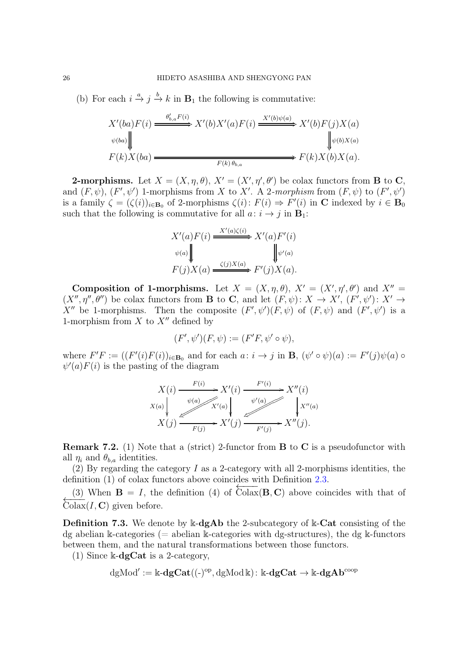(b) For each  $i \stackrel{a}{\rightarrow} j \stackrel{b}{\rightarrow} k$  in  $\mathbf{B}_1$  the following is commutative:

$$
X'(ba)F(i) \xrightarrow{\theta'_{b,a}F(i)} X'(b)X'(a)F(i) \xrightarrow{X'(b)\psi(a)} X'(b)F(j)X(a)
$$
  
\n
$$
\psi(ba) \downarrow \qquad \qquad \downarrow \psi(b)X(a)
$$
  
\n
$$
F(k)X(ba) \xrightarrow{F(k)\theta_{b,a}} F(k)X(b)X(a).
$$

**2-morphisms.** Let  $X = (X, \eta, \theta), X' = (X', \eta', \theta')$  be colax functors from **B** to **C**, and  $(F, \psi)$ ,  $(F', \psi')$  1-morphisms from X to X'. A 2-morphism from  $(F, \psi)$  to  $(F', \psi')$ is a family  $\zeta = (\zeta(i))_{i \in \mathbf{B}_0}$  of 2-morphisms  $\zeta(i) \colon F(i) \Rightarrow F'(i)$  in **C** indexed by  $i \in \mathbf{B}_0$ such that the following is commutative for all  $a: i \rightarrow j$  in  $\mathbf{B}_1$ :

$$
X'(a)F(i) \xrightarrow{X'(a)\zeta(i)} X'(a)F'(i)
$$
  
\n
$$
\psi(a) \downarrow \qquad \qquad \downarrow \psi'(a)
$$
  
\n
$$
F(j)X(a) \xrightarrow{\zeta(j)X(a)} F'(j)X(a).
$$

Composition of 1-morphisms. Let  $X = (X, \eta, \theta), X' = (X', \eta', \theta')$  and  $X'' =$  $(X'',\eta'',\theta'')$  be colax functors from **B** to **C**, and let  $(F,\psi): X \to X'$ ,  $(F',\psi'): X' \to$ X'' be 1-morphisms. Then the composite  $(F', \psi')(F, \psi)$  of  $(F, \psi)$  and  $(F', \psi')$  is a 1-morphism from  $X$  to  $X''$  defined by

$$
(F',\psi')(F,\psi) := (F'F,\psi'\circ\psi),
$$

where  $F'F := ((F'(i)F(i))_{i\in \mathbf{B}_0}$  and for each  $a: i \to j$  in **B**,  $(\psi' \circ \psi)(a) := F'(j)\psi(a) \circ$  $\psi'(a)F(i)$  is the pasting of the diagram

$$
X(i) \xrightarrow{F(i)} X'(i) \xrightarrow{F'(i)} X''(i)
$$
  
\n
$$
X(a) \downarrow \qquad X'(a) \downarrow \qquad \qquad \downarrow \qquad X''(a)
$$
  
\n
$$
X(j) \xrightarrow{F(j)} X'(j) \xrightarrow{F'(j)} X''(j).
$$

**Remark 7.2.** (1) Note that a (strict) 2-functor from  $\bf{B}$  to  $\bf{C}$  is a pseudofunctor with all  $\eta_i$  and  $\theta_{b,a}$  identities.

(2) By regarding the category  $I$  as a 2-category with all 2-morphisms identities, the definition (1) of colax functors above coincides with Definition [2.3.](#page-4-0)

(3) When  $\mathbf{B} = I$ , the definition (4) of  $\overleftarrow{\text{Colax}}(\mathbf{B}, \mathbf{C})$  above coincides with that of  $\text{Colax}(I, \mathbf{C})$  given before.

**Definition 7.3.** We denote by  $\mathbb{k}$ -dgAb the 2-subcategory of  $\mathbb{k}$ -Cat consisting of the dg abelian k-categories ( $=$  abelian k-categories with dg-structures), the dg k-functors between them, and the natural transformations between those functors.

(1) Since  $\&$ -dgCat is a 2-category,

$$
\mathrm{dgMod}':=\Bbbk\text{-}dg\mathbf{Cat}((\text{-})^{\mathrm{op}},\mathrm{dgMod}\,\Bbbk)\colon \Bbbk\text{-}dg\mathbf{Cat}\to\Bbbk\text{-}dg\mathbf{Ab}^{\mathrm{coop}}
$$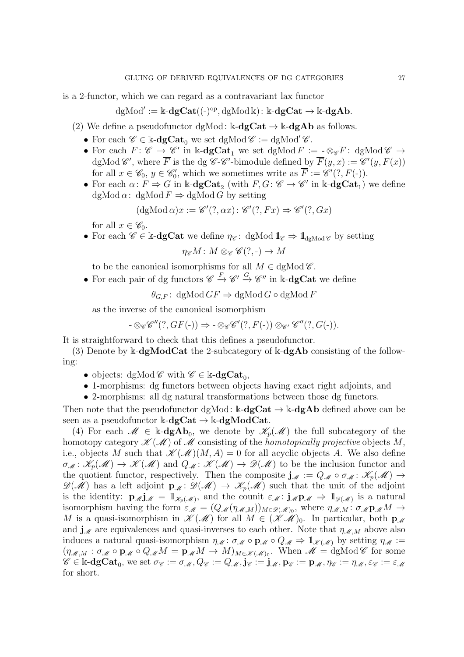is a 2-functor, which we can regard as a contravariant lax functor

$$
\mathrm{dgMod}':=\Bbbk\text{-}dg\mathbf{Cat}((\text{-})^{\mathrm{op}},\mathrm{dgMod}\,\Bbbk)\colon \Bbbk\text{-}dg\mathbf{Cat}\to \Bbbk\text{-}dg\mathbf{Ab}.
$$

- (2) We define a pseudofunctor dgMod:  $k-\text{dgCat} \rightarrow k-\text{dgAb}$  as follows.
	- For each  $\mathscr{C} \in \mathbb{k}$ -dg $Cat_0$  we set dgMod  $\mathscr{C} := dgMod' \mathscr{C}$ .
	- For each  $F: \mathscr{C} \to \mathscr{C}'$  in  $\Bbbk$ -**dgCat**<sub>1</sub> we set dgMod  $F := \underline{\ } \otimes_{\mathscr{C}} \overline{F}$ : dgMod  $\mathscr{C} \to$ dgMod  $\mathscr{C}'$ , where  $\overline{F}$  is the dg  $\mathscr{C}\text{-}\mathscr{C}'$ -bimodule defined by  $\overline{F}(y, x) := \mathscr{C}'(y, F(x))$ for all  $x \in \mathscr{C}_0, y \in \mathscr{C}'_0$  $\mathcal{F}_0$ , which we sometimes write as  $\overline{F} := \mathscr{C}'(?, F(-))$ .
	- For each  $\alpha\colon F \Rightarrow G$  in k-**dgCat**<sub>2</sub> (with  $F, G: \mathscr{C} \to \mathscr{C}'$  in k-**dgCat**<sub>1</sub>) we define dgMod  $\alpha$ : dgMod  $F \Rightarrow$  dgMod G by setting

$$
(\text{dgMod }\alpha)x := \mathscr{C}'(?, \alpha x) : \mathscr{C}'(?, Fx) \Rightarrow \mathscr{C}'(?, Gx)
$$

for all  $x \in \mathscr{C}_0$ .

• For each  $\mathscr{C} \in \mathbb{k}$ -dgCat we define  $\eta_{\mathscr{C}}:$  dgMod  $\mathbb{1}_{\mathscr{C}} \Rightarrow \mathbb{1}_{\mathrm{demod\mathscr{C}}}$  by setting

$$
\eta_{\mathscr{C}}M\colon M\otimes_{\mathscr{C}}\mathscr{C}(?,.)\to M
$$

to be the canonical isomorphisms for all  $M \in \text{dgMod}\,\mathscr{C}$ .

• For each pair of dg functors  $\mathscr{C} \xrightarrow{F} \mathscr{C}' \xrightarrow{G} \mathscr{C}''$  in k-**dgCat** we define

 $\theta_{G,F}$ : dgMod  $GF \Rightarrow$  dgMod  $G \circ$  dgMod  $F$ 

as the inverse of the canonical isomorphism

$$
- \otimes_{\mathscr{C}} \mathscr{C}''(?, GF(-)) \Rightarrow - \otimes_{\mathscr{C}} \mathscr{C}'(?, F(-)) \otimes_{\mathscr{C}'} \mathscr{C}''(?, G(-)).
$$

It is straightforward to check that this defines a pseudofunctor.

(3) Denote by  $\&$ -dg**ModCat** the 2-subcategory of  $\&$ -dg**Ab** consisting of the following:

- objects: dgMod  $\mathscr{C}$  with  $\mathscr{C} \in \mathbb{k}$ -**dgCat**<sub>0</sub>,
- 1-morphisms: dg functors between objects having exact right adjoints, and
- 2-morphisms: all dg natural transformations between those dg functors.

Then note that the pseudofunctor dgMod:  $k-\text{dgCat} \rightarrow k-\text{dgAb}$  defined above can be seen as a pseudofunctor  $k-\text{dgCat} \rightarrow k-\text{dgModCat}$ .

(4) For each  $\mathscr{M} \in \mathbb{k}$ -**dgAb**<sub>0</sub>, we denote by  $\mathscr{K}_p(\mathscr{M})$  the full subcategory of the homotopy category  $\mathscr{K}(\mathscr{M})$  of  $\mathscr{M}$  consisting of the *homotopically projective* objects M, i.e., objects M such that  $\mathscr{K}(\mathscr{M})(M, A) = 0$  for all acyclic objects A. We also define  $\sigma_{\mathcal{M}}: \mathcal{K}_{p}(\mathcal{M}) \to \mathcal{K}(\mathcal{M})$  and  $Q_{\mathcal{M}}: \mathcal{K}(\mathcal{M}) \to \mathcal{D}(\mathcal{M})$  to be the inclusion functor and the quotient functor, respectively. Then the composite  $j_{\mathcal{M}} := Q_{\mathcal{M}} \circ \sigma_{\mathcal{M}} : \mathcal{K}_{p}(\mathcal{M}) \to$  $\mathscr{D}(\mathscr{M})$  has a left adjoint  $\mathbf{p}_{\mathscr{M}}\colon \mathscr{D}(\mathscr{M}) \to \mathscr{K}_{p}(\mathscr{M})$  such that the unit of the adjoint is the identity:  $\mathbf{p}_{\mathscr{M}}\mathbf{j}_{\mathscr{M}} = \mathbb{1}_{\mathscr{K}_{p}(\mathscr{M})}$ , and the counit  $\varepsilon_{\mathscr{M}}\colon \mathbf{j}_{\mathscr{M}}\mathbf{p}_{\mathscr{M}} \Rightarrow \mathbb{1}_{\mathscr{D}(\mathscr{M})}$  is a natural isomorphism having the form  $\varepsilon_M = (Q_{\mathcal{M}}(\eta_{\mathcal{M},M}))_{M \in \mathcal{D}(\mathcal{M})_0}$ , where  $\eta_{\mathcal{M},M} \colon \sigma_{\mathcal{M}} \mathbf{p}_{\mathcal{M}} M \to$ M is a quasi-isomorphism in  $\mathscr{K}(\mathscr{M})$  for all  $M \in (\mathscr{K}(\mathscr{M}))_0$ . In particular, both  $p_{\mathscr{M}}$ and  $\mathbf{j}_{\mathcal{M}}$  are equivalences and quasi-inverses to each other. Note that  $\eta_{\mathcal{M},M}$  above also induces a natural quasi-isomorphism  $\eta_{\mathcal{M}}: \sigma_{\mathcal{M}} \circ \mathbf{p}_{\mathcal{M}} \circ Q_{\mathcal{M}} \Rightarrow \mathbb{1}_{\mathcal{K}(\mathcal{M})}$  by setting  $\eta_{\mathcal{M}} :=$  $(\eta_{\mathcal{M},M}: \sigma_{\mathcal{M}}\circ \mathbf{p}_{\mathcal{M}}\circ Q_{\mathcal{M}}M=\mathbf{p}_{\mathcal{M}}M\to M)_{M\in\mathscr{K}(\mathcal{M})_0}$ . When  $\mathcal{M}=\mathrm{dgMod}\,\mathscr{C}$  for some  $\mathscr{C} \in \Bbbk\text{-}\mathbf{dgCat}_0, \text{ we set }\sigma_{\mathscr{C}}:=\sigma_{\mathscr{M}}, Q_{\mathscr{C}}:=Q_{\mathscr{M}}, \mathbf{j}_{\mathscr{C}}:=\mathbf{j}_{\mathscr{M}}, \mathbf{p}_{\mathscr{C}}:=\mathbf{p}_{\mathscr{M}}, \eta_{\mathscr{C}}:=\eta_{\mathscr{M}}, \varepsilon_{\mathscr{C}}:=\varepsilon_{\mathscr{M}}$ for short.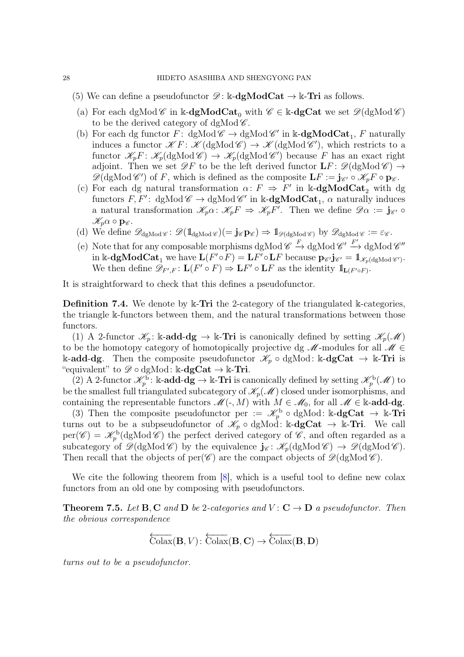- (5) We can define a pseudofunctor  $\mathscr{D}$ : k-dgModCat  $\rightarrow$  k-Tri as follows.
	- (a) For each dgMod  $\mathscr C$  in k-dgModCat<sub>0</sub> with  $\mathscr C \in \mathbb k$ -dgCat we set  $\mathscr D(\mathrm{dgMod}\,\mathscr C)$ to be the derived category of dgMod  $\mathscr{C}$ .
	- (b) For each dg functor  $F:$  dgMod  $\mathscr{C} \to$  dgMod  $\mathscr{C}'$  in k-dgModCat<sub>1</sub>, F naturally induces a functor  $\mathscr{K}F: \mathscr{K}(\mathrm{dgMod}\,\mathscr{C}) \to \mathscr{K}(\mathrm{dgMod}\,\mathscr{C}')$ , which restricts to a functor  $\mathscr{K}_p F: \mathscr{K}_p(\mathrm{dgMod}\,\mathscr{C}) \to \mathscr{K}_p(\mathrm{dgMod}\,\mathscr{C}')$  because F has an exact right adjoint. Then we set  $\mathscr{D}F$  to be the left derived functor  $LF: \mathscr{D}(\text{dgMod }\mathscr{C}) \rightarrow$  $\mathscr{D}(\mathrm{dgMod}\,\mathscr{C}')$  of F, which is defined as the composite  $\mathbf{L}F := \mathbf{j}_{\mathscr{C}'} \circ \mathscr{K}_pF \circ \mathbf{p}_{\mathscr{C}}$ .
	- (c) For each dg natural transformation  $\alpha: F \Rightarrow F'$  in k-dgModCat<sub>2</sub> with dg functors  $F, F'$ : dgMod  $\mathscr{C} \to$  dgMod  $\mathscr{C}'$  in k-**dgModCat**<sub>1</sub>,  $\alpha$  naturally induces a natural transformation  $\mathscr{K}_p\alpha$ :  $\mathscr{K}_pF \Rightarrow \mathscr{K}_pF'$ . Then we define  $\mathscr{D}\alpha := \mathbf{j}_{\mathscr{C}'} \circ$  $\mathscr{K}_p \alpha \circ \mathbf{p}_{\mathscr{C}}.$
	- (d) We define  $\mathscr{D}_{dgMod \mathscr{C}} \colon \mathscr{D}(\mathbb{1}_{dgMod \mathscr{C}}) = \mathbf{j}_{\mathscr{C}} \mathbf{p}_{\mathscr{C}} \Rightarrow \mathbb{1}_{\mathscr{D}(dgMod \mathscr{C})}$  by  $\mathscr{D}_{dgMod \mathscr{C}} := \varepsilon_{\mathscr{C}}$ .
	- (e) Note that for any composable morphisms  $\text{dgMod } \mathscr{C} \xrightarrow{F} \text{dgMod } \mathscr{C}' \xrightarrow{F'} \text{dgMod } \mathscr{C}''$  $\text{in } \mathbb{k}\text{-}\mathbf{dgModCat}_1 \text{ we have } \mathbf{L}(F'\circ F) = \mathbf{L}F'\circ\mathbf{L}F \text{ because } \mathbf{p}_{\mathscr{C}'}\mathbf{j}_{\mathscr{C}'} = \mathbb{1}_{\mathscr{K}_p(\text{dgMod }\mathscr{C}')} .$ We then define  $\mathscr{D}_{F',F} \colon \mathbf{L}(F' \circ F) \Rightarrow \mathbf{L}F' \circ \mathbf{L}F$  as the identity  $1\!\!1_{\mathbf{L}(F' \circ F)}$ .

It is straightforward to check that this defines a pseudofunctor.

<span id="page-27-0"></span>Definition 7.4. We denote by k-Tri the 2-category of the triangulated k-categories, the triangle k-functors between them, and the natural transformations between those functors.

(1) A 2-functor  $\mathscr{K}_p$ : k-add-dg  $\rightarrow$  k-Tri is canonically defined by setting  $\mathscr{K}_p(\mathscr{M})$ to be the homotopy category of homotopically projective dg  $\mathcal{M}$ -modules for all  $\mathcal{M} \in$ k-add-dg. Then the composite pseudofunctor  $\mathcal{K}_p \circ dg\mathcal{M}$  is  $k-dgCat \rightarrow kTri$  is "equivalent" to  $\mathscr{D} \circ \mathrm{dgMod}$ : k-dgCat  $\rightarrow$  k-Tri.

(2) A 2-functor  $\mathscr{K}_p^{\rm b}$ : k-add-dg  $\rightarrow$  k-Tri is canonically defined by setting  $\mathscr{K}_p^{\rm b}(\mathscr{M})$  to be the smallest full triangulated subcategory of  $\mathcal{K}_p(\mathcal{M})$  closed under isomorphisms, and containing the representable functors  $\mathscr{M}(\cdot, M)$  with  $M \in \mathscr{M}_0$ , for all  $\mathscr{M} \in \mathbb{k}$ -add-dg.

(3) Then the composite pseudofunctor per :=  $\mathcal{K}_p^{\text{b}} \circ \text{dgMod}$ : k-dgCat  $\rightarrow$  k-Tri turns out to be a subpseudofunctor of  $\mathscr{K}_p \circ dg\mathrm{Mod}$ : k-dgCat  $\rightarrow$  k-Tri. We call  $per(\mathscr{C}) = \mathscr{K}_p^{\rm b}(\text{dgMod }\mathscr{C})$  the perfect derived category of  $\mathscr{C}$ , and often regarded as a subcategory of  $\mathscr{D}(\mathrm{dgMod}\,\mathscr{C})$  by the equivalence  $\mathbf{j}_{\mathscr{C}}: \mathscr{K}_p(\mathrm{dgMod}\,\mathscr{C}) \to \mathscr{D}(\mathrm{dgMod}\,\mathscr{C})$ . Then recall that the objects of per( $\mathscr{C}$ ) are the compact objects of  $\mathscr{D}(\mathrm{dgMod}\,\mathscr{C})$ .

We cite the following theorem from  $[8]$ , which is a useful tool to define new colax functors from an old one by composing with pseudofunctors.

**Theorem 7.5.** Let **B**, C and **D** be 2-categories and  $V: C \rightarrow D$  a pseudofunctor. Then *the obvious correspondence*

$$
\overleftarrow{\mathrm{Colax}}(\mathbf{B},V)\colon \overleftarrow{\mathrm{Colax}}(\mathbf{B},\mathbf{C})\to \overleftarrow{\mathrm{Colax}}(\mathbf{B},\mathbf{D})
$$

*turns out to be a pseudofunctor.*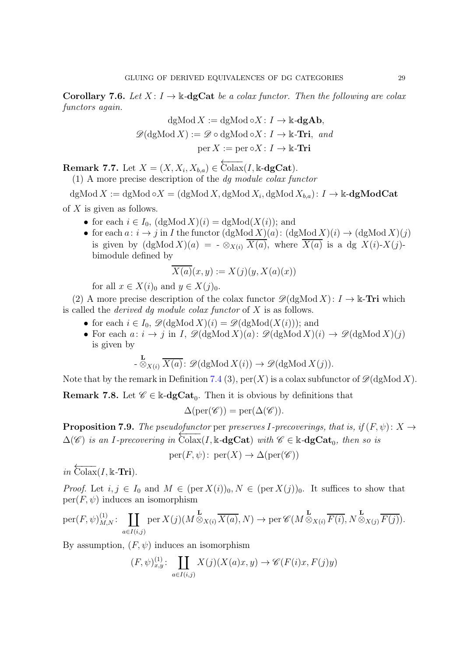**Corollary 7.6.** *Let*  $X: I \to \mathbb{k}$ -**dgCat** *be a colax functor. Then the following are colax functors again.*

$$
dgMod X := dgMod \circ X : I \to \mathbb{k}\text{-}dgAb,
$$
  

$$
\mathscr{D}(dgMod X) := \mathscr{D} \circ dgMod \circ X : I \to \mathbb{k}\text{-}\mathbf{Tri}, and
$$
  

$$
per X := per \circ X : I \to \mathbb{k}\text{-}\mathbf{Tri}
$$

**Remark 7.7.** Let  $X = (X, X_i, X_{b,a}) \in \overleftarrow{\text{Colax}}(I, \mathbb{k}\text{-}\text{dgCat}).$ 

(1) A more precise description of the *dg module colax functor*

dgMod  $X := \text{dgMod} \circ X = (\text{dgMod } X, \text{dgMod } X_i, \text{dgMod } X_{b,a}) : I \to \Bbbk\text{-dgModCat}$ of  $X$  is given as follows.

- for each  $i \in I_0$ ,  $(\text{dgMod } X)(i) = \text{dgMod}(X(i))$ ; and
- for each  $a: i \to j$  in I the functor  $(\text{dgMod } X)(a): (\text{dgMod } X)(i) \to (\text{dgMod } X)(j)$ is given by  $(\text{dgMod } X)(a) = -\otimes_{X(i)} \overline{X(a)}$ , where  $\overline{X(a)}$  is a dg  $X(i)$ - $X(j)$ bimodule defined by

$$
\overline{X(a)}(x,y) := X(j)(y,X(a)(x))
$$

for all  $x \in X(i)_0$  and  $y \in X(j)_0$ .

(2) A more precise description of the colax functor  $\mathscr{D}(\mathrm{dgMod} X): I \to \Bbbk$ -Tri which is called the *derived dg module colax functor* of X is as follows.

- for each  $i \in I_0$ ,  $\mathscr{D}(\text{dgMod } X)(i) = \mathscr{D}(\text{dgMod}(X(i)))$ ; and
- For each  $a: i \to j$  in I,  $\mathscr{D}(\text{dgMod } X)(a): \mathscr{D}(\text{dgMod } X)(i) \to \mathscr{D}(\text{dgMod } X)(j)$ is given by

$$
\text{-} \frac{\mathbf{L}}{\otimes_{X(i)}} \overline{X(a)} : \mathscr{D}(\mathrm{dgMod}\,X(i)) \to \mathscr{D}(\mathrm{dgMod}\,X(j)).
$$

Note that by the remark in Definition [7.4](#page-27-0) (3),  $per(X)$  is a colax subfunctor of  $\mathscr{D}(\mathrm{dgMod}\,X)$ .

**Remark 7.8.** Let  $\mathscr{C} \in \mathbb{k}$ -**dgCat**<sub>0</sub>. Then it is obvious by definitions that

$$
\Delta(\mathrm{per}(\mathscr{C})) = \mathrm{per}(\Delta(\mathscr{C})).
$$

<span id="page-28-0"></span>**Proposition 7.9.** *The pseudofunctor* per *preserves I*-precoverings, that is, if  $(F, \psi)$ :  $X \rightarrow$  $\Delta(\mathscr{C})$  *is an I-precovering in*  $\overline{\text{Colax}}(I, \mathbb{k} - \text{dgCat})$  *with*  $\mathscr{C} \in \mathbb{k} - \text{dgCat}_0$ , then so is

$$
per(F, \psi) \colon per(X) \to \Delta(per(\mathscr{C}))
$$

 $in \overleftarrow{\text{Colax}}(I, \mathbb{k}$ -**Tri**).

*Proof.* Let  $i, j \in I_0$  and  $M \in (\text{per } X(i))_0, N \in (\text{per } X(j))_0$ . It suffices to show that  $per(F, \psi)$  induces an isomorphism

$$
\mathrm{per}(F,\psi)_{M,N}^{(1)}\colon \coprod_{a\in I(i,j)} \mathrm{per}\, X(j)(M\otimes_{X(i)} \overline{X(a)},N) \to \mathrm{per}\,\mathscr{C}(M\otimes_{X(i)} \overline{F(i)},N\otimes_{X(j)} \overline{F(j)}).
$$

By assumption,  $(F, \psi)$  induces an isomorphism

$$
(F,\psi)_{x,y}^{(1)}\colon \coprod_{a\in I(i,j)} X(j)(X(a)x,y) \to \mathscr{C}(F(i)x,F(j)y)
$$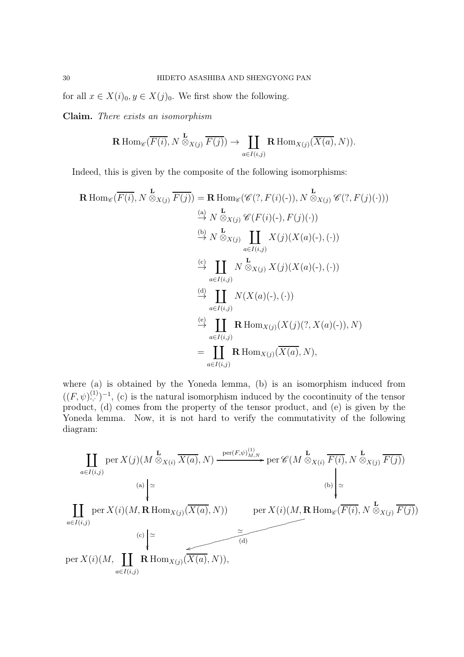for all  $x \in X(i)_0, y \in X(j)_0$ . We first show the following.

Claim. *There exists an isomorphism*

$$
\mathbf{R} \operatorname{Hom}_{\mathscr{C}}(\overline{F(i)}, N \overset{\mathbf{L}}{\otimes}_{X(j)} \overline{F(j)}) \to \coprod_{a \in I(i,j)} \mathbf{R} \operatorname{Hom}_{X(j)}(\overline{X(a)}, N)).
$$

Indeed, this is given by the composite of the following isomorphisms:

$$
\mathbf{R} \operatorname{Hom}_{\mathscr{C}}(\overline{F(i)}, N \overset{\mathbf{L}}{\otimes}_{X(j)} \overline{F(j)}) = \mathbf{R} \operatorname{Hom}_{\mathscr{C}}(\mathscr{C}(?, F(i)(-)), N \overset{\mathbf{L}}{\otimes}_{X(j)} \mathscr{C}(?, F(j)(\cdot)))
$$
\n
$$
\overset{(a)}{\rightarrow} N \overset{\mathbf{L}}{\otimes}_{X(j)} \mathscr{C}(F(i)(-), F(j)(\cdot))
$$
\n
$$
\overset{(b)}{\rightarrow} N \overset{\mathbf{L}}{\otimes}_{X(j)} \coprod_{a \in I(i,j)} X(j)(X(a)(-), (\cdot))
$$
\n
$$
\overset{(c)}{\rightarrow} \coprod_{a \in I(i,j)} N \overset{\mathbf{L}}{\otimes}_{X(j)} X(j)(X(a)(-), (\cdot))
$$
\n
$$
\overset{(d)}{\rightarrow} \coprod_{a \in I(i,j)} N(X(a)(-), (\cdot))
$$
\n
$$
\overset{(e)}{\rightarrow} \coprod_{a \in I(i,j)} \mathbf{R} \operatorname{Hom}_{X(j)}(X(j)(?, X(a)(-)), N)
$$
\n
$$
= \coprod_{a \in I(i,j)} \mathbf{R} \operatorname{Hom}_{X(j)}(\overline{X(a)}, N),
$$

where (a) is obtained by the Yoneda lemma, (b) is an isomorphism induced from  $((F,\psi)^{(1)}_{\cdot,\cdot})^{-1}$ , (c) is the natural isomorphism induced by the cocontinuity of the tensor product, (d) comes from the property of the tensor product, and (e) is given by the Yoneda lemma. Now, it is not hard to verify the commutativity of the following diagram:

$$
\coprod_{a \in I(i,j)} \text{per } X(j)(M \overset{\mathbf{L}}{\otimes}_{X(i)} \overline{X(a)}, N) \xrightarrow{\text{per}(F, \psi)^{(1)}_{M,N}} \text{per } \mathcal{C}(M \overset{\mathbf{L}}{\otimes}_{X(i)} \overline{F(i)}, N \overset{\mathbf{L}}{\otimes}_{X(j)} \overline{F(j)})
$$
\n(a)\n
$$
\begin{array}{c}\n\text{(a)} \downarrow \cong \\
\downarrow \downarrow \qquad \qquad \text{(b)} \downarrow \cong \\
\coprod_{a \in I(i,j)} \text{per } X(i)(M, \mathbf{R} \operatorname{Hom}_{X(j)}(\overline{X(a)}, N)) \qquad \text{per } X(i)(M, \mathbf{R} \operatorname{Hom}_{\mathcal{C}}(\overline{F(i)}, N \overset{\mathbf{L}}{\otimes}_{X(j)} \overline{F(j)}) \\
\downarrow \cong \\
\text{per } X(i)(M, \coprod_{a \in I(i,j)} \mathbf{R} \operatorname{Hom}_{X(j)}(\overline{X(a)}, N)),\n\end{array}
$$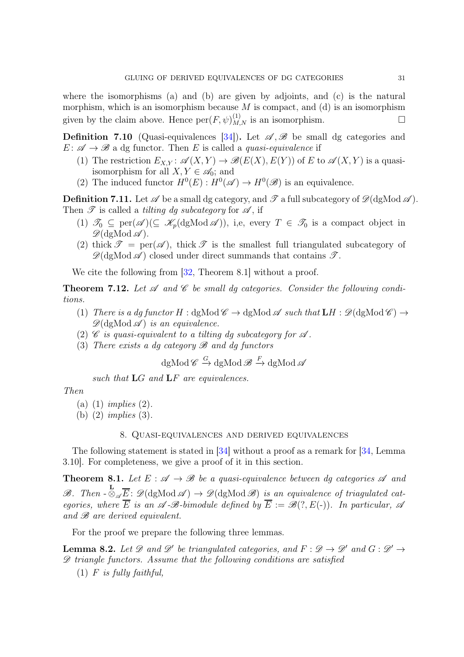where the isomorphisms (a) and (b) are given by adjoints, and (c) is the natural morphism, which is an isomorphism because  $M$  is compact, and (d) is an isomorphism given by the claim above. Hence  $\text{per}(F, \psi)^{(1)}_{M,N}$  is an isomorphism.

<span id="page-30-2"></span>**Definition 7.10** (Quasi-equivalences [\[34\]](#page-59-3)). Let  $\mathscr{A}, \mathscr{B}$  be small dg categories and  $E: \mathscr{A} \to \mathscr{B}$  a dg functor. Then E is called a *quasi-equivalence* if

- (1) The restriction  $E_{X,Y}$ :  $\mathscr{A}(X,Y) \to \mathscr{B}(E(X),E(Y))$  of E to  $\mathscr{A}(X,Y)$  is a quasiisomorphism for all  $X, Y \in \mathscr{A}_0$ ; and
- (2) The induced functor  $H^0(E) : H^0(\mathscr{A}) \to H^0(\mathscr{B})$  is an equivalence.

<span id="page-30-4"></span>**Definition 7.11.** Let  $\mathscr A$  be a small dg category, and  $\mathscr T$  a full subcategory of  $\mathscr D(\mathrm{dgMod}\,\mathscr A)$ . Then  $\mathscr T$  is called a *tilting dg subcategory* for  $\mathscr A$ , if

- (1)  $\mathscr{T}_0 \subseteq \text{per}(\mathscr{A}) (\subseteq \mathscr{K}_p(\text{dgMod}\,\mathscr{A}))$ , i,e, every  $T \in \mathscr{T}_0$  is a compact object in  $\mathscr{D}(\mathrm{dgMod}\,\mathscr{A}).$
- (2) thick  $\mathscr{T} = \text{per}(\mathscr{A})$ , thick  $\mathscr{T}$  is the smallest full triangulated subcategory of  $\mathscr{D}(\mathrm{dgMod}\,\mathscr{A})$  closed under direct summands that contains  $\mathscr{T}$ .

We cite the following from  $[32,$  Theorem 8.1] without a proof.

**Theorem 7.12.** Let  $\mathscr A$  and  $\mathscr C$  be small dg categories. Consider the following condi*tions.*

- (1) *There is a dg functor*  $H : dgMod \mathscr{C} \to dgMod \mathscr{A}$  *such that*  $LH : \mathscr{D}(dgMod \mathscr{C}) \to$  $\mathscr{D}(\mathrm{dgMod} \mathscr{A})$  *is an equivalence.*
- (2) C *is quasi-equivalent to a tilting dg subcategory for*  $\mathscr A$ .
- (3) *There exists a dg category* B *and dg functors*

 $\mathrm{dgMod\,}\mathscr{C}\xrightarrow{G}\mathrm{dgMod\,}\mathscr{B}\xrightarrow{F}\mathrm{dgMod\,}\mathscr{A}$ 

*such that* LG *and* LF *are equivalences.*

### *Then*

- (a) (1) *implies* (2)*.*
- <span id="page-30-0"></span>(b) (2) *implies* (3)*.*

# 8. Quasi-equivalences and derived equivalences

The following statement is stated in [\[34\]](#page-59-3) without a proof as a remark for [\[34,](#page-59-3) Lemma 3.10]. For completeness, we give a proof of it in this section.

<span id="page-30-1"></span>**Theorem 8.1.** Let  $E : \mathcal{A} \to \mathcal{B}$  be a quasi-equivalence between dg categories  $\mathcal{A}$  and  $\mathscr{B}$ . Then  $\cdot \mathscr{D}_{\mathscr{A}}\overline{E}$ :  $\mathscr{D}(\text{dgMod }\mathscr{A}) \to \mathscr{D}(\text{dgMod }\mathscr{B})$  *is an equivalence of triagulated categories, where*  $\overline{E}$  *is an*  $\mathscr{A}$ - $\mathscr{B}$ -bimodule defined by  $\overline{E} := \mathscr{B}(?, E(-))$ *. In particular,*  $\mathscr{A}$ *and* B *are derived equivalent.*

For the proof we prepare the following three lemmas.

<span id="page-30-3"></span>**Lemma 8.2.** Let  $\mathscr D$  and  $\mathscr D'$  be triangulated categories, and  $F : \mathscr D \to \mathscr D'$  and  $G : \mathscr D' \to$ D *triangle functors. Assume that the following conditions are satisfied*

(1) F *is fully faithful,*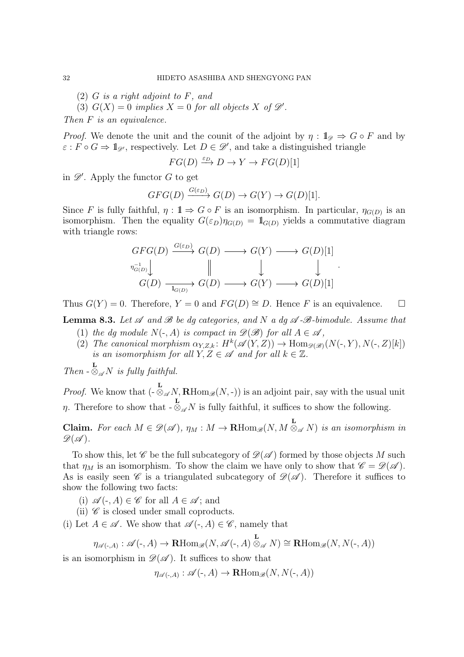- (2) G *is a right adjoint to* F*, and*
- (3)  $G(X) = 0$  *implies*  $X = 0$  *for all objects*  $X$  *of*  $\mathscr{D}'$ *.*

*Then* F *is an equivalence.*

*Proof.* We denote the unit and the counit of the adjoint by  $\eta : \mathbb{1}_{\mathscr{D}} \Rightarrow G \circ F$  and by  $\varepsilon : F \circ G \Rightarrow \mathbb{1}_{\mathscr{D}}$ , respectively. Let  $D \in \mathscr{D}'$ , and take a distinguished triangle

$$
FG(D) \xrightarrow{\varepsilon_D} D \to Y \to FG(D)[1]
$$

in  $\mathscr{D}'$ . Apply the functor G to get

$$
GFG(D) \xrightarrow{G(\varepsilon_D)} G(D) \to G(Y) \to G(D)[1].
$$

Since F is fully faithful,  $\eta : \mathbb{1} \to G \circ F$  is an isomorphism. In particular,  $\eta_{G(D)}$  is an isomorphism. Then the equality  $G(\varepsilon_D)\eta_{G(D)} = 1\!\!\mathbb{1}_{G(D)}$  yields a commutative diagram with triangle rows:

$$
\begin{array}{ccc}\nGFG(D) & \xrightarrow{G(\varepsilon_D)} G(D) & \longrightarrow & G(Y) & \longrightarrow & G(D)[1] \\
\downarrow^{n_{G(D)}^{-1}} & & & & \downarrow & & \downarrow \\
G(D) & \xrightarrow{\phantom{G(D)} \qquad \qquad } G(D) & \longrightarrow & G(Y) & \longrightarrow & G(D)[1]\n\end{array}
$$

.

Thus  $G(Y) = 0$ . Therefore,  $Y = 0$  and  $FG(D) \cong D$ . Hence F is an equivalence.  $\square$ 

<span id="page-31-0"></span>**Lemma 8.3.** Let  $\mathscr A$  and  $\mathscr B$  be dg categories, and N a dg  $\mathscr A$ - $\mathscr B$ -bimodule. Assume that (1) *the dg module*  $N(-, A)$  *is compact in*  $\mathscr{D}(\mathscr{B})$  *for all*  $A \in \mathscr{A}$ *,* 

(2) *The canonical morphism*  $\alpha_{Y,Z,k}$ :  $H^k(\mathscr{A}(Y,Z)) \to \text{Hom}_{\mathscr{D}(\mathscr{B})}(N(\text{-}, Y), N(\text{-}, Z)[k])$ *is an isomorphism for all*  $Y, Z \in \mathcal{A}$  *and for all*  $k \in \mathbb{Z}$ *.* 

*Then*  $-\otimes_{\mathscr{A}} N$  *is fully faithful.* 

*Proof.* We know that  $\left(-\frac{\partial}{\partial \mathscr{A}}N, \mathbf{R}\text{Hom}_{\mathscr{B}}(N, \cdot)\right)$  is an adjoint pair, say with the usual unit  $\eta$ . Therefore to show that -L  $\otimes_{\mathscr{A}} N$  is fully faithful, it suffices to show the following.

**Claim.** For each  $M \in \mathscr{D}(\mathscr{A})$ ,  $\eta_M : M \to \mathbf{R}\text{Hom}_{\mathscr{B}}(N, M \overset{\mathbf{L}}{\otimes}_{\mathscr{A}} N)$  is an isomorphism in  $\mathscr{D}(\mathscr{A})$ .

To show this, let  $\mathscr C$  be the full subcategory of  $\mathscr D(\mathscr A)$  formed by those objects M such that  $\eta_M$  is an isomorphism. To show the claim we have only to show that  $\mathscr{C} = \mathscr{D}(\mathscr{A})$ . As is easily seen  $\mathscr C$  is a triangulated subcategory of  $\mathscr D(\mathscr A)$ . Therefore it suffices to show the following two facts:

- (i)  $\mathscr{A}(\text{-}, A) \in \mathscr{C}$  for all  $A \in \mathscr{A}$ ; and
- (ii)  $\mathscr C$  is closed under small coproducts.
- (i) Let  $A \in \mathscr{A}$ . We show that  $\mathscr{A}(\cdot, A) \in \mathscr{C}$ , namely that

$$
\eta_{\mathscr{A}(\text{-},A)} : \mathscr{A}(\text{-},A) \to \mathbf{R}\mathrm{Hom}_{\mathscr{B}}(N,\mathscr{A}(\text{-},A) \overset{\mathbf{L}}{\otimes}_{\mathscr{A}} N) \cong \mathbf{R}\mathrm{Hom}_{\mathscr{B}}(N,N(\text{-},A))
$$

is an isomorphism in  $\mathscr{D}(\mathscr{A})$ . It suffices to show that

 $\eta_{\mathscr{A}(\cdot,A)} : \mathscr{A}(\cdot,A) \to \mathbf{R}\mathrm{Hom}_{\mathscr{B}}(N,N(\cdot,A))$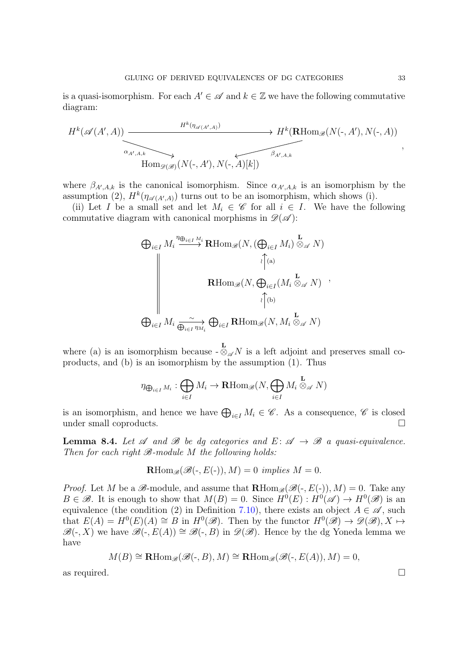is a quasi-isomorphism. For each  $A' \in \mathscr{A}$  and  $k \in \mathbb{Z}$  we have the following commutative diagram:

$$
H^k(\mathscr{A}(A',A)) \xrightarrow{\qquad \qquad H^k(\eta_{\mathscr{A}(A',A)})} H^k(\mathbf{R}\text{Hom}_{\mathscr{B}}(N(\text{-},A'),N(\text{-},A))
$$
\n
$$
\xrightarrow{\alpha_{A',A,k}} \text{Hom}_{\mathscr{B}(\mathscr{B})}(N(\text{-},A'),N(\text{-},A)[k])
$$

where  $\beta_{A',A,k}$  is the canonical isomorphism. Since  $\alpha_{A',A,k}$  is an isomorphism by the assumption (2),  $H^k(\eta_{\mathscr{A}(A',A)})$  turns out to be an isomorphism, which shows (i).

(ii) Let I be a small set and let  $M_i \in \mathscr{C}$  for all  $i \in I$ . We have the following commutative diagram with canonical morphisms in  $\mathscr{D}(\mathscr{A})$ :

$$
\bigoplus_{i \in I} M_i \stackrel{\eta_{\bigoplus_{i \in I} M_i}}{\longrightarrow} \text{RHom}_{\mathscr{B}}(N, (\bigoplus_{i \in I} M_i) \stackrel{\mathbf{L}}{\otimes_{\mathscr{A}} N})
$$
\n
$$
\downarrow^{\uparrow}(\mathbf{a})
$$
\n
$$
\text{RHom}_{\mathscr{B}}(N, \bigoplus_{i \in I} (M_i \stackrel{\mathbf{L}}{\otimes_{\mathscr{A}} N}) \stackrel{\mathbf{L}}{\longrightarrow}
$$
\n
$$
\bigoplus_{i \in I} M_i \stackrel{\sim}{\underset{\bigoplus_{i \in I} \eta_{M_i}}{\longrightarrow}} \bigoplus_{i \in I} \text{RHom}_{\mathscr{B}}(N, M_i \stackrel{\mathbf{L}}{\otimes_{\mathscr{A}} N})
$$

where (a) is an isomorphism because - L  $\otimes_{\mathscr{A}} N$  is a left adjoint and preserves small coproducts, and (b) is an isomorphism by the assumption (1). Thus

$$
\eta_{\bigoplus_{i \in I} M_i}: \bigoplus_{i \in I} M_i \to \mathbf{R}\mathrm{Hom}_{\mathscr{B}}(N, \bigoplus_{i \in I} M_i \overset{\mathbf{L}}{\otimes}_{\mathscr{A}} N)
$$

is an isomorphism, and hence we have  $\bigoplus_{i\in I} M_i \in \mathscr{C}$ . As a consequence,  $\mathscr{C}$  is closed under small coproducts.  $\Box$ 

<span id="page-32-0"></span>**Lemma 8.4.** Let  $\mathscr A$  and  $\mathscr B$  be dg categories and  $E: \mathscr A \to \mathscr B$  a quasi-equivalence. *Then for each right*  $\mathcal{B}\text{-module }M$  *the following holds:* 

$$
\operatorname{RHom}_{\mathscr{B}}(\mathscr{B}(\text{-}, E(\text{-})), M) = 0 \implies M = 0.
$$

*Proof.* Let M be a  $\mathscr{B}\text{-module}$ , and assume that  $\mathbf{R}\text{Hom}_{\mathscr{B}}(\mathscr{B}(\text{-}, E(\text{-})), M) = 0$ . Take any  $B \in \mathscr{B}$ . It is enough to show that  $M(B) = 0$ . Since  $H^0(E) : H^0(\mathscr{A}) \to H^0(\mathscr{B})$  is an equivalence (the condition (2) in Definition [7.10\)](#page-30-2), there exists an object  $A \in \mathscr{A}$ , such that  $E(A) = H^0(E)(A) \cong B$  in  $H^0(\mathscr{B})$ . Then by the functor  $H^0(\mathscr{B}) \to \mathscr{D}(\mathscr{B}), X \mapsto$  $\mathscr{B}(-, X)$  we have  $\mathscr{B}(-, E(A)) \cong \mathscr{B}(-, B)$  in  $\mathscr{D}(\mathscr{B})$ . Hence by the dg Yoneda lemma we have

$$
M(B) \cong \mathbf{R}\mathrm{Hom}_{\mathscr{B}}(\mathscr{B}(\text{-},B),M) \cong \mathbf{R}\mathrm{Hom}_{\mathscr{B}}(\mathscr{B}(\text{-},E(A)),M) = 0,
$$

as required.  $\square$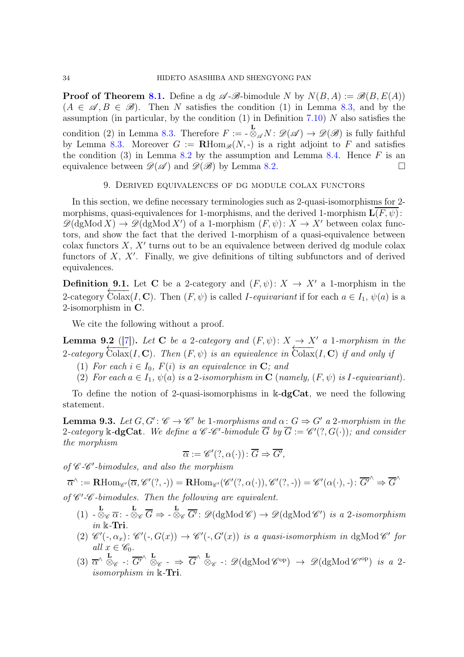<span id="page-33-0"></span>**Proof of Theorem [8.1.](#page-30-1)** Define a dg  $\mathscr{A}\text{-}\mathscr{B}\text{-}\text{bimodule }N$  by  $N(B, A) := \mathscr{B}(B, E(A))$  $(A \in \mathscr{A}, B \in \mathscr{B})$ . Then N satisfies the condition (1) in Lemma [8.3,](#page-31-0) and by the assumption (in particular, by the condition  $(1)$  in Definition  $(7.10)$  $(7.10)$ ) N also satisfies the condition (2) in Lemma [8.3.](#page-31-0) Therefore  $F := -6$  $\bigotimes_{\mathscr{A}}^{\mathbf{L}} N : \mathscr{D}(\mathscr{A}) \to \mathscr{D}(\mathscr{B})$  is fully faithful by Lemma [8.3.](#page-31-0) Moreover  $G := \mathbf{R} \text{Hom}_{\mathscr{B}}(N, \cdot)$  is a right adjoint to F and satisfies the condition (3) in Lemma [8.2](#page-30-3) by the assumption and Lemma [8.4.](#page-32-0) Hence  $F$  is an equivalence between  $\mathscr{D}(\mathscr{A})$  and  $\mathscr{D}(\mathscr{B})$  by Lemma [8.2.](#page-30-3)

### 9. Derived equivalences of dg module colax functors

<span id="page-33-1"></span>In this section, we define necessary terminologies such as 2-quasi-isomorphisms for 2 morphisms, quasi-equivalences for 1-morphisms, and the derived 1-morphism  $\mathbf{L}(F, \psi)$ :  $\mathscr{D}(\text{dgMod } X) \to \mathscr{D}(\text{dgMod } X')$  of a 1-morphism  $(F, \psi) \colon X \to X'$  between colax functors, and show the fact that the derived 1-morphism of a quasi-equivalence between  $\text{colax functors } X, X' \text{ turns out to be an equivalence between derived dg module colax.}$ functors of  $X$ ,  $X'$ . Finally, we give definitions of tilting subfunctors and of derived equivalences.

**Definition 9.1.** Let C be a 2-category and  $(F, \psi): X \to X'$  a 1-morphism in the  $\frac{1}{2}$ -category  $\overline{\text{Colax}}(I, \mathbf{C})$ . Then  $(F, \psi)$  is called *I-equivariant* if for each  $a \in I_1$ ,  $\psi(a)$  is a 2-isomorphism in C.

We cite the following without a proof.

<span id="page-33-3"></span>**Lemma 9.2** ([\[7\]](#page-58-6)). Let **C** be a 2-category and  $(F, \psi): X \to X'$  a 1*-morphism in the*  $\frac{2-\alpha}{\alpha}$  Colax(I, C). Then  $(F, \psi)$  is an equivalence in  $\overline{\text{Colax}}(I, C)$  *if and only if* 

- (1) *For each*  $i \in I_0$ *, F(i) is an equivalence in* **C***; and*
- (2) *For each*  $a \in I_1$ ,  $\psi(a)$  *is a* 2*-isomorphism in* **C** (*namely,*  $(F, \psi)$  *is I-equivariant*).

To define the notion of 2-quasi-isomorphisms in  $\mathbb{k}$ -dgCat, we need the following statement.

<span id="page-33-2"></span>**Lemma 9.3.** Let  $G, G' : \mathscr{C} \to \mathscr{C}'$  be 1*-morphisms and*  $\alpha : G \Rightarrow G'$  a 2*-morphism in the* 2-category  $\Bbbk$ -dgCat. We define a C-C'-bimodule  $\overline{G}$  by  $\overline{G} := \mathscr{C}'(?, G(·))$ ; and consider *the morphism*

$$
\overline{\alpha} := \mathscr{C}'(?, \alpha(\cdot)) : \overline{G} \Rightarrow \overline{G'},
$$

*of* C *-*C ′ *-bimodules, and also the morphism*

 $\overline{\alpha}^{\wedge} := \mathbf{R}\mathrm{Hom}_{\mathscr{C}'}(\overline{\alpha},\mathscr{C}'(?,\cdot)) = \mathbf{R}\mathrm{Hom}_{\mathscr{C}'}(\mathscr{C}'(?,\alpha(\cdot)),\mathscr{C}'(?,\cdot)) = \mathscr{C}'(\alpha(\cdot),\cdot): \overline{G'}^{\wedge} \Rightarrow \overline{G}^{\wedge}$ 

of  $\mathscr{C}'$ - $\mathscr{C}$ -bimodules. Then the following are equivalent.

- $(1)$   $\begin{array}{c} \text{L} \\ \sim \mathbb{Q}_{\mathscr{C}} \overline{\alpha} \\ \cdot \end{array} \begin{array}{c} \text{L} \\ \sim \mathbb{Q}_{\mathscr{C}} \end{array} \begin{array}{c} \text{L} \\ \overline{\mathsf{G}'} \\ \cdot \end{array}$   $\mathscr{D}(\text{dgMod } \mathscr{C}) \rightarrow \mathscr{D}(\text{dgMod } \mathscr{C}')$  *is a* 2*-isomorphism in* k*-*Tri*.*
- (2)  $\mathscr{C}'(-, \alpha_x)$ :  $\mathscr{C}'(-, G(x)) \to \mathscr{C}'(-, G'(x))$  *is a quasi-isomorphism in* dgMod  $\mathscr{C}'$  for  $all \ x \in \mathscr{C}_0.$
- $(3)$   $\overline{\alpha}^{\wedge} \overset{\mathbf{L}}{\otimes}_{\mathscr{C}} \cdot : \overline{G'}^{\wedge} \overset{\mathbf{L}}{\otimes}_{\mathscr{C}} \cdot \Rightarrow \overline{G}^{\wedge} \overset{\mathbf{L}}{\otimes}_{\mathscr{C}} \cdot : \mathscr{D}(\mathrm{dgMod} \mathscr{C}^{\mathrm{op}}) \rightarrow \mathscr{D}(\mathrm{dgMod} \mathscr{C}'^{\mathrm{op}}) \text{ is a 2$ *isomorphism in* k*-*Tri*.*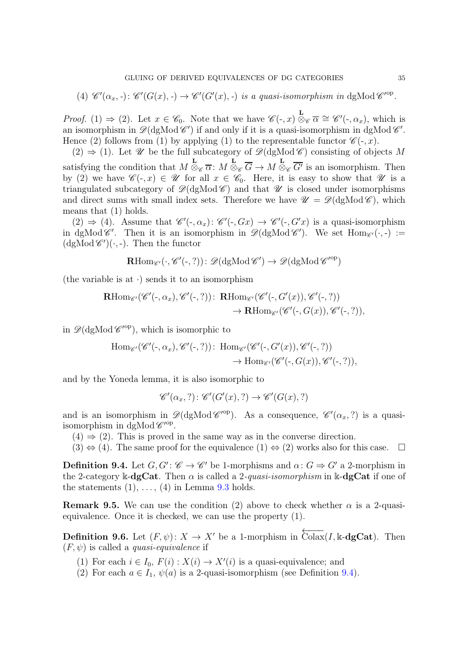(4) 
$$
\mathscr{C}'(\alpha_x, \cdot): \mathscr{C}'(G(x), \cdot) \to \mathscr{C}'(G'(x), \cdot)
$$
 is a quasi-isomorphism in dgMod  $\mathscr{C}'^{op}$ .

*Proof.* (1)  $\Rightarrow$  (2). Let  $x \in \mathscr{C}_0$ . Note that we have  $\mathscr{C}(\text{-},x) \otimes_{\mathscr{C}} \overline{\alpha} \cong \mathscr{C}'(\text{-},\alpha_x)$ , which is an isomorphism in  $\mathscr{D}(\text{dgMod } \mathscr{C}')$  if and only if it is a quasi-isomorphism in dgMod  $\mathscr{C}'$ . Hence (2) follows from (1) by applying (1) to the representable functor  $\mathscr{C}(-,x)$ .

 $(2) \Rightarrow (1)$ . Let U be the full subcategory of  $\mathscr{D}(\text{dgMod } \mathscr{C})$  consisting of objects M satisfying the condition that M L  $\otimes_{\mathscr{C}} \overline{\alpha}$ : M L ⊗<sub>C</sub>  $G \to M$  $\frac{\mathbf{L}}{\otimes_{\mathscr{C}} \overline{G'}}$  is an isomorphism. Then by (2) we have  $\mathscr{C}(-,x) \in \mathscr{U}$  for all  $x \in \mathscr{C}_0$ . Here, it is easy to show that  $\mathscr{U}$  is a triangulated subcategory of  $\mathcal{D}(dg\text{Mod }\mathcal{C})$  and that  $\mathcal U$  is closed under isomorphisms and direct sums with small index sets. Therefore we have  $\mathcal{U} = \mathcal{D}(\mathrm{dgMod}\,\mathscr{C})$ , which means that (1) holds.

 $(2) \Rightarrow (4)$ . Assume that  $\mathscr{C}'(\cdot, \alpha_x) \colon \mathscr{C}'(\cdot, Gx) \to \mathscr{C}'(\cdot, G'x)$  is a quasi-isomorphism in dgMod  $\mathscr{C}'$ . Then it is an isomorphism in  $\mathscr{D}(\mathrm{dgMod}\,\mathscr{C}')$ . We set  $\mathrm{Hom}_{\mathscr{C}'}(\cdot,\cdot) :=$  $(\text{dgMod }\mathscr{C}')(\cdot, -)$ . Then the functor

$$
\operatorname{\mathbf{R}Hom}\nolimits_{\mathscr{C}'}(\cdot, \mathscr{C}'(\cdot, ?))\colon \mathscr{D}(\operatorname{dgMod}\nolimits \mathscr{C}') \to \mathscr{D}(\operatorname{dgMod}\nolimits \mathscr{C}'^{op})
$$

(the variable is at  $\cdot$ ) sends it to an isomorphism

$$
\mathbf{R}\mathrm{Hom}_{\mathscr{C}'}(\mathscr{C}'(\text{-},\alpha_x),\mathscr{C}'(\text{-},?))\colon \mathbf{R}\mathrm{Hom}_{\mathscr{C}'}(\mathscr{C}'(\text{-},G'(x)),\mathscr{C}'(\text{-},?))\to\mathbf{R}\mathrm{Hom}_{\mathscr{C}'}(\mathscr{C}'(\text{-},G(x)),\mathscr{C}'(\text{-},?)),
$$

in  $\mathscr{D}(\text{dgMod } \mathscr{C}'^{\text{op}})$ , which is isomorphic to

$$
\text{Hom}_{\mathscr{C}'}(\mathscr{C}'(\text{-},\alpha_x),\mathscr{C}'(\text{-},?))\colon \text{Hom}_{\mathscr{C}'}(\mathscr{C}'(\text{-},G'(x)),\mathscr{C}'(\text{-},?))\to \text{Hom}_{\mathscr{C}'}(\mathscr{C}'(\text{-},G(x)),\mathscr{C}'(\text{-},?)),
$$

and by the Yoneda lemma, it is also isomorphic to

$$
\mathscr{C}'(\alpha_x, ?): \mathscr{C}'(G'(x), ?) \to \mathscr{C}'(G(x), ?)
$$

and is an isomorphism in  $\mathscr{D}(\text{dgMod } \mathscr{C}'^{\text{op}})$ . As a consequence,  $\mathscr{C}'(\alpha_x, ?)$  is a quasiisomorphism in dgMod  $\mathscr{C}'^{op}$ .

- $(4) \Rightarrow (2)$ . This is proved in the same way as in the converse direction.
- $(3) \Leftrightarrow (4)$ . The same proof for the equivalence  $(1) \Leftrightarrow (2)$  works also for this case.  $\Box$

<span id="page-34-0"></span>**Definition 9.4.** Let  $G, G' : \mathscr{C} \to \mathscr{C}'$  be 1-morphisms and  $\alpha : G \Rightarrow G'$  a 2-morphism in the 2-category k-dgCat. Then  $\alpha$  is called a 2-quasi-isomorphism in k-dgCat if one of the statements  $(1), \ldots, (4)$  in Lemma [9.3](#page-33-2) holds.

**Remark 9.5.** We can use the condition (2) above to check whether  $\alpha$  is a 2-quasiequivalence. Once it is checked, we can use the property (1).

<span id="page-34-1"></span>**Definition 9.6.** Let  $(F, \psi)$ :  $X \to X'$  be a 1-morphism in  $\overline{\text{Colax}}(I, \mathbb{k} - \text{dgCat})$ . Then  $(F, \psi)$  is called a *quasi-equivalence* if

- (1) For each  $i \in I_0$ ,  $F(i) : X(i) \to X'(i)$  is a quasi-equivalence; and
- (2) For each  $a \in I_1$ ,  $\psi(a)$  is a 2-quasi-isomorphism (see Definition [9.4\)](#page-34-0).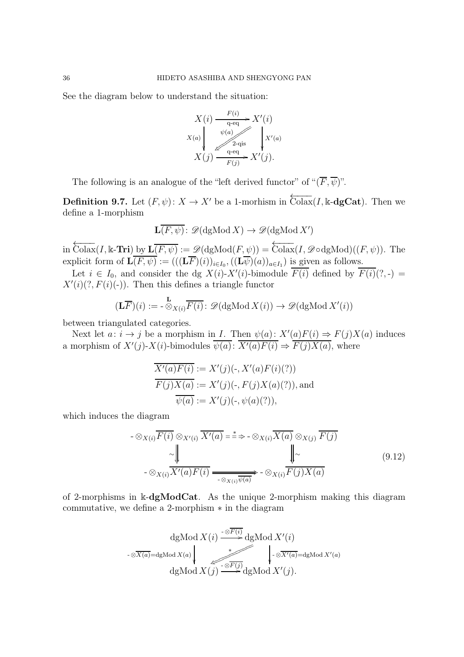See the diagram below to understand the situation:

$$
X(i) \xrightarrow[\text{q-eq}]{F(i)} X'(i)
$$
  

$$
X(a) \downarrow \qquad \qquad \downarrow \qquad \downarrow \qquad \downarrow \qquad \downarrow \qquad \downarrow \qquad \downarrow \qquad \downarrow \qquad \downarrow \qquad \downarrow \qquad \downarrow \qquad \downarrow \qquad \downarrow \qquad \downarrow \qquad \downarrow \qquad \downarrow \qquad \downarrow \qquad \downarrow \qquad \downarrow \qquad \downarrow \qquad \downarrow \qquad \downarrow \qquad \downarrow \qquad \downarrow \qquad \downarrow \qquad \downarrow \qquad \downarrow \qquad \downarrow \qquad \downarrow \qquad \downarrow \qquad \downarrow \qquad \downarrow \qquad \downarrow \qquad \downarrow \qquad \downarrow \qquad \downarrow \qquad \downarrow \qquad \downarrow \qquad \downarrow \qquad \downarrow \qquad \downarrow \qquad \downarrow \qquad \downarrow \qquad \downarrow \qquad \downarrow \qquad \downarrow \qquad \downarrow \qquad \downarrow \qquad \downarrow \qquad \downarrow \qquad \downarrow \qquad \downarrow \qquad \downarrow \qquad \downarrow \qquad \downarrow \qquad \downarrow \qquad \downarrow \qquad \downarrow \qquad \downarrow \qquad \downarrow \qquad \downarrow \qquad \downarrow \qquad \downarrow \qquad \downarrow \qquad \downarrow \qquad \downarrow \qquad \downarrow \qquad \downarrow \qquad \downarrow \qquad \downarrow \qquad \downarrow \qquad \downarrow \qquad \downarrow \qquad \downarrow \qquad \downarrow \qquad \downarrow \qquad \downarrow \qquad \downarrow \qquad \downarrow \qquad \downarrow \qquad \downarrow \qquad \downarrow \qquad \downarrow \qquad \downarrow \qquad \downarrow \qquad \downarrow \qquad \downarrow \qquad \downarrow \qquad \downarrow \qquad \downarrow \qquad \downarrow \qquad \downarrow \qquad \downarrow \qquad \downarrow \qquad \downarrow \qquad \downarrow \qquad \downarrow \qquad \downarrow \qquad \downarrow \qquad \downarrow \qquad \downarrow \qquad \downarrow \qquad \downarrow \qquad \downarrow \qquad \downarrow \qquad \downarrow \qquad \downarrow \qquad \downarrow \qquad \downarrow \qquad \downarrow \qquad \downarrow \qquad \downarrow \qquad \downarrow \qquad \downarrow \qquad \downarrow \qquad \downarrow \qquad \downarrow \qquad \downarrow \qquad \downarrow \qquad \downarrow \qquad \downarrow
$$

The following is an analogue of the "left derived functor" of " $(\overline{F}, \overline{\psi})$ ".

**Definition 9.7.** Let  $(F, \psi)$ :  $X \to X'$  be a 1-morhism in  $\overline{\text{Colax}}(I, \mathbb{k} - \text{dgCat})$ . Then we define a 1-morphism

$$
\mathbf{L}(\overline{F,\psi})\colon \mathscr{D}(\mathrm{dgMod}\,X)\to \mathscr{D}(\mathrm{dgMod}\,X')
$$

in  $\overleftarrow{\text{Colax}}(I,\Bbbk\text{-}\text{Tri})$  by  $\mathbf{L}(\overline{F,\psi}) := \mathscr{D}(\text{dgMod}(F,\psi)) = \overleftarrow{\text{Colax}}(I,\mathscr{D}\text{odgMod})((F,\psi))$ . The explicit form of  $\mathbf{L}(F,\psi) := (((\mathbf{L}F)(i))_{i \in I_0}, ((\mathbf{L}\psi)(a))_{a \in I_1})$  is given as follows.

Let  $i \in I_0$ , and consider the dg  $X(i)$ - $X'(i)$ -bimodule  $\overline{F(i)}$  defined by  $\overline{F(i)}(?, -) =$  $X'(i)(?, F(i)(-)).$  Then this defines a triangle functor

$$
(\mathbf{L}\overline{F})(i) := -\overset{\mathbf{L}}{\otimes}_{X(i)} \overline{F(i)} : \mathscr{D}(\mathrm{dgMod}\,X(i)) \to \mathscr{D}(\mathrm{dgMod}\,X'(i))
$$

between triangulated categories.

Next let  $a: i \to j$  be a morphism in *I*. Then  $\psi(a): X'(a)F(i) \Rightarrow F(j)X(a)$  induces a morphism of  $X'(j)$ - $X(i)$ -bimodules  $\overline{\psi(a)}$ :  $\overline{X'(a)F(i)} \Rightarrow \overline{F(j)X(a)}$ , where

$$
\overline{X'(a)F(i)} := X'(j)(-, X'(a)F(i)(?))
$$
  
 
$$
\overline{F(j)X(a)} := X'(j)(-, F(j)X(a)(?)),
$$
 and  
 
$$
\overline{\psi(a)} := X'(j)(-, \psi(a)(?)),
$$

which induces the diagram

<span id="page-35-0"></span>
$$
- \otimes_{X(i)} \overline{F(i)} \otimes_{X'(i)} \overline{X'(a)} = \stackrel{*}{\Rightarrow} - \otimes_{X(i)} \overline{X(a)} \otimes_{X(j)} \overline{F(j)}
$$
  
\n
$$
- \otimes_{X(i)} \overline{X'(a)F(i)} = \underbrace{\bigvee_{-\otimes_{X(i)} \overline{\psi(a)}} - \otimes_{X(i)} \overline{F(j)X(a)}}_{\text{---(6)} \times \text{---(7)}} \tag{9.12}
$$

of 2-morphisms in k-dgModCat. As the unique 2-morphism making this diagram commutative, we define a 2-morphism ∗ in the diagram

$$
\frac{\mathrm{dgMod}\,X(i) \xrightarrow{\cdot \otimes \overline{F(i)}} \mathrm{dgMod}\,X'(i)}{\cdot \otimes \overline{X(a)} = \mathrm{dgMod}\,X(a)} \underset{\mathrm{dgMod}\,X'(j) \xrightarrow{\cdot \otimes \overline{F(j)}} \mathrm{dgMod}\,X'(j)}{\xleftarrow{\cdot \otimes \overline{X'(a)}} = \mathrm{dgMod}\,X'(a)}
$$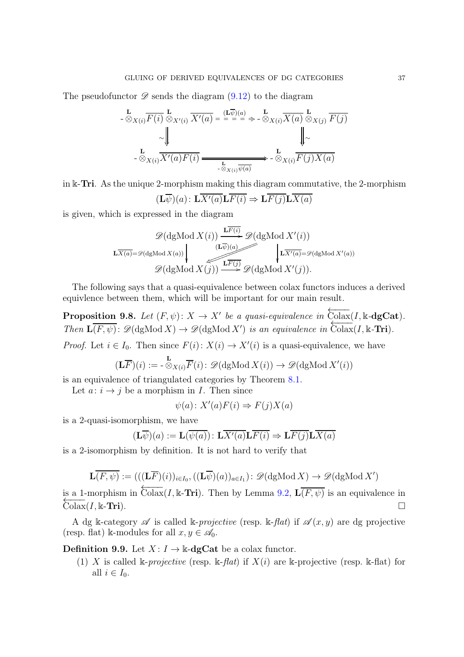The pseudofunctor  $\mathscr D$  sends the diagram  $(9.12)$  to the diagram

$$
\begin{aligned}\n\mathbf{L} & \mathbf{L}_{\mathcal{X}(i)} \overline{F(i)} \overset{\mathbf{L}}{\otimes}_{X'(i)} \overline{X'(a)} = \overline{\mathbf{L}^{\mathcal{Z}}_{\mathcal{X}}(a)} \overset{\mathbf{L}}{\otimes}_{X(i)} \overline{X(a)} \overset{\mathbf{L}}{\otimes}_{X(j)} \overline{F(j)} \\
& \sim \sqrt{\mathbf{L} \cdot \mathbf{L}_{\mathcal{X}(i)} \cdot \mathbf{L}_{\mathcal{X}}(a) F(i)} \\
& \mathbf{L}_{\mathcal{X}(i)} \overline{X'(a) F(i)} \overset{\mathbf{L}}{\mathbf{L}_{\mathcal{X}(i)} \overline{\psi(a)}} \overset{\mathbf{L}}{\longrightarrow} \mathbf{L}_{\mathcal{X}(i)} \overline{F(j) X(a)}\n\end{aligned}
$$

in  $\&$ -Tri. As the unique 2-morphism making this diagram commutative, the 2-morphism

$$
(\mathbf{L}\overline{\psi})(a): \mathbf{L}\overline{X'(a)}\mathbf{L}\overline{F(i)} \Rightarrow \mathbf{L}\overline{F(j)}\mathbf{L}\overline{X(a)}
$$

is given, which is expressed in the diagram

$$
\mathscr{D}(\text{dgMod } X(i)) \xrightarrow{\mathbf{L}\overline{F(i)}} \mathscr{D}(\text{dgMod } X'(i))
$$
\n
$$
\mathbf{L}\overline{X(a)} = \mathscr{D}(\text{dgMod } X(a)) \qquad (\mathbf{L}\overline{\psi})(a) \qquad \qquad \downarrow \overline{L}\overline{X'(a)} = \mathscr{D}(\text{dgMod } X'(a))
$$
\n
$$
\mathscr{D}(\text{dgMod } X(j)) \xrightarrow{\mathbf{L}\overline{F(j)}} \mathscr{D}(\text{dgMod } X'(j)).
$$

The following says that a quasi-equivalence between colax functors induces a derived equivlence between them, which will be important for our main result.

**Proposition 9.8.** Let  $(F, \psi)$ :  $X \to X'$  be a quasi-equivalence in  $\overleftarrow{\text{Colax}}(I, \mathbb{k} \text{-dgCat})$ . *Then*  $\mathbf{L}(\overline{F}, \psi)$ :  $\mathscr{D}(\text{dgMod } X) \to \mathscr{D}(\text{dgMod } X')$  *is an equivalence in*  $\overline{\text{Colax}}(I, \mathbb{k} - \text{Tri})$ *.* 

*Proof.* Let  $i \in I_0$ . Then since  $F(i): X(i) \to X'(i)$  is a quasi-equivalence, we have

$$
(\mathbf{L}\overline{F})(i) := -\overset{\mathbf{L}}{\otimes}_{X(i)}\overline{F}(i): \mathscr{D}(\mathrm{dgMod}\,X(i)) \to \mathscr{D}(\mathrm{dgMod}\,X'(i))
$$

is an equivalence of triangulated categories by Theorem [8.1.](#page-30-1)

Let  $a: i \rightarrow j$  be a morphism in I. Then since

$$
\psi(a) \colon X'(a)F(i) \Rightarrow F(j)X(a)
$$

is a 2-quasi-isomorphism, we have

$$
(\mathbf{L}\overline{\psi})(a) := \mathbf{L}(\overline{\psi(a)}) : \mathbf{L}\overline{X'(a)}\mathbf{L}\overline{F(i)} \Rightarrow \mathbf{L}\overline{F(j)}\mathbf{L}\overline{X(a)}
$$

is a 2-isomorphism by definition. It is not hard to verify that

$$
\mathbf{L}(\overline{F,\psi}) := (((\mathbf{L}\overline{F})(i))_{i \in I_0}, ((\mathbf{L}\overline{\psi})(a))_{a \in I_1}) : \mathscr{D}(\mathrm{dgMod}\,X) \to \mathscr{D}(\mathrm{dgMod}\,X')
$$

is a 1-morphism in  $\overleftarrow{\text{Colax}}(I, \mathbb{k}$ -**Tri**). Then by Lemma [9.2,](#page-33-3)  $\overline{\mathbf{L}(F, \psi)}$  is an equivalence in  $\overleftarrow{\text{Colax}}(I, \mathbb{k}$ -**Tri**).

A dg k-category  $\mathscr A$  is called k-*projective* (resp. k-flat) if  $\mathscr A(x, y)$  are dg projective (resp. flat) k-modules for all  $x, y \in \mathscr{A}_0$ .

**Definition 9.9.** Let  $X: I \to \mathbb{k}$ -dgCat be a colax functor.

(1) X is called k-*projective* (resp. k-*flat*) if  $X(i)$  are k-projective (resp. k-flat) for all  $i \in I_0$ .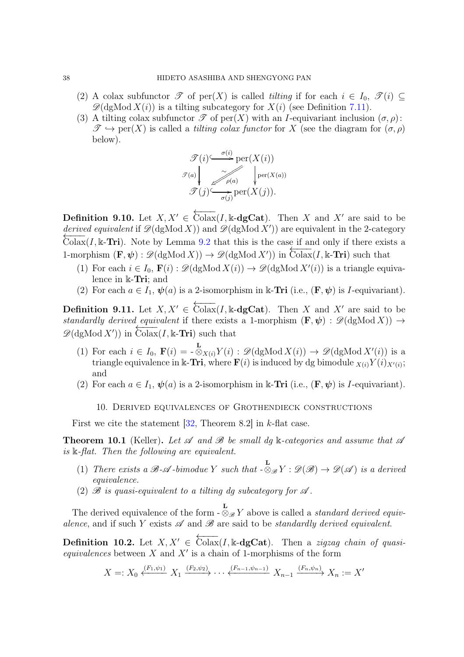- (2) A colax subfunctor  $\mathscr T$  of per(X) is called *tilting* if for each  $i \in I_0$ ,  $\mathscr T(i) \subseteq$  $\mathscr{D}(\text{dgMod } X(i))$  is a tilting subcategory for  $X(i)$  (see Definition [7.11\)](#page-30-4).
- (3) A tilting colax subfunctor  $\mathscr T$  of per $(X)$  with an *I*-equivariant inclusion  $(\sigma, \rho)$ :  $\mathscr{T} \hookrightarrow \text{per}(X)$  is called a *tilting colax functor* for X (see the diagram for  $(\sigma, \rho)$ ) below).

$$
\mathcal{T}(i) \xrightarrow{\sigma(i)} \text{per}(X(i))
$$
  

$$
\mathcal{T}(a) \downarrow \sim \sim \sim \sim \sim \text{per}(X(a))
$$
  

$$
\mathcal{T}(j) \xrightarrow{\sim} \text{per}(X(j)).
$$

**Definition 9.10.** Let  $X, X' \in \overleftarrow{\text{Colax}}(I, \mathbb{k} - \text{dgCat})$ . Then X and X' are said to be *derived equivalent* if  $\mathscr{D}(\text{dgMod } X)$  and  $\mathscr{D}(\text{dgMod } X')$  are equivalent in the 2-category  $\text{Colax}(I, \mathbb{k} - \text{Tri})$ . Note by Lemma [9.2](#page-33-3) that this is the case if and only if there exists a 1-morphism  $(\mathbf{F}, \psi) : \mathscr{D}(\text{dgMod } X) \to \mathscr{D}(\text{dgMod } X')$  in Colax(I, k-Tri) such that

- (1) For each  $i \in I_0$ ,  $\mathbf{F}(i) : \mathscr{D}(\text{dgMod } X(i)) \to \mathscr{D}(\text{dgMod } X'(i))$  is a triangle equivalence in k-Tri; and
- (2) For each  $a \in I_1$ ,  $\psi(a)$  is a 2-isomorphism in k-Tri (i.e.,  $(\mathbf{F}, \psi)$  is *I*-equivariant).

**Definition 9.11.** Let  $X, X' \in \overleftarrow{\text{Colax}}(I, \mathbb{k} - \text{dgCat})$ . Then X and X' are said to be *standardly derived equivalent* if there exists a 1-morphism  $(\mathbf{F}, \psi) : \mathscr{D}(\mathrm{dgMod} X) \rightarrow$  $\mathscr{D}(\text{dgMod } X')$  in Colax(I, k-Tri) such that

- (1) For each  $i \in I_0$ ,  $\mathbf{F}(i) = -\frac{\mathbf{L}}{\otimes}_{X(i)} Y(i)$ :  $\mathscr{D}(\text{dgMod } X(i)) \to \mathscr{D}(\text{dgMod } X'(i))$  is a triangle equivalence in k-Tri, where  $\mathbf{F}(i)$  is induced by dg bimodule  $\chi_{(i)} Y(i)_{X'(i)}$ ; and
- <span id="page-37-0"></span>(2) For each  $a \in I_1$ ,  $\psi(a)$  is a 2-isomorphism in k-Tri (i.e.,  $(\mathbf{F}, \psi)$  is *I*-equivariant).
	- 10. Derived equivalences of Grothendieck constructions

First we cite the statement  $[32,$  Theorem 8.2] in k-flat case.

**Theorem 10.1** (Keller). Let  $\mathscr A$  and  $\mathscr B$  be small dg k-categories and assume that  $\mathscr A$ *is* k*-flat. Then the following are equivalent.*

- (1) *There exists a*  $\mathscr{B}\text{-}\mathscr{A}\text{-bimodule }Y$  *such that*  $-\otimes_{\mathscr{B}} Y:\mathscr{D}(\mathscr{B})\to\mathscr{D}(\mathscr{A})$  *is a derived equivalence.*
- (2)  $\mathscr B$  *is quasi-equivalent to a tilting dg subcategory for*  $\mathscr A$ *.*

The derived equivalence of the form -  $\mathcal{L}_{\mathscr{B}} Y$  above is called a *standard derived equivalence*, and if such Y exists  $\mathscr A$  and  $\mathscr B$  are said to be *standardly derived equivalent*.

**Definition 10.2.** Let  $X, X' \in \overleftrightarrow{\text{Colax}}(I, \mathbb{k} - \text{dgCat})$ . Then a *zigzag chain of quasi* $equivalences$  between  $X$  and  $X'$  is a chain of 1-morphisms of the form

$$
X =: X_0 \xleftarrow{(F_1, \psi_1)} X_1 \xrightarrow{(F_2, \psi_2)} \cdots \xleftarrow{(F_{n-1}, \psi_{n-1})} X_{n-1} \xrightarrow{(F_n, \psi_n)} X_n := X'
$$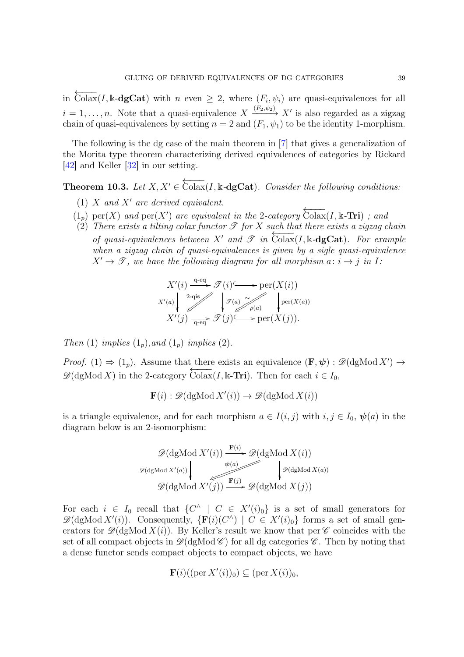in  $\overleftarrow{\text{Colax}}(I,\mathbb{k}\text{-}\text{dgCat})$  with  $n \text{ even } \geq 2$ , where  $(F_i,\psi_i)$  are quasi-equivalences for all  $i = 1, \ldots, n$ . Note that a quasi-equivalence  $X \xrightarrow{(F_2, \psi_2)} X'$  is also regarded as a zigzag chain of quasi-equivalences by setting  $n = 2$  and  $(F_1, \psi_1)$  to be the identity 1-morphism.

The following is the dg case of the main theorem in [\[7\]](#page-58-6) that gives a generalization of the Morita type theorem characterizing derived equivalences of categories by Rickard [\[42\]](#page-60-1) and Keller [\[32\]](#page-59-1) in our setting.

<span id="page-38-0"></span>**Theorem 10.3.** Let  $X, X' \in \overleftarrow{\text{Colax}}(I, \mathbb{k} \text{-}\text{dgCat})$ *. Consider the following conditions:* 

- (1) X *and* X′ *are derived equivalent.*
- $(1_p)$  per(X) and per(X') are equivalent in the 2-category  $\overleftarrow{\text{Colax}}(I, \mathbb{k}$ **-Tri**) *;* and
- $(2)$  *There exists a tilting colax functor*  $\mathscr T$  *for*  $X$  *such that there exists a zigzag chain of quasi-equivalences between*  $X'$  *and*  $\mathscr{T}$  *in*  $\overline{\text{Colax}}(I, \mathbb{k} - \text{dgCat})$ *. For example when a zigzag chain of quasi-equivalences is given by a sigle quasi-equivalence*  $X' \rightarrow \mathscr{T}$ , we have the following diagram for all morphism  $a: i \rightarrow j$  in I:

$$
X'(i) \xrightarrow{q \text{-eq}} \mathcal{T}(i) \longrightarrow \text{per}(X(i))
$$
  
\n
$$
X'(a) \downarrow \mathcal{T}(a) \qquad \qquad \downarrow \mathcal{T}(a) \qquad \qquad \downarrow \text{per}(X(a))
$$
  
\n
$$
X'(j) \xrightarrow{q \text{-eq}} \mathcal{T}(j) \longrightarrow \text{per}(X(j)).
$$

*Then* (1) *implies*  $(1_p)$ *,and*  $(1_p)$  *implies*  $(2)$ *.* 

*Proof.* (1)  $\Rightarrow$  (1<sub>p</sub>). Assume that there exists an equivalence  $(\mathbf{F}, \psi) : \mathscr{D}(\mathrm{dgMod} X') \rightarrow$  $\mathscr{D}(\text{dgMod } X)$  in the 2-category  $\overleftarrow{\text{Colax}}(I,\Bbbk-\text{Tri})$ . Then for each  $i \in I_0$ ,

$$
\mathbf{F}(i) : \mathscr{D}(\text{dgMod } X'(i)) \to \mathscr{D}(\text{dgMod } X(i))
$$

is a triangle equivalence, and for each morphism  $a \in I(i, j)$  with  $i, j \in I_0$ ,  $\psi(a)$  in the diagram below is an 2-isomorphism:

$$
\mathscr{D}(\mathrm{dgMod}\,X'(i)) \xrightarrow{\mathbf{F}(i)} \mathscr{D}(\mathrm{dgMod}\,X(i))
$$
  

$$
\mathscr{D}(\mathrm{dgMod}\,X'(a)) \xrightarrow{\psi(a)} \mathscr{D}(\mathrm{dgMod}\,X(a))
$$
  

$$
\mathscr{D}(\mathrm{dgMod}\,X'(j)) \xrightarrow{\mathbf{F}(j)} \mathscr{D}(\mathrm{dgMod}\,X(j))
$$

For each  $i \in I_0$  recall that  $\{C^{\wedge} \mid C \in X'(i)_0\}$  is a set of small generators for  $\mathscr{D}(\text{dgMod } X'(i))$ . Consequently,  $\{F(i)(C^{\wedge}) \mid C \in X'(i)_0\}$  forms a set of small generators for  $\mathscr{D}(\mathrm{dgMod}\,X(i))$ . By Keller's result we know that per  $\mathscr{C}$  coincides with the set of all compact objects in  $\mathcal{D}(dgMod \mathcal{C})$  for all dg categories  $\mathcal{C}$ . Then by noting that a dense functor sends compact objects to compact objects, we have

$$
\mathbf{F}(i)((\operatorname{per} X'(i))_0) \subseteq (\operatorname{per} X(i))_0,
$$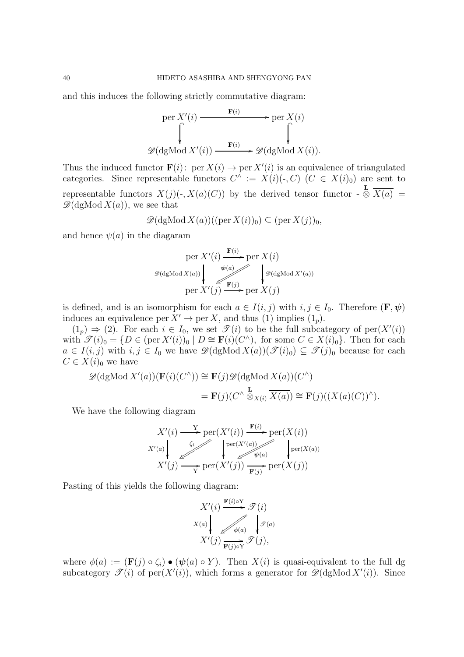and this induces the following strictly commutative diagram:

$$
\text{per } X'(i) \xrightarrow{\mathbf{F}(i)} \text{per } X(i)
$$
\n
$$
\downarrow \qquad \qquad \downarrow \qquad \qquad \downarrow
$$
\n
$$
\mathscr{D}(\text{dgMod } X'(i)) \xrightarrow{\mathbf{F}(i)} \mathscr{D}(\text{dgMod } X(i)).
$$

Thus the induced functor  $\mathbf{F}(i)$ : per  $X(i) \to \text{per } X'(i)$  is an equivalence of triangulated categories. Since representable functors  $C^{\wedge} := X(i)(\cdot, C)$   $(C \in X(i)_0)$  are sent to representable functors  $X(j)(\cdot, X(a)(C))$  by the derived tensor functor -L  $\otimes X(a) =$  $\mathscr{D}(\mathrm{dgMod}\,X(a))$ , we see that

$$
\mathscr{D}(\mathrm{dgMod}\,X(a))((\mathrm{per}\,X(i))_0) \subseteq (\mathrm{per}\,X(j))_0,
$$

and hence  $\psi(a)$  in the diagaram

$$
\operatorname{per} X'(i) \xrightarrow{\mathbf{F}(i)} \operatorname{per} X(i)
$$

$$
\mathcal{D}(\operatorname{dgMod} X(a)) \downarrow \qquad \downarrow \mathcal{D}(\operatorname{dgMod} X'(a))
$$

$$
\operatorname{per} X'(j) \xrightarrow{\mathbf{F}(j)} \operatorname{per} X(j)
$$

is defined, and is an isomorphism for each  $a \in I(i, j)$  with  $i, j \in I_0$ . Therefore  $(\mathbf{F}, \psi)$ induces an equivalence per  $X' \to \text{per } X$ , and thus (1) implies  $(1_p)$ .

 $(1_p) \Rightarrow (2)$ . For each  $i \in I_0$ , we set  $\mathscr{T}(i)$  to be the full subcategory of per $(X'(i))$ with  $\mathscr{T}(i)_0 = \{D \in (\text{per } X'(i))_0 \mid D \cong \mathbf{F}(i)(C^{\wedge}), \text{ for some } C \in X(i)_0\}.$  Then for each  $a \in I(i, j)$  with  $i, j \in I_0$  we have  $\mathscr{D}(\text{dgMod } X(a))(\mathscr{T}(i)_0) \subseteq \mathscr{T}(j)_0$  because for each  $C \in X(i)_0$  we have

$$
\mathscr{D}(\text{dgMod } X'(a))(\mathbf{F}(i)(C^{\wedge})) \cong \mathbf{F}(j)\mathscr{D}(\text{dgMod } X(a))(C^{\wedge})
$$

$$
= \mathbf{F}(j)(C^{\wedge} \overset{\mathbf{L}}{\otimes}_{X(i)} \overline{X(a)}) \cong \mathbf{F}(j)((X(a)(C))^{\wedge}).
$$

We have the following diagram

$$
X'(i) \xrightarrow{Y} \text{per}(X'(i)) \xrightarrow{\mathbf{F}(i)} \text{per}(X(i))
$$
  

$$
X'(a) \downarrow \qquad \qquad \downarrow \qquad \qquad \downarrow \qquad \qquad \downarrow \qquad \qquad \downarrow \qquad \qquad \downarrow \qquad \qquad \downarrow \qquad \qquad \downarrow \qquad \qquad \downarrow \qquad \qquad \downarrow \qquad \qquad \downarrow \qquad \qquad \downarrow \qquad \qquad \downarrow \qquad \qquad \downarrow \qquad \qquad \downarrow \qquad \qquad \downarrow \qquad \qquad \downarrow \qquad \qquad \downarrow \qquad \qquad \downarrow \qquad \qquad \downarrow \qquad \qquad \downarrow \qquad \qquad \downarrow \qquad \qquad \downarrow \qquad \qquad \downarrow \qquad \qquad \downarrow \qquad \downarrow \qquad \qquad \downarrow \qquad \downarrow \qquad \downarrow \qquad \qquad \downarrow \qquad \downarrow \qquad \qquad \downarrow \qquad \downarrow \qquad \downarrow \qquad \downarrow \qquad \downarrow \qquad \downarrow \qquad \downarrow \qquad \downarrow \qquad \downarrow \qquad \downarrow \qquad \downarrow \qquad \downarrow \qquad \downarrow \qquad \downarrow \qquad \downarrow \qquad \downarrow \qquad \downarrow \qquad \downarrow \qquad \downarrow \qquad \downarrow \qquad \downarrow \qquad \downarrow \qquad \downarrow \qquad \downarrow \qquad \downarrow \qquad \downarrow \qquad \downarrow \qquad \downarrow \qquad \downarrow \qquad \downarrow \qquad \downarrow \qquad \downarrow \qquad \downarrow \qquad \downarrow \qquad \downarrow \qquad \downarrow \qquad \downarrow \qquad \downarrow \qquad \downarrow \qquad \downarrow \qquad \downarrow \qquad \downarrow \qquad \downarrow \qquad \downarrow \qquad \downarrow \qquad \downarrow \qquad \downarrow \qquad \downarrow \qquad \downarrow \qquad \downarrow \qquad \downarrow \qquad \downarrow \qquad \downarrow \qquad \downarrow \qquad \downarrow \qquad \downarrow \qquad \downarrow \qquad \downarrow \qquad \downarrow \qquad \downarrow \qquad \downarrow \qquad \downarrow \qquad \downarrow \qquad \downarrow \qquad \downarrow \qquad \downarrow \qquad \downarrow \qquad \downarrow \qquad \downarrow \qquad \downarrow \qquad \downarrow \qquad \downarrow \qquad \downarrow \qquad \down
$$

Pasting of this yields the following diagram:

$$
X'(i) \xrightarrow{\mathbf{F}(i) \circ Y} \mathcal{T}(i)
$$
  

$$
X(a) \downarrow \qquad \qquad \mathcal{F}(a)
$$
  

$$
X'(j) \xrightarrow{\mathbf{F}(j) \circ Y} \mathcal{T}(j),
$$

where  $\phi(a) := (\mathbf{F}(j) \circ \zeta_i) \bullet (\psi(a) \circ Y)$ . Then  $X(i)$  is quasi-equivalent to the full dg subcategory  $\mathscr{T}(i)$  of per $(X'(i))$ , which forms a generator for  $\mathscr{D}(\text{dgMod } X'(i))$ . Since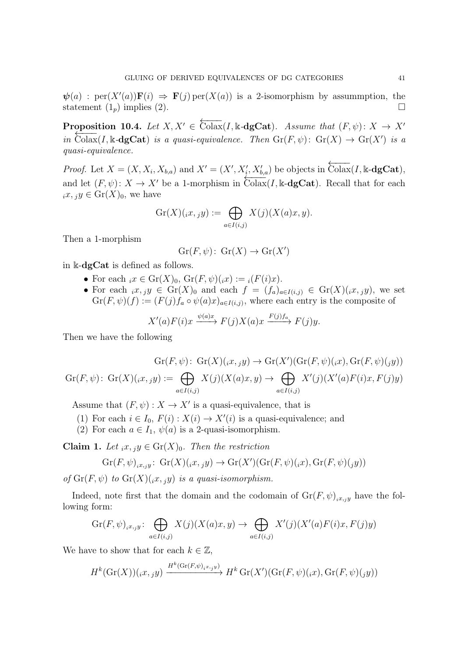$\psi(a)$ : per $(X'(a))\mathbf{F}(i) \Rightarrow \mathbf{F}(j)$  per $(X(a))$  is a 2-isomorphism by assummption, the statement  $(1_p)$  implies  $(2)$ .

<span id="page-40-0"></span>**Proposition 10.4.** Let  $X, X' \in \overleftarrow{\text{Colax}}(I, \mathbb{k} \text{-}\text{dgCat})$ *.* Assume that  $(F, \psi) \colon X \to X'$ *in* Colax(I, k-dgCat) *is a quasi-equivalence. Then*  $\text{Gr}(F, \psi)$ :  $\text{Gr}(X) \to \text{Gr}(X')$  *is a quasi-equivalence.*

*Proof.* Let  $X = (X, X_i, X_{b,a})$  and  $X' = (X', X'_i, X'_{b,a})$  be objects in  $\overleftarrow{\text{Colax}}(I, \mathbb{k}\text{-}\text{dgCat})$ , and let  $(F, \psi)$ :  $X \to X'$  be a 1-morphism in  $\overline{\text{Colax}}(I, \mathbb{k} - \text{dgCat})$ . Recall that for each  $_ix, jy \in \text{Gr}(X)_0$ , we have

$$
\mathrm{Gr}(X)(_{i}x,_{j}y) := \bigoplus_{a \in I(i,j)} X(j)(X(a)x, y).
$$

Then a 1-morphism

$$
Gr(F, \psi) \colon Gr(X) \to Gr(X')
$$

in k-dgCat is defined as follows.

- For each  $ix \in Gr(X)_0$ ,  $Gr(F, \psi)(ix) := i(F(i)x)$ .
- For each  $ix, jy \in Gr(X)_0$  and each  $f = (f_a)_{a \in I(i,j)} \in Gr(X)(ix, jy)$ , we set  $\mathrm{Gr}(F,\psi)(f) := (F(j) f_a \circ \psi(a)x)_{a \in I(i,j)},$  where each entry is the composite of

$$
X'(a)F(i)x \xrightarrow{\psi(a)x} F(j)X(a)x \xrightarrow{F(j)f_a} F(j)y.
$$

Then we have the following

$$
\operatorname{Gr}(F,\psi) \colon \operatorname{Gr}(X)(\operatorname{irr},\operatorname{gr}) \to \operatorname{Gr}(X')(\operatorname{Gr}(F,\psi)(\operatorname{irr},\operatorname{Gr}(F,\psi)(\operatorname{gr}))
$$

$$
\operatorname{Gr}(F,\psi) \colon \operatorname{Gr}(X)(\operatorname{irr},\operatorname{gr}) \mathrel{\mathop:}= \bigoplus_{a \in I(i,j)} X(j)(X(a)x,y) \to \bigoplus_{a \in I(i,j)} X'(j)(X'(a)F(i)x,F(j)y)
$$

Assume that  $(F, \psi) : X \to X'$  is a quasi-equivalence, that is

- (1) For each  $i \in I_0$ ,  $F(i) : X(i) \to X'(i)$  is a quasi-equivalence; and
- (2) For each  $a \in I_1$ ,  $\psi(a)$  is a 2-quasi-isomorphism.

Claim 1. Let  $_ix, y \in \text{Gr}(X)_0$ . Then the restriction

$$
\operatorname{Gr}(F,\psi)_{ix,jy}\colon\operatorname{Gr}(X)(_{ix,j}y)\to\operatorname{Gr}(X')(\operatorname{Gr}(F,\psi)_{(i}x),\operatorname{Gr}(F,\psi)_{(j}y))
$$

*of*  $\text{Gr}(F, \psi)$  *to*  $\text{Gr}(X)(x, y)$  *is a quasi-isomorphism.* 

Indeed, note first that the domain and the codomain of  $\text{Gr}(F, \psi)_{i,x,y}$  have the following form:

$$
\mathrm{Gr}(F,\psi)_{i,x_jy} \colon \bigoplus_{a \in I(i,j)} X(j)(X(a)x,y) \to \bigoplus_{a \in I(i,j)} X'(j)(X'(a)F(i)x,F(j)y)
$$

We have to show that for each  $k \in \mathbb{Z}$ ,

$$
H^k(\mathrm{Gr}(X))(_{i}x,_{j}y) \xrightarrow{H^k(\mathrm{Gr}(F,\psi)_{i}x,_{j}y)} H^k(\mathrm{Gr}(X')(\mathrm{Gr}(F,\psi)_{i}x),\mathrm{Gr}(F,\psi)_{j}y))
$$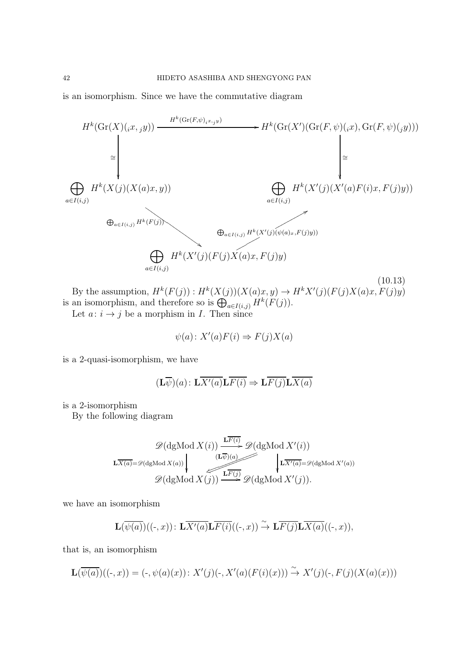is an isomorphism. Since we have the commutative diagram

<span id="page-41-0"></span>

By the assumption,  $H^k(F(j))$ :  $H^k(X(j))(X(a)x,y) \to H^kX'(j)(F(j)X(a)x, F(j)y)$ is an isomorphism, and therefore so is  $\bigoplus_{a \in I(i,j)} H^k(F(j)).$ 

Let  $a: i \rightarrow j$  be a morphism in I. Then since

$$
\psi(a) \colon X'(a)F(i) \Rightarrow F(j)X(a)
$$

is a 2-quasi-isomorphism, we have

$$
(\mathbf{L}\overline{\psi})(a): \mathbf{L}\overline{X'(a)}\mathbf{L}\overline{F(i)} \Rightarrow \mathbf{L}\overline{F(j)}\mathbf{L}\overline{X(a)}
$$

is a 2-isomorphism

By the following diagram

$$
\mathscr{D}(\text{dgMod } X(i)) \xrightarrow{\mathbf{L}\overline{F(i)}} \mathscr{D}(\text{dgMod } X'(i))
$$
\n
$$
\mathbf{L}\overline{X(a)} = \mathscr{D}(\text{dgMod } X(a)) \downarrow \qquad \qquad (\mathbf{L}\overline{\psi})(a) \qquad \qquad \downarrow \mathbf{L}\overline{X'(a)} = \mathscr{D}(\text{dgMod } X'(a))
$$
\n
$$
\mathscr{D}(\text{dgMod } X(j)) \xrightarrow{\mathbf{L}\overline{F(j)}} \mathscr{D}(\text{dgMod } X'(j)).
$$

we have an isomorphism

$$
\mathbf{L}(\overline{\psi(a)})((\cdot,x))\colon\mathbf{L}\overline{X'(a)}\mathbf{L}\overline{F(i)}((\cdot,x))\xrightarrow{\sim}\mathbf{L}\overline{F(j)}\mathbf{L}\overline{X(a)}((\cdot,x)),
$$

that is, an isomorphism

$$
\mathbf{L}(\overline{\psi(a)})((\cdot,x)) = (\cdot,\psi(a)(x)) : X'(j)(\cdot,X'(a)(F(i)(x))) \xrightarrow{\sim} X'(j)(\cdot,F(j)(X(a)(x)))
$$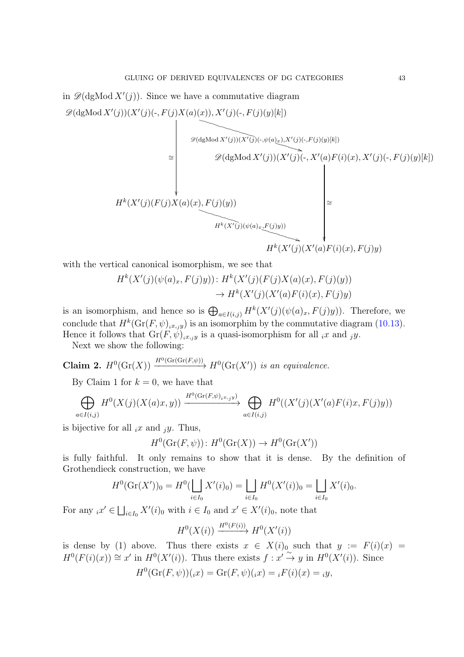in  $\mathscr{D}(\text{dgMod } X'(j))$ . Since we have a commutative diagram

 $\mathscr{D}(\text{dgMod } X'(j))(X'(j)(-, F(j)X(a)(x)), X'(j)(-, F(j)(y)[k])$ 

$$
\mathcal{D}(X \cup \mathcal{D}) = \left\{\n\begin{bmatrix}\n\mathcal{D}(dgMod X'(j))(X'(j)(\cdot,\psi(a)_x), X'(j)(\cdot,F(j)(y)[k]) \\
\mathcal{D}(dgMod X'(j))(X'(j)(\cdot,X'(a)F(i)(x), X'(j)(\cdot,F(j)(y)[k])\n\end{bmatrix} \\
H^k(X'(j)(F(j)X(a)(x),F(j)(y))) \\
H^k(X'(j)(\psi(a)_x,F(j)y)) \\
H^k(X'(j)(X'(a)F(i)(x),F(j)y))\n\end{bmatrix}\n\cong
$$

with the vertical canonical isomorphism, we see that

$$
H^k(X'(j)(\psi(a)_x, F(j)y)) : H^k(X'(j)(F(j)X(a)(x), F(j)(y))
$$
  

$$
\rightarrow H^k(X'(j)(X'(a)F(i)(x), F(j)y))
$$

is an isomorphism, and hence so is  $\bigoplus_{a \in I(i,j)} H^k(X'(j)(\psi(a)_x, F(j)y))$ . Therefore, we conclude that  $H^k(\mathrm{Gr}(F,\psi)_{i,x,y})$  is an isomorphim by the commutative diagram [\(10.13\)](#page-41-0). Hence it follows that  $Gr(F, \check{\psi})_{i,x,y}$  is a quasi-isomorphism for all  $_ix$  and  $_jy$ .

Next we show the following:

Claim 2.  $H^0(\mathrm{Gr}(X)) \xrightarrow{H^0(\mathrm{Gr}(\mathrm{Gr}(F,\psi)))} H^0(\mathrm{Gr}(X'))$  *is an equivalence.* 

By Claim 1 for  $k = 0$ , we have that

$$
\bigoplus_{a \in I(i,j)} H^0(X(j)(X(a)x, y)) \xrightarrow{H^0(\text{Gr}(F,\psi)_{i^x, j^y})} \bigoplus_{a \in I(i,j)} H^0((X'(j)(X'(a)F(i)x, F(j)y)))
$$

is bijective for all  $_ix$  and  $_iy$ . Thus,

 $H^0(\mathrm{Gr}(F,\psi))$ :  $H^0(\mathrm{Gr}(X)) \to H^0(\mathrm{Gr}(X'))$ 

is fully faithful. It only remains to show that it is dense. By the definition of Grothendieck construction, we have

$$
H^{0}(\mathrm{Gr}(X'))_{0} = H^{0}(\bigsqcup_{i \in I_{0}} X'(i)_{0}) = \bigsqcup_{i \in I_{0}} H^{0}(X'(i))_{0} = \bigsqcup_{i \in I_{0}} X'(i)_{0}.
$$

For any  $_i x' \in \bigsqcup_{i \in I_0} X'(i)_0$  with  $i \in I_0$  and  $x' \in X'(i)_0$ , note that

$$
H^0(X(i)) \xrightarrow{H^0(F(i))} H^0(X'(i))
$$

is dense by (1) above. Thus there exists  $x \in X(i)_0$  such that  $y := F(i)(x) =$  $H^0(F(i)(x)) \cong x'$  in  $H^0(X'(i))$ . Thus there exists  $f: x' \stackrel{\sim}{\to} y$  in  $H^0(X'(i))$ . Since

$$
H0(\mathrm{Gr}(F,\psi))(x) = \mathrm{Gr}(F,\psi)(x) = {}_iF(i)(x) = {}_iy,
$$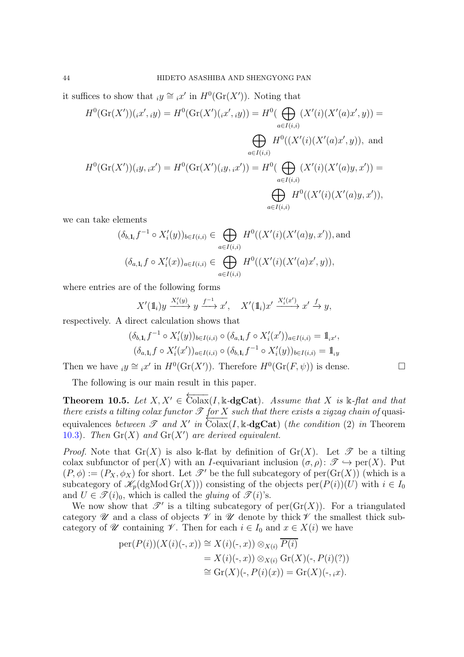it suffices to show that  $iy \cong x'$  in  $H^0(\mathrm{Gr}(X'))$ . Noting that

$$
H^{0}(\mathrm{Gr}(X'))(x',iy) = H^{0}(\mathrm{Gr}(X')(x',iy)) = H^{0}(\bigoplus_{a \in I(i,i)} (X'(i)(X'(a)x',y)) =
$$
  

$$
\bigoplus_{a \in I(i,i)} H^{0}((X'(i)(X'(a)x',y)), \text{ and}
$$
  

$$
H^{0}(\mathrm{Gr}(X'))(y,x') = H^{0}(\mathrm{Gr}(X')(y,x')) = H^{0}(\bigoplus_{a \in I(i,i)} (X'(i)(X'(a)y,x')) =
$$
  

$$
\bigoplus_{a \in I(i,i)} H^{0}((X'(i)(X'(a)y,x')),
$$

we can take elements

$$
(\delta_{b,1_i} f^{-1} \circ X_i'(y))_{b \in I(i,i)} \in \bigoplus_{a \in I(i,i)} H^0((X'(i)(X'(a)y, x')),
$$
 and  

$$
(\delta_{a,1_i} f \circ X_i'(x))_{a \in I(i,i)} \in \bigoplus_{a \in I(i,i)} H^0((X'(i)(X'(a)x', y)),
$$

where entries are of the following forms

$$
X'(\mathbb{1}_i)y \xrightarrow{X_i'(y)} y \xrightarrow{f^{-1}} x', \quad X'(\mathbb{1}_i)x' \xrightarrow{X_i'(x')} x' \xrightarrow{f} y,
$$

respectively. A direct calculation shows that

$$
(\delta_{b,1_i}f^{-1} \circ X_i'(y))_{b \in I(i,i)} \circ (\delta_{a,1_i}f \circ X_i'(x'))_{a \in I(i,i)} = 1_{ix'},
$$
  

$$
(\delta_{a,1_i}f \circ X_i'(x'))_{a \in I(i,i)} \circ (\delta_{b,1_i}f^{-1} \circ X_i'(y))_{b \in I(i,i)} = 1_{iy}
$$

Then we have  $iy \cong i x'$  in  $H^0(\mathrm{Gr}(X'))$ . Therefore  $H^0(\mathrm{Gr}(F,\psi))$  is dense.

The following is our main result in this paper.

<span id="page-43-0"></span>**Theorem 10.5.** Let  $X, X' \in \overleftarrow{\text{Colax}}(I, \mathbb{k} - \text{dgCat})$ . Assume that  $X$  is  $\mathbb{k}$ -flat and that *there exists a tilting colax functor*  $\mathscr T$  *for*  $X$  *such that there exists a zigzag chain of quasi*equivalences *between*  $\mathscr T$  *and*  $X'$  *in*  $\overline{\text{Colax}}(I, \mathbb{k} - \text{dgCat})$  (*the condition* (2) *in* Theorem [10.3](#page-38-0)). Then  $\mathrm{Gr}(X)$  and  $\mathrm{Gr}(X')$  are derived equivalent.

*Proof.* Note that  $\text{Gr}(X)$  is also k-flat by definition of  $\text{Gr}(X)$ . Let  $\mathscr T$  be a tilting colax subfunctor of per(X) with an I-equivariant inclusion  $(\sigma, \rho): \mathscr{T} \hookrightarrow \text{per}(X)$ . Put  $(P, \phi) := (P_X, \phi_X)$  for short. Let  $\mathscr{T}'$  be the full subcategory of per $(\text{Gr}(X))$  (which is a subcategory of  $\mathscr{K}_p(\text{dgMod } Gr(X))$  consisting of the objects per $(P(i))(U)$  with  $i \in I_0$ and  $U \in \mathcal{F}(i)_0$ , which is called the *gluing* of  $\mathcal{F}(i)$ 's.

We now show that  $\mathscr{T}'$  is a tilting subcategory of per( $\mathrm{Gr}(X)$ ). For a triangulated category  $\mathscr U$  and a class of objects  $\mathscr V$  in  $\mathscr U$  denote by thick  $\mathscr V$  the smallest thick subcategory of  $\mathscr U$  containing  $\mathscr V$ . Then for each  $i \in I_0$  and  $x \in X(i)$  we have

$$
per(P(i))(X(i)(\cdot, x)) \cong X(i)(\cdot, x)) \otimes_{X(i)} \overline{P(i)}
$$
  
=  $X(i)(\cdot, x)) \otimes_{X(i)} Gr(X)(\cdot, P(i)(?))$   
 $\cong Gr(X)(\cdot, P(i)(x)) = Gr(X)(\cdot, ix).$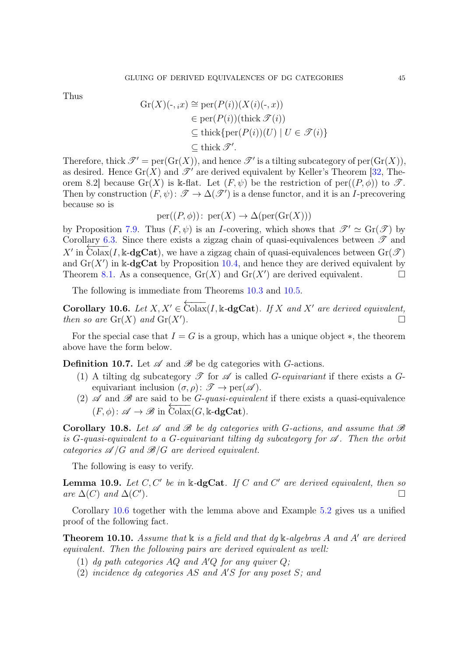Thus

$$
Gr(X)(\cdot, i x) \cong per(P(i))(X(i)(\cdot, x))
$$
  
\n
$$
\in per(P(i))
$$
(thick  $\mathcal{T}(i)$ )  
\n
$$
\subseteq
$$
thick{per(P(i))(U) | U \in \mathcal{T}(i)}  
\n
$$
\subseteq
$$
thick  $\mathcal{T}'$ .

Therefore, thick  $\mathscr{T}' = \text{per}(\text{Gr}(X))$ , and hence  $\mathscr{T}'$  is a tilting subcategory of  $\text{per}(\text{Gr}(X))$ , as desired. Hence  $\text{Gr}(X)$  and  $\mathscr{T}'$  are derived equivalent by Keller's Theorem [\[32,](#page-59-1) Theorem 8.2] because Gr(X) is k-flat. Let  $(F, \psi)$  be the restriction of per $((P, \phi))$  to  $\mathscr{T}$ . Then by construction  $(F, \psi): \mathscr{T} \to \Delta(\mathscr{T}')$  is a dense functor, and it is an *I*-precovering because so is

$$
per((P, \phi))
$$
:  $per(X) \to \Delta(per(Gr(X)))$ 

by Proposition [7.9.](#page-28-0) Thus  $(F, \psi)$  is an *I*-covering, which shows that  $\mathscr{T}' \simeq \text{Gr}(\mathscr{T})$  by Corollary [6.3.](#page-22-1) Since there exists a zigzag chain of quasi-equivalences between  $\mathscr{T}$  and  $X'$  in Colax(I, k-dgCat), we have a zigzag chain of quasi-equivalences between  $Gr(\mathscr{T})$ and  $\text{Gr}(X')$  in k-dgCat by Proposition [10.4,](#page-40-0) and hence they are derived equivalent by Theorem [8.1.](#page-30-1) As a consequence,  $\text{Gr}(X)$  and  $\text{Gr}(X')$  are derived equivalent.

The following is immediate from Theorems [10.3](#page-38-0) and [10.5.](#page-43-0)

<span id="page-44-0"></span>Corollary 10.6. Let  $X, X' \in \overleftarrow{\text{Colax}}(I, \mathbb{k} \text{-}\text{dgCat})$ *. If* X and X' are derived equivalent, *then so are*  $\text{Gr}(X)$  *and*  $\text{Gr}(X')$ *.* )*.*

For the special case that  $I = G$  is a group, which has a unique object  $\ast$ , the theorem above have the form below.

**Definition 10.7.** Let  $\mathscr A$  and  $\mathscr B$  be dg categories with *G*-actions.

- (1) A tilting dg subcategory  $\mathscr T$  for  $\mathscr A$  is called *G-equivariant* if there exists a *G*equivariant inclusion  $(\sigma, \rho) \colon \mathscr{T} \to \text{per}(\mathscr{A})$ .
- (2)  $\mathscr A$  and  $\mathscr B$  are said to be *G*-*quasi-equivalent* if there exists a quasi-equivalence  $(F, \phi): \mathscr{A} \to \mathscr{B}$  in  $\widehat{\text{Colax}}(G, \mathbb{k} \text{-}\text{dgCat})$ .

<span id="page-44-1"></span>Corollary 10.8. Let  $\mathscr A$  and  $\mathscr B$  be dg categories with G-actions, and assume that  $\mathscr B$ is  $G$ -quasi-equivalent to a  $G$ -equivariant tilting dg subcategory for  $\mathscr A$ . Then the orbit *categories*  $\mathscr{A}/G$  *and*  $\mathscr{B}/G$  *are derived equivalent.* 

The following is easy to verify.

Lemma 10.9. *Let* C, C′ *be in* k*-*dgCat*. If* C *and* C ′ *are derived equivalent, then so are*  $\Delta(C)$  *and*  $\Delta(C')$ )*.*

Corollary [10.6](#page-44-0) together with the lemma above and Example [5.2](#page-16-0) gives us a unified proof of the following fact.

Theorem 10.10. *Assume that* k *is a field and that dg* k*-algebras* A *and* A′ *are derived equivalent. Then the following pairs are derived equivalent as well:*

- (1) *dg path categories* AQ *and* A′Q *for any quiver* Q*;*
- (2) *incidence dg categories* AS *and* A′S *for any poset* S*; and*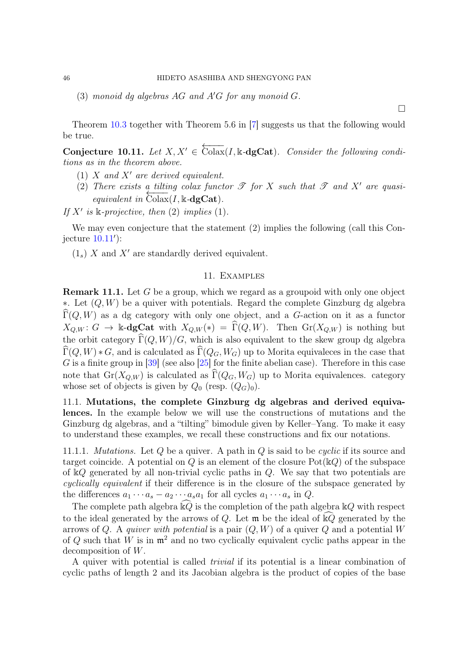(3) *monoid dg algebras* AG *and* A′G *for any monoid* G*.*

Theorem [10.3](#page-38-0) together with Theorem 5.6 in [\[7\]](#page-58-6) suggests us that the following would be true.

<span id="page-45-2"></span>Conjecture 10.11. Let  $X, X' \in \overleftarrow{\text{Colax}}(I, \mathbb{k} \text{-dgCat})$ . Consider the following condi*tions as in the theorem above.*

- (1) X *and* X′ *are derived equivalent.*
- (2) There exists a tilting colax functor  $\mathscr T$  for X such that  $\mathscr T$  and  $X'$  are quasi- $\frac{1}{2}$   $\frac{1}{2}$   $\frac{1}{2}$   $\frac{1}{2}$   $\frac{1}{2}$   $\frac{1}{2}$   $\frac{1}{2}$   $\frac{1}{2}$   $\frac{1}{2}$   $\frac{1}{2}$   $\frac{1}{2}$   $\frac{1}{2}$   $\frac{1}{2}$   $\frac{1}{2}$   $\frac{1}{2}$   $\frac{1}{2}$   $\frac{1}{2}$   $\frac{1}{2}$   $\frac{1}{2}$   $\frac{1}{2}$   $\frac{1}{2}$   $\frac{1}{2}$

If  $X'$  is  $\Bbbk$ *-projective, then* (2) *implies* (1)*.* 

We may even conjecture that the statement (2) implies the following (call this Conjecture [10.11](#page-45-2)′ ):

<span id="page-45-0"></span> $(1_s)$  X and X' are standardly derived equivalent.

### 11. Examples

<span id="page-45-3"></span>Remark 11.1. Let G be a group, which we regard as a groupoid with only one object ∗. Let (Q, W) be a quiver with potentials. Regard the complete Ginzburg dg algebra  $\Gamma(Q, W)$  as a dg category with only one object, and a G-action on it as a functor  $X_{Q,W}$ :  $G \to \mathbb{k}$ -dgCat with  $X_{Q,W}(*) = \widehat{\Gamma}(Q, W)$ . Then  $\text{Gr}(X_{Q,W})$  is nothing but the orbit category  $\widehat{\Gamma}(Q, W)/G$ , which is also equivalent to the skew group dg algebra  $\Gamma(Q, W) * G$ , and is calculated as  $\Gamma(Q_G, W_G)$  up to Morita equivaleces in the case that  $G$  is a finite group in [\[39\]](#page-60-3) (see also [\[25\]](#page-59-6) for the finite abelian case). Therefore in this case note that  $Gr(X_{Q,W})$  is calculated as  $\widehat{\Gamma}(Q_G, W_G)$  up to Morita equivalences. category whose set of objects is given by  $Q_0$  (resp.  $(Q_G)_0$ ).

<span id="page-45-1"></span>11.1. Mutations, the complete Ginzburg dg algebras and derived equivalences. In the example below we will use the constructions of mutations and the Ginzburg dg algebras, and a "tilting" bimodule given by Keller–Yang. To make it easy to understand these examples, we recall these constructions and fix our notations.

11.1.1. *Mutations.* Let Q be a quiver. A path in Q is said to be *cyclic* if its source and target coincide. A potential on Q is an element of the closure  $Pot(\mathbb{k}Q)$  of the subspace of kQ generated by all non-trivial cyclic paths in Q. We say that two potentials are *cyclically equivalent* if their difference is in the closure of the subspace generated by the differences  $a_1 \cdots a_s - a_2 \cdots a_s a_1$  for all cycles  $a_1 \cdots a_s$  in  $Q$ .

The complete path algebra  $kQ$  is the completion of the path algebra  $kQ$  with respect to the ideal generated by the arrows of Q. Let  $\mathfrak{m}$  be the ideal of  $\widehat{\mathbb{R}Q}$  generated by the arrows of Q. A *quiver with potential* is a pair (Q, W) of a quiver Q and a potential W of Q such that W is in  $\mathfrak{m}^2$  and no two cyclically equivalent cyclic paths appear in the decomposition of W.

A quiver with potential is called *trivial* if its potential is a linear combination of cyclic paths of length 2 and its Jacobian algebra is the product of copies of the base

 $\Box$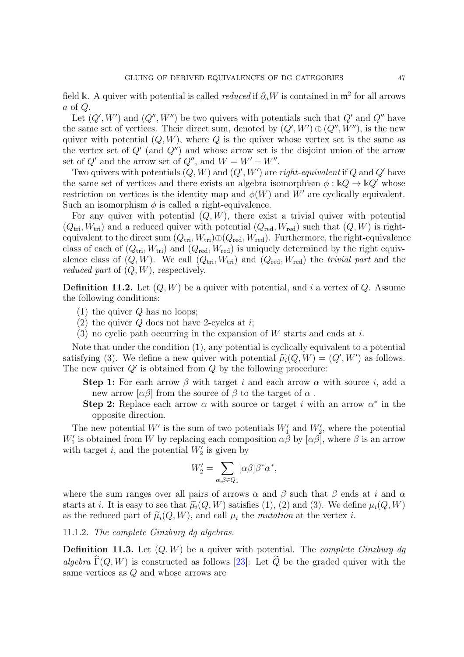field k. A quiver with potential is called *reduced* if  $\partial_a W$  is contained in  $\mathfrak{m}^2$  for all arrows  $a$  of  $Q$ .

Let  $(Q', W')$  and  $(Q'', W'')$  be two quivers with potentials such that  $Q'$  and  $Q''$  have the same set of vertices. Their direct sum, denoted by  $(Q', W') \oplus (Q'', W'')$ , is the new quiver with potential  $(Q, W)$ , where Q is the quiver whose vertex set is the same as the vertex set of  $Q'$  (and  $Q''$ ) and whose arrow set is the disjoint union of the arrow set of  $Q'$  and the arrow set of  $Q''$ , and  $W = W' + W''$ .

Two quivers with potentials  $(Q, W)$  and  $(Q', W')$  are *right-equivalent* if  $Q$  and  $Q'$  have the same set of vertices and there exists an algebra isomorphism  $\phi : \mathbb{k} \mathbb{Q} \to \mathbb{k} \mathbb{Q}'$  whose restriction on vertices is the identity map and  $\phi(W)$  and W' are cyclically equivalent. Such an isomorphism  $\phi$  is called a right-equivalence.

For any quiver with potential  $(Q, W)$ , there exist a trivial quiver with potential  $(Q_{\text{tri}}, W_{\text{tri}})$  and a reduced quiver with potential  $(Q_{\text{red}}, W_{\text{red}})$  such that  $(Q, W)$  is rightequivalent to the direct sum  $(Q_{tri}, W_{tri}) \oplus (Q_{red}, W_{red})$ . Furthermore, the right-equivalence class of each of  $(Q_{\text{tri}}, W_{\text{tri}})$  and  $(Q_{\text{red}}, W_{\text{red}})$  is uniquely determined by the right equivalence class of  $(Q, W)$ . We call  $(Q_{tri}, W_{tri})$  and  $(Q_{red}, W_{red})$  the *trivial part* and the *reduced part* of (Q, W), respectively.

**Definition 11.2.** Let  $(Q, W)$  be a quiver with potential, and i a vertex of  $Q$ . Assume the following conditions:

- $(1)$  the quiver Q has no loops;
- (2) the quiver  $Q$  does not have 2-cycles at *i*;
- (3) no cyclic path occurring in the expansion of  $W$  starts and ends at i.

Note that under the condition (1), any potential is cyclically equivalent to a potential satisfying (3). We define a new quiver with potential  $\tilde{\mu}_i(Q, W) = (Q', W')$  as follows. The new quiver  $Q'$  is obtained from  $Q$  by the following procedure:

**Step 1:** For each arrow  $\beta$  with target i and each arrow  $\alpha$  with source i, add a new arrow  $\alpha\beta$  from the source of  $\beta$  to the target of  $\alpha$ .

Step 2: Replace each arrow  $\alpha$  with source or target i with an arrow  $\alpha^*$  in the opposite direction.

The new potential  $W'$  is the sum of two potentials  $W'_1$  and  $W'_2$ , where the potential W'' is obtained from W by replacing each composition  $\alpha\bar{\beta}$  by  $[\alpha\beta]$ , where  $\beta$  is an arrow with target i, and the potential  $W'_2$  is given by

$$
W_2'=\sum_{\alpha,\beta\in Q_1}[\alpha\beta]\beta^*\alpha^*,
$$

where the sum ranges over all pairs of arrows  $\alpha$  and  $\beta$  such that  $\beta$  ends at i and  $\alpha$ starts at i. It is easy to see that  $\tilde{\mu}_i(Q, W)$  satisfies (1), (2) and (3). We define  $\mu_i(Q, W)$ as the reduced part of  $\tilde{\mu}_i(Q, W)$ , and call  $\mu_i$  the *mutation* at the vertex i.

# 11.1.2. *The complete Ginzburg dg algebras.*

Definition 11.3. Let (Q, W) be a quiver with potential. The *complete Ginzburg dg algebra*  $\widehat{\Gamma}(Q, W)$  is constructed as follows [\[23\]](#page-59-11): Let  $\widetilde{Q}$  be the graded quiver with the same vertices as Q and whose arrows are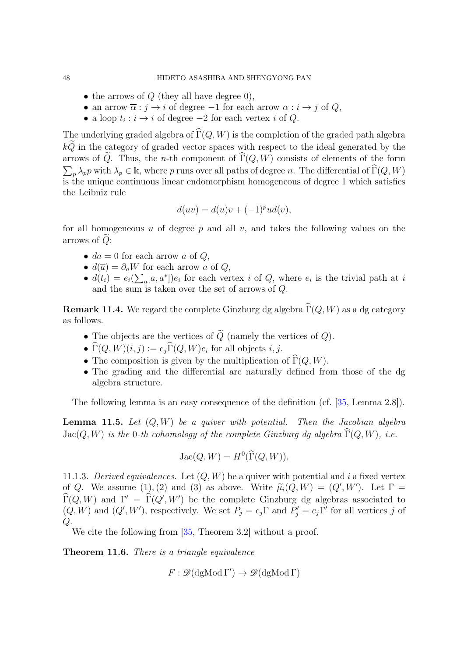- the arrows of  $Q$  (they all have degree 0),
- an arrow  $\overline{\alpha}$ :  $j \rightarrow i$  of degree  $-1$  for each arrow  $\alpha : i \rightarrow j$  of  $Q$ ,
- a loop  $t_i : i \to i$  of degree  $-2$  for each vertex i of Q.

The underlying graded algebra of  $\widehat{\Gamma}(Q, W)$  is the completion of the graded path algebra  $k\widetilde{Q}$  in the category of graded vector spaces with respect to the ideal generated by the arrows of  $\tilde{Q}$ . Thus, the *n*-th component of  $\tilde{\Gamma}(Q, W)$  consists of elements of the form  $\sum_{p} \lambda_p p$  with  $\lambda_p \in \mathbb{k}$ , where p runs over all paths of degree n. The differential of  $\widehat{\Gamma}(Q, W)$ is the unique continuous linear endomorphism homogeneous of degree 1 which satisfies the Leibniz rule

$$
d(uv) = d(u)v + (-1)^p u d(v),
$$

for all homogeneous  $u$  of degree  $p$  and all  $v$ , and takes the following values on the arrows of  $Q$ :

- $da = 0$  for each arrow a of Q,
- $d(\overline{a}) = \partial_a W$  for each arrow a of Q,
- $d(t_i) = e_i(\sum_a [a, a^*])e_i$  for each vertex i of Q, where  $e_i$  is the trivial path at i and the sum is taken over the set of arrows of Q.

<span id="page-47-1"></span>**Remark 11.4.** We regard the complete Ginzburg dg algebra  $\widehat{\Gamma}(Q, W)$  as a dg category as follows.

- The objects are the vertices of  $\widetilde{Q}$  (namely the vertices of  $Q$ ).
- $\Gamma(Q, W)(i, j) := e_j \Gamma(Q, W) e_i$  for all objects  $i, j$ .
- The composition is given by the multiplication of  $\widehat{\Gamma}(Q, W)$ .
- The grading and the differential are naturally defined from those of the dg algebra structure.

The following lemma is an easy consequence of the definition (cf. [\[35,](#page-59-8) Lemma 2.8]).

Lemma 11.5. *Let* (Q, W) *be a quiver with potential. Then the Jacobian algebra*  $Jac(Q, W)$  *is the* 0*-th cohomology of the complete Ginzburg dg algebra*  $\Gamma(Q, W)$ *, i.e.* 

$$
Jac(Q, W) = H^{0}(\widehat{\Gamma}(Q, W)).
$$

11.1.3. *Derived equivalences.* Let  $(Q, W)$  be a quiver with potential and i a fixed vertex of Q. We assume  $(1), (2)$  and  $(3)$  as above. Write  $\tilde{\mu}_i(Q, W) = (Q', W')$ . Let  $\Gamma = \tilde{E}(Q, W)$  $\widehat{\Gamma}(Q, W)$  and  $\Gamma' = \widehat{\Gamma}(Q', W')$  be the complete Ginzburg dg algebras associated to  $(Q, W)$  and  $(Q', W')$ , respectively. We set  $P_j = e_j \Gamma$  and  $P'_j = e_j \Gamma'$  for all vertices j of  $Q$ .

We cite the following from [\[35,](#page-59-8) Theorem 3.2] without a proof.

<span id="page-47-0"></span>Theorem 11.6. *There is a triangle equivalence*

 $F : \mathscr{D}(\mathrm{dgMod}\,\Gamma') \to \mathscr{D}(\mathrm{dgMod}\,\Gamma)$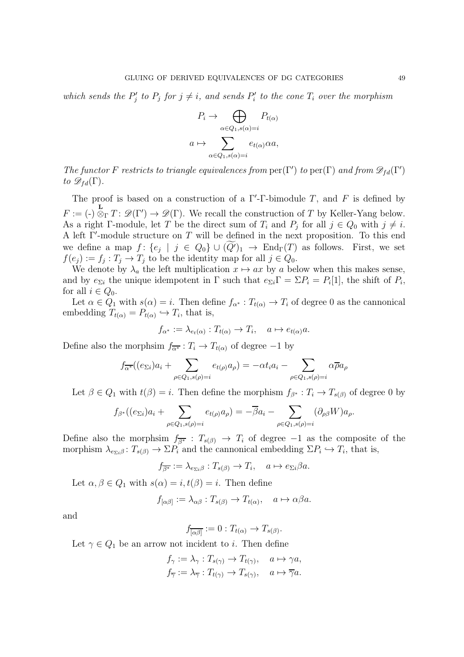which sends the  $P'_j$  to  $P_j$  for  $j \neq i$ , and sends  $P'_i$  to the cone  $T_i$  over the morphism

$$
P_i \to \bigoplus_{\alpha \in Q_1, s(\alpha) = i} P_{t(\alpha)}
$$

$$
a \mapsto \sum_{\alpha \in Q_1, s(\alpha) = i} e_{t(\alpha)} \alpha a,
$$

*The functor* F *restricts to triangle equivalences from*  $\text{per}(\Gamma')$  *to*  $\text{per}(\Gamma)$  *and from*  $\mathscr{D}_{fd}(\Gamma')$ *to*  $\mathscr{D}_{fd}(\Gamma)$ *.* 

The proof is based on a construction of a  $\Gamma'$ -Γ-bimodule T, and F is defined by  $F := (-)$ **L**<br> $\otimes_{\Gamma} T : \mathscr{D}(\Gamma') \to \mathscr{D}(\Gamma)$ . We recall the construction of T by Keller-Yang below. As a right  $\Gamma$ -module, let T be the direct sum of  $T_i$  and  $P_j$  for all  $j \in Q_0$  with  $j \neq i$ . A left Γ ′ -module structure on T will be defined in the next proposition. To this end we define a map  $f: \{e_j \mid j \in Q_0\} \cup (Q')_1 \rightarrow End_\Gamma(T)$  as follows. First, we set  $f(e_j) := f_j : T_j \to T_j$  to be the identity map for all  $j \in Q_0$ .

We denote by  $\lambda_a$  the left multiplication  $x \mapsto ax$  by a below when this makes sense, and by  $e_{\Sigma i}$  the unique idempotent in  $\Gamma$  such that  $e_{\Sigma i} \Gamma = \Sigma P_i = P_i[1]$ , the shift of  $P_i$ , for all  $i \in Q_0$ .

Let  $\alpha \in Q_1$  with  $s(\alpha) = i$ . Then define  $f_{\alpha^*}: T_{t(\alpha)} \to T_i$  of degree 0 as the cannonical embedding  $T_{t(\alpha)} = P_{t(\alpha)} \hookrightarrow T_i$ , that is,

$$
f_{\alpha^*} := \lambda_{e_t(\alpha)} : T_{t(\alpha)} \to T_i, \quad a \mapsto e_{t(\alpha)}a.
$$

Define also the morphsim  $f_{\overline{\alpha^*}} : T_i \to T_{t(\alpha)}$  of degree −1 by

$$
f_{\overline{\alpha^*}}((e_{\Sigma i})a_i + \sum_{\rho \in Q_1, s(\rho)=i} e_{t(\rho)}a_{\rho}) = -\alpha t_i a_i - \sum_{\rho \in Q_1, s(\rho)=i} \alpha \overline{\rho} a_{\rho}
$$

Let  $\beta \in Q_1$  with  $t(\beta) = i$ . Then define the morphism  $f_{\beta^*}: T_i \to T_{s(\beta)}$  of degree 0 by

$$
f_{\beta^*}((e_{\Sigma i})a_i + \sum_{\rho \in Q_1, s(\rho)=i} e_{t(\rho)}a_{\rho}) = -\overline{\beta}a_i - \sum_{\rho \in Q_1, s(\rho)=i} (\partial_{\rho\beta}W)a_{\rho}.
$$

Define also the morphsim  $f_{\overline{\beta^*}} : T_{s(\beta)} \to T_i$  of degree  $-1$  as the composite of the morphism  $\lambda_{e_{\Sigma i}\beta}$ :  $T_{s(\beta)} \to \Sigma P_i$  and the cannonical embedding  $\Sigma P_i \hookrightarrow T_i$ , that is,

$$
f_{\overline{\beta^*}} := \lambda_{e_{\Sigma i}\beta} : T_{s(\beta)} \to T_i, \quad a \mapsto e_{\Sigma i}\beta a.
$$

Let  $\alpha, \beta \in Q_1$  with  $s(\alpha) = i, t(\beta) = i$ . Then define

$$
f_{[\alpha\beta]} := \lambda_{\alpha\beta} : T_{s(\beta)} \to T_{t(\alpha)}, \quad a \mapsto \alpha\beta a.
$$

and

$$
f_{\overline{[\alpha\beta]}} := 0 : T_{t(\alpha)} \to T_{s(\beta)}.
$$

Let  $\gamma \in Q_1$  be an arrow not incident to *i*. Then define

$$
f_{\gamma} := \lambda_{\gamma} : T_{s(\gamma)} \to T_{t(\gamma)}, \quad a \mapsto \gamma a,
$$
  

$$
f_{\overline{\gamma}} := \lambda_{\overline{\gamma}} : T_{t(\gamma)} \to T_{s(\gamma)}, \quad a \mapsto \overline{\gamma} a.
$$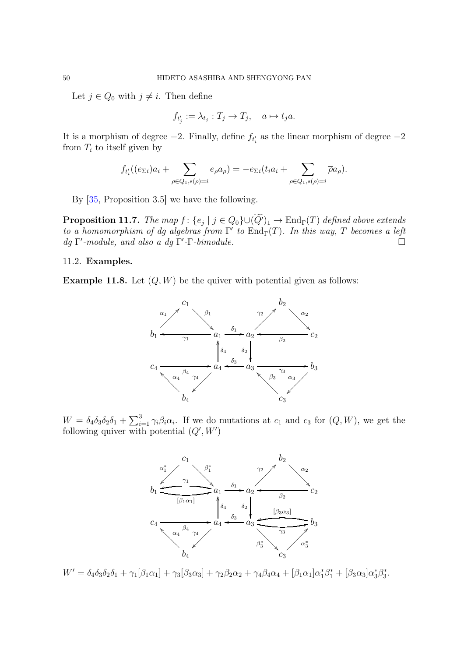Let  $j \in Q_0$  with  $j \neq i$ . Then define

$$
f_{t'_j} := \lambda_{t_j} : T_j \to T_j, \quad a \mapsto t_j a.
$$

It is a morphism of degree  $-2$ . Finally, define  $f_{t_i'}$  as the linear morphism of degree  $-2$ from  $T_i$  to itself given by

$$
f_{t'_i}((e_{\Sigma i})a_i + \sum_{\rho \in Q_1, s(\rho)=i} e_{\rho}a_{\rho}) = -e_{\Sigma i}(t_ia_i + \sum_{\rho \in Q_1, s(\rho)=i} \overline{\rho}a_{\rho}).
$$

By [\[35,](#page-59-8) Proposition 3.5] we have the following.

<span id="page-49-1"></span>**Proposition 11.7.** *The map*  $f: \{e_j \mid j \in Q_0\} \cup (Q')_1 \rightarrow \text{End}_{\Gamma}(T)$  *defined above extends to a homomorphism of dg algebras from*  $\Gamma'$  *to*  $\text{End}_{\Gamma}(T)$ *. In this way,* T *becomes a left dg* Γ ′ *-module, and also a dg* Γ ′ *-*Γ*-bimodule.*

## <span id="page-49-0"></span>11.2. Examples.

**Example 11.8.** Let  $(Q, W)$  be the quiver with potential given as follows:



 $W = \delta_4 \delta_3 \delta_2 \delta_1 + \sum_{i=1}^3 \gamma_i \beta_i \alpha_i$ . If we do mutations at  $c_1$  and  $c_3$  for  $(Q, W)$ , we get the following quiver with potential  $(Q', W')$ 



 $W' = \delta_4 \delta_3 \delta_2 \delta_1 + \gamma_1 [\beta_1 \alpha_1] + \gamma_3 [\beta_3 \alpha_3] + \gamma_2 \beta_2 \alpha_2 + \gamma_4 \beta_4 \alpha_4 + [\beta_1 \alpha_1] \alpha_1^* \beta_1^* + [\beta_3 \alpha_3] \alpha_3^* \beta_3^*$ 3 .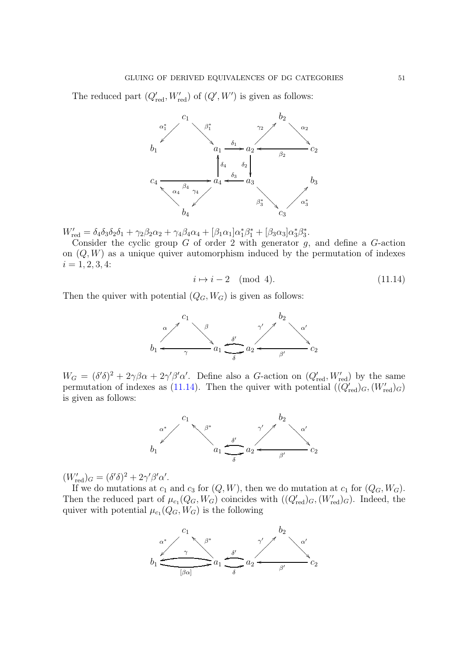The reduced part  $(Q'_{red}, W'_{red})$  of  $(Q', W')$  is given as follows:



 $W'_{\text{red}} = \delta_4 \delta_3 \delta_2 \delta_1 + \gamma_2 \beta_2 \alpha_2 + \gamma_4 \beta_4 \alpha_4 + [\beta_1 \alpha_1] \alpha_1^* \beta_1^* + [\beta_3 \alpha_3] \alpha_3^* \beta_3^*$ 3 .

Consider the cyclic group  $G$  of order 2 with generator  $g$ , and define a  $G$ -action on  $(Q, W)$  as a unique quiver automorphism induced by the permutation of indexes  $i = 1, 2, 3, 4:$ 

<span id="page-50-0"></span>
$$
i \mapsto i - 2 \pmod{4}.\tag{11.14}
$$

Then the quiver with potential  $(Q_G, W_G)$  is given as follows:



 $W_G = (\delta' \delta)^2 + 2\gamma \beta \alpha + 2\gamma' \beta' \alpha'$ . Define also a G-action on  $(Q'_{\text{red}}, W'_{\text{red}})$  by the same permutation of indexes as [\(11.14\)](#page-50-0). Then the quiver with potential  $(\overline{(Q'_{red})_G}, (W'_{red})_G)$ is given as follows:



 $(W'_{red})_G = (\delta' \delta)^2 + 2\gamma' \beta' \alpha'.$ 

If we do mutations at  $c_1$  and  $c_3$  for  $(Q, W)$ , then we do mutation at  $c_1$  for  $(Q_G, W_G)$ . Then the reduced part of  $\mu_{c_1}(Q_G, W_G)$  coincides with  $((Q'_{red})_G, (W'_{red})_G)$ . Indeed, the quiver with potential  $\mu_{c_1}(Q_G, W_G)$  is the following

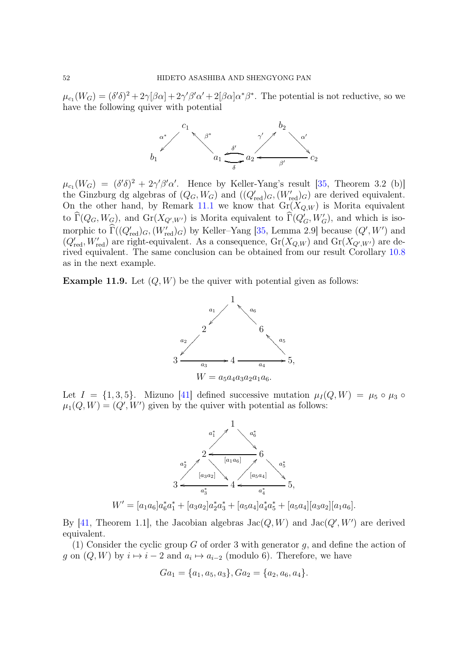$\mu_{c_1}(W_G) = (\delta' \delta)^2 + 2\gamma[\beta\alpha] + 2\gamma'\beta'\alpha' + 2[\beta\alpha]\alpha^*\beta^*$ . The potential is not reductive, so we have the following quiver with potential



 $\mu_{c_1}(W_G) = (\delta'\delta)^2 + 2\gamma'\beta'\alpha'$ . Hence by Keller-Yang's result [\[35,](#page-59-8) Theorem 3.2 (b)] the Ginzburg dg algebras of  $(Q_G, W_G)$  and  $((Q'_{red})_G, (W'_{red})_G)$  are derived equivalent. On the other hand, by Remark [11.1](#page-45-3) we know that  $Gr(X_{Q,W})$  is Morita equivalent to  $\widehat{\Gamma}(Q_G, W_G)$ , and  $Gr(X_{Q', W'})$  is Morita equivalent to  $\widehat{\Gamma}(Q'_G, W'_G)$ , and which is isomorphic to  $\widehat{\Gamma}((Q'_{\text{red}})_G, (W'_{\text{red}})_G)$  by Keller–Yang [\[35,](#page-59-8) Lemma 2.9] because  $(Q', W')$  and  $(Q'_{red}, W'_{red})$  are right-equivalent. As a consequence,  $Gr(X_{Q,W})$  and  $Gr(X_{Q',W'})$  are derived equivalent. The same conclusion can be obtained from our result Corollary [10.8](#page-44-1) as in the next example.

**Example 11.9.** Let  $(Q, W)$  be the quiver with potential given as follows:



Let  $I = \{1, 3, 5\}$ . Mizuno  $[41]$  defined successive mutation  $\mu_I(Q, W) = \mu_5 \circ \mu_3 \circ$  $\mu_1(Q, W) = (Q', W')$  given by the quiver with potential as follows:



By [\[41,](#page-60-6) Theorem 1.1], the Jacobian algebras  $Jac(Q, W)$  and  $Jac(Q', W')$  are derived equivalent.

(1) Consider the cyclic group G of order 3 with generator q, and define the action of g on  $(Q, W)$  by  $i \mapsto i - 2$  and  $a_i \mapsto a_{i-2}$  (modulo 6). Therefore, we have

$$
Ga_1 = \{a_1, a_5, a_3\}, Ga_2 = \{a_2, a_6, a_4\}.
$$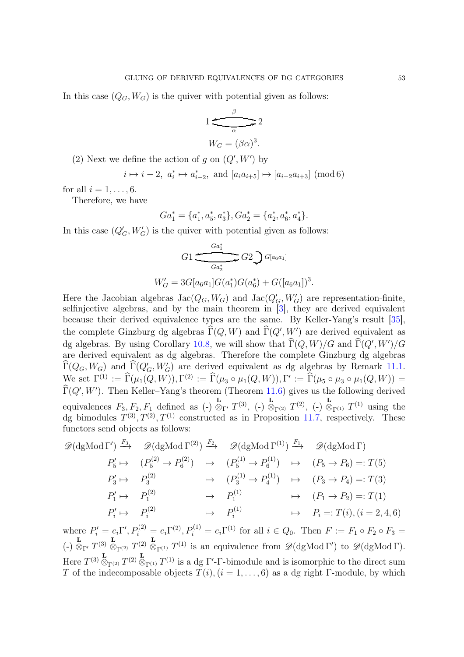In this case  $(Q_G, W_G)$  is the quiver with potential given as follows:

$$
1 \underbrace{\xrightarrow[\alpha]{\beta}}_{\alpha} 2
$$

$$
W_G = (\beta \alpha)^3.
$$

(2) Next we define the action of g on  $(Q', W')$  by

$$
i\mapsto i-2,\ a_i^*\mapsto a_{i-2}^*,\ \text{and}\ [a_ia_{i+5}]\mapsto [a_{i-2}a_{i+3}]\ (\text{mod}\ 6)
$$

for all  $i = 1, \ldots, 6$ .

Therefore, we have

$$
Ga_1^* = \{a_1^*, a_5^*, a_3^*\}, Ga_2^* = \{a_2^*, a_6^*, a_4^*\}.
$$

In this case  $(Q'_G, W'_G)$  is the quiver with potential given as follows:

$$
G1 \xrightarrow{Ga_1^*} G2 \bigcup G[a_6a_1]
$$
  

$$
W'_G = 3G[a_6a_1]G(a_1^*)G(a_6^*) + G([a_6a_1])^3.
$$

Here the Jacobian algebras  $Jac(Q_G, W_G)$  and  $Jac(Q'_G, W'_G)$  are representation-finite, selfinjective algebras, and by the main theorem in [\[3\]](#page-58-2), they are derived equivalent because their derived equivalence types are the same. By Keller-Yang's result [\[35\]](#page-59-8), the complete Ginzburg dg algebras  $\widehat{\Gamma}(Q, W)$  and  $\widehat{\Gamma}(Q', W')$  are derived equivalent as dg algebras. By using Corollary [10.8,](#page-44-1) we will show that  $\widehat{\Gamma}(Q, W)/G$  and  $\widehat{\Gamma}(Q', W')/G$ are derived equivalent as dg algebras. Therefore the complete Ginzburg dg algebras  $\widehat{\Gamma}(Q_G, W_G)$  and  $\widehat{\Gamma}(Q'_G, W'_G)$  are derived equivalent as dg algebras by Remark [11.1.](#page-45-3)  $\widetilde{\mathcal{N}}$ e set  $\Gamma^{(1)} := \widehat{\Gamma}(\mu_1(Q, W)), \Gamma^{(2)} := \widehat{\Gamma}(\mu_3 \circ \mu_1(Q, W)), \Gamma' := \widehat{\Gamma}(\mu_5 \circ \mu_3 \circ \mu_1(Q, W)) =$  $\widehat{\Gamma}(Q', W')$ . Then Keller–Yang's theorem (Theorem [11.6\)](#page-47-0) gives us the following derived equivalences  $F_3, F_2, F_1$  defined as  $(\text{-})$ L  $\overline{\otimes}_{\Gamma'} T^{(3)},$  (-) L  $\bar{\otimes}_{\Gamma^{(2)}}$   $T^{(2)}$ ,  $(-)$ L  $\overline{\otimes}_{\Gamma^{(1)}} T^{(1)}$  using the dg bimodules  $T^{(3)}, T^{(2)}, T^{(1)}$  constructed as in Proposition [11.7,](#page-49-1) respectively. These functors send objects as follows:

$$
\mathscr{D}(\text{dgMod } \Gamma') \xrightarrow{F_3} \mathscr{D}(\text{dgMod } \Gamma^{(2)}) \xrightarrow{F_2} \mathscr{D}(\text{dgMod } \Gamma^{(1)}) \xrightarrow{F_1} \mathscr{D}(\text{dgMod } \Gamma)
$$
  
\n
$$
P'_5 \mapsto (P_5^{(2)} \to P_6^{(2)}) \mapsto (P_5^{(1)} \to P_6^{(1)}) \mapsto (P_5 \to P_6) =: T(5)
$$
  
\n
$$
P'_3 \mapsto P_3^{(2)} \mapsto (P_3^{(1)} \to P_4^{(1)}) \mapsto (P_3 \to P_4) =: T(3)
$$
  
\n
$$
P'_1 \mapsto P_1^{(2)} \mapsto P_1^{(1)} \mapsto (P_1 \to P_2) =: T(1)
$$
  
\n
$$
P'_i \mapsto P_i^{(2)} \mapsto P_i^{(1)} \mapsto P_i =: T(i), (i = 2, 4, 6)
$$

where  $P'_i = e_i \Gamma', P_i^{(2)} = e_i \Gamma^{(2)}, P_i^{(1)} = e_i \Gamma^{(1)}$  for all  $i \in Q_0$ . Then  $F := F_1 \circ F_2 \circ F_3 =$ (-) L **L**<br>  $\otimes_{\Gamma'} T^{(3)} \stackrel{\mathbf{L}}{\otimes}_{\Gamma^{(2)}} T^{(2)} \stackrel{\mathbf{L}}{\otimes}_{\Gamma^{(1)}} T^{(1)}$  is an equivalence from  $\mathscr{D}(\mathrm{dgMod}\,\Gamma')$  to  $\mathscr{D}(\mathrm{dgMod}\,\Gamma)$ . Here  $T^{(3)} \overset{\mathbf{L}}{\otimes}_{\Gamma^{(2)}} T^{(2)} \overset{\mathbf{L}}{\otimes}_{\Gamma^{(1)}} T^{(1)}$  is a dg  $\Gamma'$ -  $\Gamma$ -bimodule and is isomorphic to the direct sum T of the indecomposable objects  $T(i)$ ,  $(i = 1, \ldots, 6)$  as a dg right Γ-module, by which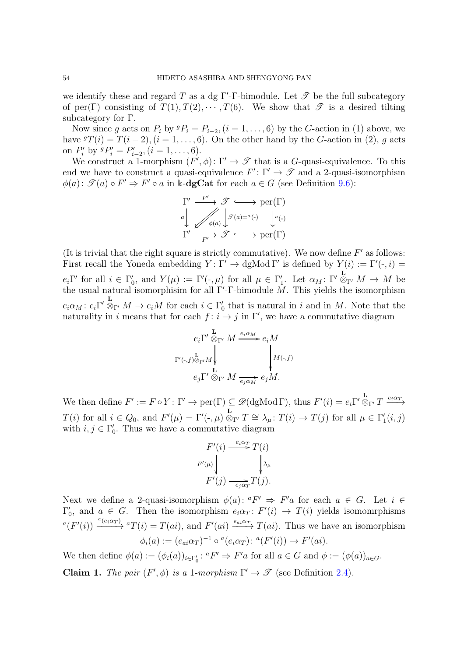we identify these and regard T as a dg  $\Gamma'$ - $\Gamma$ -bimodule. Let  $\mathscr T$  be the full subcategory of per(Γ) consisting of  $T(1), T(2), \cdots, T(6)$ . We show that  $\mathscr T$  is a desired tilting subcategory for Γ.

Now since g acts on  $P_i$  by  ${}^g P_i = P_{i-2}$ ,  $(i = 1, \ldots, 6)$  by the G-action in (1) above, we have  ${}^g T(i) = T(i-2), (i = 1, \ldots, 6)$ . On the other hand by the G-action in (2), g acts on  $P'_i$  by  ${}^gP'_i = P'_{i-2}, (i = 1, \ldots, 6).$ 

We construct a 1-morphism  $(F', \phi) \colon \Gamma' \to \mathscr{T}$  that is a G-quasi-equivalence. To this end we have to construct a quasi-equivalence  $F' : \Gamma' \to \mathscr{T}$  and a 2-quasi-isomorphism  $\phi(a)$ :  $\mathscr{T}(a) \circ F' \Rightarrow F' \circ a$  in k-**dgCat** for each  $a \in G$  (see Definition [9.6\)](#page-34-1):

$$
\begin{array}{ccc}\n\Gamma' & \xrightarrow{F'} & \mathscr{T} & \longrightarrow \text{per}(\Gamma) \\
a & \swarrow & \searrow & \downarrow \mathscr{P}(a) = a(-) & \downarrow a(-) \\
\Gamma' & \xrightarrow{F'} & \mathscr{T} & \longrightarrow & \text{per}(\Gamma)\n\end{array}
$$

(It is trivial that the right square is strictly commutative). We now define  $F'$  as follows: First recall the Yoneda embedding  $Y: \Gamma' \to \mathrm{dgMod}\,\Gamma'$  is defined by  $Y(i) := \Gamma'(\cdot, i) =$  $e_i \Gamma'$  for all  $i \in \Gamma'_0$  $Y_0$ , and  $Y(\mu) := \Gamma'(\cdot, \mu)$  for all  $\mu \in \Gamma'_1$ '<sub>1</sub>. Let  $\alpha_M : \Gamma' \overset{\mathbf{L}}{\otimes}$  $\otimes_{\Gamma'} M \to M$  be the usual natural isomorphisim for all  $\Gamma'$ - $\Gamma$ -bimodule M. This yields the isomorphism  $e_i \alpha_M$ :  $e_i \Gamma' \overset{\mathbf{L}}{\otimes}$  $\stackrel{\sim}{\otimes}_{\Gamma'} M \to e_i M$  for each  $i \in \Gamma'_0$  $\eta$  that is natural in i and in M. Note that the naturality in i means that for each  $f : i \to j$  in  $\Gamma'$ , we have a commutative diagram

$$
e_i \Gamma' \overset{\mathbf{L}}{\otimes}_{\Gamma'} M \overset{e_i \alpha_M}{\longrightarrow} e_i M
$$
  

$$
\Gamma'(\cdot, f) \overset{\mathbf{L}}{\otimes}_{\Gamma'} M \downarrow \qquad \qquad \downarrow M(\cdot, f)
$$
  

$$
e_j \Gamma' \overset{\mathbf{L}}{\otimes}_{\Gamma'} M \overset{\mathbf{L}}{\underset{e_j \alpha_M}{\longrightarrow}} e_j M.
$$

We then define  $F' := F \circ Y : \Gamma' \to \text{per}(\Gamma) \subseteq \mathscr{D}(\text{dgMod } \Gamma)$ , thus  $F'(i) = e_i \Gamma' \otimes$  $\stackrel{\mathbf{L}}{\otimes}_{\Gamma'} T \stackrel{e_i \alpha_T}{\longrightarrow}$  $T(i)$  for all  $i \in Q_0$ , and  $F'(\mu) = \Gamma'(\cdot, \mu)$  $\stackrel{\mathbf{L}}{\otimes}_{\Gamma'} T \cong \lambda_{\mu} : T(i) \to T(j)$  for all  $\mu \in \Gamma'_1$  $_{1}^{\prime}(i,j)$ with  $i, j \in \Gamma'_0$  $\zeta$ . Thus we have a commutative diagram

$$
F'(i) \xrightarrow{e_i \alpha_T} T(i)
$$
  

$$
F'(\mu) \downarrow \qquad \qquad \downarrow \lambda_\mu
$$
  

$$
F'(j) \xrightarrow{e_j \alpha_T} T(j).
$$

Next we define a 2-quasi-isomorphism  $\phi(a)$ :  ${}^aF' \Rightarrow F'a$  for each  $a \in G$ . Let  $i \in$ Γ ′  $\zeta_0$ , and  $a \in G$ . Then the isomorphism  $e_i \alpha_T : F'(i) \to T(i)$  yields isomomrphisms  ${}^a(F'(i)) \xrightarrow{a(e_i\alpha_T)} {}^aT(i) = T(ai),$  and  $F'(ai) \xrightarrow{e_{ai}\alpha_T} T(ai)$ . Thus we have an isomorphism  $\phi_i(a) := (e_{ai}\alpha_T)^{-1} \circ {}^a(e_i\alpha_T) : {}^a(F'(i)) \to F'(ai).$ 

We then define  $\phi(a) := (\phi_i(a))_{i \in \Gamma'_0} : {}^aF' \Rightarrow F'a$  for all  $a \in G$  and  $\phi := (\phi(a))_{a \in G}$ .

Claim 1. *The pair*  $(F', \phi)$  *is a* 1*-morphism*  $\Gamma' \to \mathscr{T}$  (see Definition [2.4\)](#page-5-0).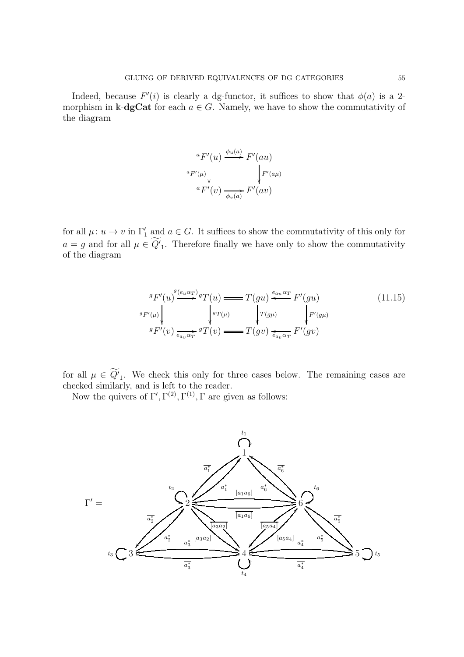Indeed, because  $F'(i)$  is clearly a dg-functor, it suffices to show that  $\phi(a)$  is a 2morphism in k-dgCat for each  $a \in G$ . Namely, we have to show the commutativity of the diagram

$$
\begin{array}{c}\n\ ^{a}F'(u) \xrightarrow{\phi_{u}(a)} F'(au) \\
\leftarrow{\scriptstyle eF'(u)} \downarrow{\scriptstyle F'(a\mu)} \\
\ ^{a}F'(v) \xrightarrow{\rightarrow{\phi_{v}(a)}} F'(av)\n\end{array}
$$

for all  $\mu: u \to v$  in  $\Gamma'_1$  and  $a \in G$ . It suffices to show the commutativity of this only for  $a = g$  and for all  $\mu \in Q'$ . Therefore finally we have only to show the commutativity of the diagram

<span id="page-54-0"></span>
$$
{}^{g}F'(u) \overset{g_{\ell u \alpha_T}}{\underset{g_{\ell u \alpha_T}}{\longrightarrow}} {}^{g}T(u) \longrightarrow T(gu) \overset{e_{au} \alpha_T}{\underset{g_{\ell u \alpha_T}}{\longleftarrow}} F'(gu) \tag{11.15}
$$
\n
$$
{}^{g}F'(\mu) \overset{g_{\ell u \alpha_T}}{\underset{e_{av} \alpha_T}{\longleftarrow}} {}^{g}T(v) \longrightarrow T(gv) \overset{e_{au} \alpha_T}{\underset{e_{av} \alpha_T}{\longleftarrow}} F'(gv)
$$

for all  $\mu \in Q'$ . We check this only for three cases below. The remaining cases are checked similarly, and is left to the reader.

Now the quivers of  $\Gamma', \Gamma^{(2)}, \Gamma^{(1)}, \Gamma$  are given as follows:

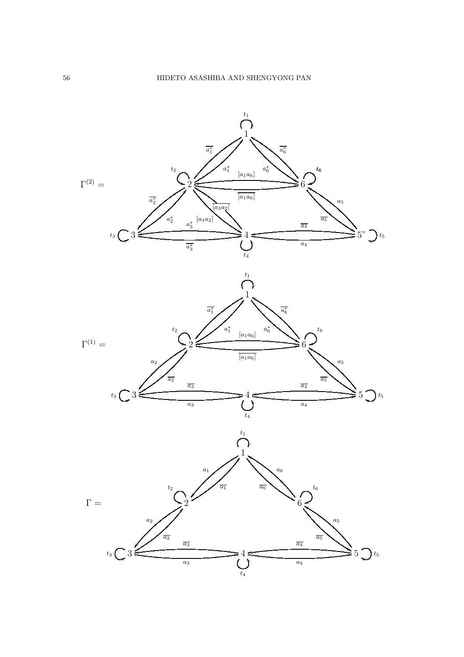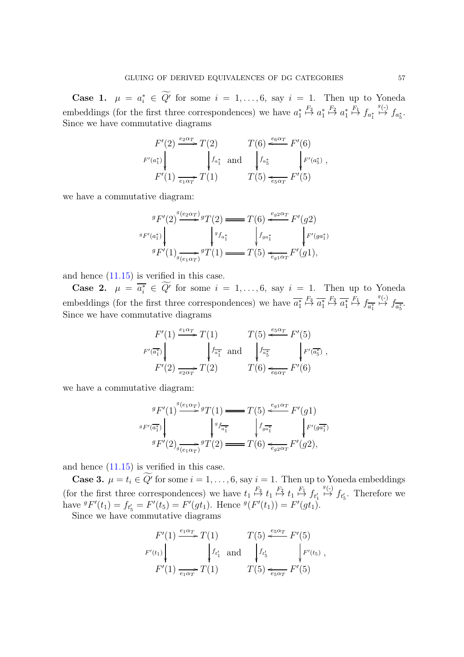Case 1.  $\mu = a_i^* \in \widetilde{Q'}$  for some  $i = 1, \ldots, 6$ , say  $i = 1$ . Then up to Yoneda embeddings (for the first three correspondences) we have  $a_1^*$ 1  $\stackrel{F_3}{\mapsto} a_1^*$ 1  $\stackrel{F_2}{\mapsto} a_1^*$ 1  $\stackrel{F_1}{\mapsto} f_{a_1^*}$  $\stackrel{g(\text{-})}{\mapsto} f_{a_5^*}.$ Since we have commutative diagrams

$$
F'(2) \xrightarrow{e_2 \alpha_T} T(2) \qquad T(6) \xleftarrow{e_6 \alpha_T} F'(6)
$$
  

$$
F'(a_1^*) \Big\downarrow f_{a_1^*} \text{ and } \Big\downarrow f_{a_5^*} \qquad \Big\downarrow F'(a_5^*) ,
$$
  

$$
F'(1) \xrightarrow{e_1 \alpha_T} T(1) \qquad T(5) \xleftarrow{e_5 \alpha_T} F'(5)
$$

we have a commutative diagram:

$$
{}^{g}F'(2) \xrightarrow{g(e_2\alpha_T)g(T)} {}^{g}T(2) \longrightarrow T(6) \xleftarrow{e_{g2}\alpha_T} F'(g2)
$$
  

$$
{}^{g}F'(a_1^*) \downarrow \qquad {}^{g}f_{a_1^*} \downarrow \qquad {}^{f}f_{a_1^*} \downarrow \qquad {}^{f}F'(ga_1^*)
$$
  

$$
{}^{g}F'(1) \xrightarrow{g} \qquad {}^{g}T(1) \longrightarrow T(5) \xleftarrow{e_{g1}\alpha_T} F'(g1),
$$

and hence [\(11.15\)](#page-54-0) is verified in this case.

Case 2.  $\mu = \overline{a_i^*} \in \overline{Q'}$  for some  $i = 1, \ldots, 6$ , say  $i = 1$ . Then up to Yoneda embeddings (for the first three correspondences) we have  $\overline{a_1^*}$  $\stackrel{F_3}{\mapsto} \overline{a_1^*}$  $\stackrel{F_2}{\mapsto} \overline{a_1^*}$  $\stackrel{F_1}{\mapsto} f_{\overline{a_1^*}}$  $\stackrel{g(\text{-})}{\mapsto} f_{\overline{a_5^*}}.$ Since we have commutative diagrams

$$
F'(1) \xrightarrow{e_1 \alpha_T} T(1) \qquad T(5) \xleftarrow{e_5 \alpha_T} F'(5)
$$
  

$$
F'(\overline{a_1^*}) \qquad \qquad f_{\overline{a_1^*}} \text{ and } \qquad f_{\overline{a_5^*}} \qquad \qquad f'(\overline{a_5^*})
$$
  

$$
F'(2) \xrightarrow{e_2 \alpha_T} T(2) \qquad T(6) \xleftarrow{\epsilon_6 \alpha_T} F'(6)
$$

we have a commutative diagram:

$$
{}^{g}F'(1) \xrightarrow{g(e_1\alpha_T)} {}^{g}T(1) \xrightarrow{=} T(5) \xleftarrow{e_3\alpha_T} F'(g1)
$$
  

$$
{}^{g}F'(\overline{a_1^*}) \downarrow \qquad {}^{g}f_{\overline{a_1^*}} \downarrow \qquad {}^{f}g_{\overline{a_1^*}} \downarrow \qquad {}^{f}F'(g\overline{a_1^*})
$$
  

$$
{}^{g}F'(2) \xrightarrow{g} \overline{(e_1\alpha_T)} {}^{g}T(2) \xrightarrow{=} T(6) \xleftarrow{e_{g2\alpha_T}} F'(g2),
$$

and hence [\(11.15\)](#page-54-0) is verified in this case.

**Case 3.**  $\mu = t_i \in Q'$  for some  $i = 1, \ldots, 6$ , say  $i = 1$ . Then up to Yoneda embeddings (for the first three correspondences) we have  $t_1 \stackrel{F_3}{\mapsto} t_1 \stackrel{F_2}{\mapsto} t_1 \stackrel{F_1}{\mapsto} f_{t'_1}$  $\stackrel{g(\cdot)}{\mapsto}$   $f_{t'_5}$ . Therefore we have  ${}^gF'(t_1) = f_{t_5'} = F'(t_5) = F'(gt_1)$ . Hence  ${}^g(F'(t_1)) = F'(gt_1)$ . Since we have commutative diagrams

$$
F'(1) \xrightarrow{e_1 \alpha_T} T(1) \qquad T(5) \xleftarrow{e_5 \alpha_T} F'(5)
$$
  

$$
F'(t_1) \qquad \qquad f_{t'_1} \text{ and } \qquad f_{t'_5} \qquad \qquad f'(t_5) ,
$$
  

$$
F'(1) \xrightarrow{e_1 \alpha_T} T(1) \qquad T(5) \xleftarrow{e_5 \alpha_T} F'(5)
$$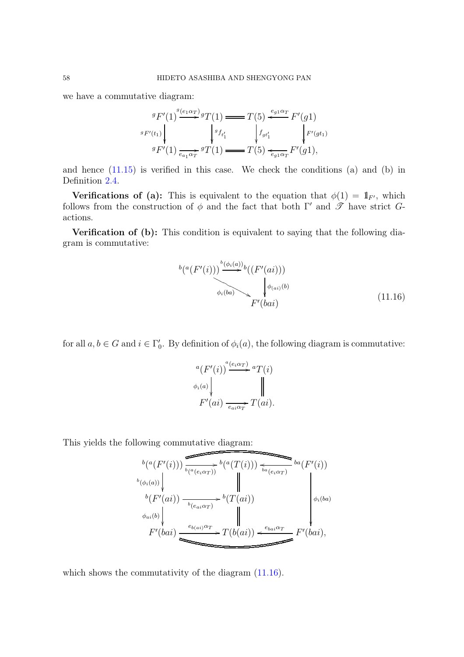we have a commutative diagram:

$$
{}^{g}F'(1) \overset{g_{(e_{1}\alpha_{T})}}{\longrightarrow} {}^{g}T(1) \longrightarrow T(5) \overset{e_{g_{1}\alpha_{T}}}{\longleftarrow} F'(g1)
$$
  

$$
{}^{g}F'(t_{1}) \overset{g_{f_{t_{1}}}}{\longleftarrow} {}^{g}f_{t_{1}'} \overset{f_{gt_{1}'}}{\longleftarrow} {}^{f_{gt_{1}'}}\overset{F'(g1)}{\longleftarrow} F'(g1),
$$
  

$$
{}^{g}F'(1) \overset{g_{\alpha_{1}\alpha_{T}}}{\longleftarrow} {}^{g}T(1) \longrightarrow T(5) \overset{e_{g_{1}\alpha_{T}}}{\longleftarrow} F'(g1),
$$

and hence  $(11.15)$  is verified in this case. We check the conditions  $(a)$  and  $(b)$  in Definition [2.4.](#page-5-0)

**Verifications of (a):** This is equivalent to the equation that  $\phi(1) = 1$ <sub>F'</sub>, which follows from the construction of  $\phi$  and the fact that both Γ' and  $\mathscr{T}$  have strict Gactions.

Verification of (b): This condition is equivalent to saying that the following diagram is commutative:

<span id="page-57-0"></span>
$$
^{b\left(a(F'(i))\right)} \sum_{\phi_i(ba)}^{b\left(\phi_i(a)\right)} {b\left(F'(ai)\right))} \tag{11.16}
$$

for all  $a, b \in G$  and  $i \in \Gamma'_0$  $\zeta_0'$ . By definition of  $\phi_i(a)$ , the following diagram is commutative:

$$
\begin{aligned}\n &{}^a(F'(i)) \xrightarrow{a(e_i \alpha_T)} {}^aT(i) \\
 &\phi_i(a) \qquad \qquad \parallel \\
 &F'(ai) \xrightarrow{e_{ai} \alpha_T} T(ai).\n \end{aligned}
$$

This yields the following commutative diagram:

$$
b(a(F'(i)))\overrightarrow{b(a(e_i\alpha_T))} \cdot b(a(T(i)))\overrightarrow{b(a(e_i\alpha_T))} \cdot b(a(F'(i)))
$$
  
\n
$$
b(b(F'(ai))\overrightarrow{b(e_a\alpha_T)} \cdot b(T(ai))
$$
  
\n
$$
b(f'(ai))\overrightarrow{b(e_a\alpha_T)} \cdot b(T(ai))
$$
  
\n
$$
b(a))\overrightarrow{b(a)}
$$
  
\n
$$
F'(bai) \xrightarrow{e_{b(a)}\alpha_T} T(b(ai)) \xleftarrow{e_{bai}\alpha_T} F'(bai),
$$

which shows the commutativity of the diagram  $(11.16)$ .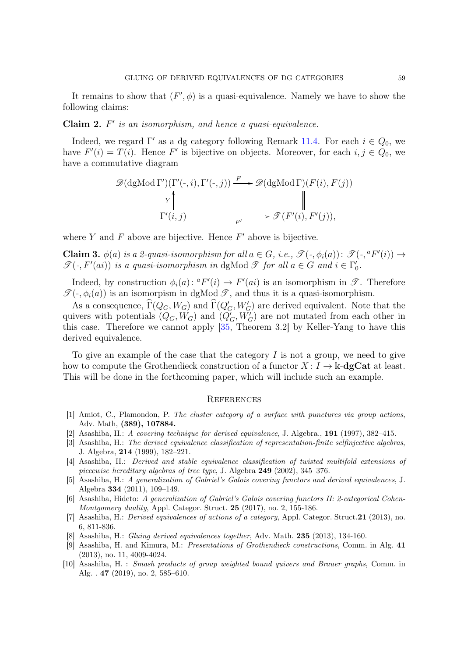It remains to show that  $(F', \phi)$  is a quasi-equivalence. Namely we have to show the following claims:

# Claim 2. F ′ *is an isomorphism, and hence a quasi-equivalence.*

Indeed, we regard  $\Gamma'$  as a dg category following Remark [11.4.](#page-47-1) For each  $i \in Q_0$ , we have  $F'(i) = T(i)$ . Hence F' is bijective on objects. Moreover, for each  $i, j \in Q_0$ , we have a commutative diagram

$$
\mathscr{D}(\text{dgMod }\Gamma')(\Gamma'(\text{-},i),\Gamma'(\text{-},j)) \xrightarrow{F} \mathscr{D}(\text{dgMod }\Gamma)(F(i),F(j))
$$
\n
$$
\uparrow \qquad \qquad \parallel \qquad \qquad \parallel
$$
\n
$$
\Gamma'(i,j) \xrightarrow{F'} \mathscr{D}(F'(i),F'(j)),
$$

where  $Y$  and  $F$  above are bijective. Hence  $F'$  above is bijective.

Claim 3.  $\phi(a)$  *is a 2-quasi-isomorphism for all*  $a \in G$ *, i.e.,*  $\mathscr{T}(\text{-}, \phi_i(a))$ :  $\mathscr{T}(\text{-}, {^aF'(i)}) \rightarrow$  $\mathscr{T}(\text{-}, F'(ai))$  *is a quasi-isomorphism in* dgMod  $\mathscr{T}$  *for all*  $a \in G$  *and*  $i \in \Gamma'_0$ 0 *.*

Indeed, by construction  $\phi_i(a)$ :  ${}^aF'(i) \to F'(ai)$  is an isomorphism in  $\mathscr{T}$ . Therefore  $\mathscr{T}(-, \phi_i(a))$  is an isomorpism in dgMod  $\mathscr{T}$ , and thus it is a quasi-isomorphism.

As a consequence,  $\widehat{\Gamma}(Q_G, W_G)$  and  $\widehat{\Gamma}(Q'_G, W'_G)$  are derived equivalent. Note that the quivers with potentials  $(Q_G, W_G)$  and  $(Q'_G, W'_G)$  are not mutated from each other in this case. Therefore we cannot apply [\[35,](#page-59-8) Theorem 3.2] by Keller-Yang to have this derived equivalence.

To give an example of the case that the category  $I$  is not a group, we need to give how to compute the Grothendieck construction of a functor  $X: I \to \mathbb{k}$ -dgCat at least. This will be done in the forthcoming paper, which will include such an example.

### <span id="page-58-1"></span>**REFERENCES**

- <span id="page-58-3"></span>[1] Amiot, C., Plamondon, P. The cluster category of a surface with punctures via group actions, Adv. Math, (389), 107884.
- <span id="page-58-2"></span>[2] Asashiba, H.: A covering technique for derived equivalence, J. Algebra., 191 (1997), 382–415.
- [3] Asashiba, H.: The derived equivalence classification of representation-finite selfinjective algebras, J. Algebra, 214 (1999), 182–221.
- [4] Asashiba, H.: Derived and stable equivalence classification of twisted multifold extensions of piecewise hereditary algebras of tree type, J. Algebra 249 (2002), 345–376.
- <span id="page-58-5"></span>[5] Asashiba, H.: A generalization of Gabriel's Galois covering functors and derived equivalences, J. Algebra 334 (2011), 109–149.
- [6] Asashiba, Hideto: A generalization of Gabriel's Galois covering functors II: 2-categorical Cohen-Montgomery duality, Appl. Categor. Struct. 25 (2017), no. 2, 155-186.
- <span id="page-58-6"></span>[7] Asashiba, H.: Derived equivalences of actions of a category, Appl. Categor. Struct.21 (2013), no. 6, 811-836.
- <span id="page-58-4"></span><span id="page-58-0"></span>[8] Asashiba, H.: Gluing derived equivalences together, Adv. Math. 235 (2013), 134-160.
- [9] Asashiba, H. and Kimura, M.: Presentations of Grothendieck constructions, Comm. in Alg. 41 (2013), no. 11, 4009-4024.
- [10] Asashiba, H. : Smash products of group weighted bound quivers and Brauer graphs, Comm. in Alg. . 47 (2019), no. 2, 585–610.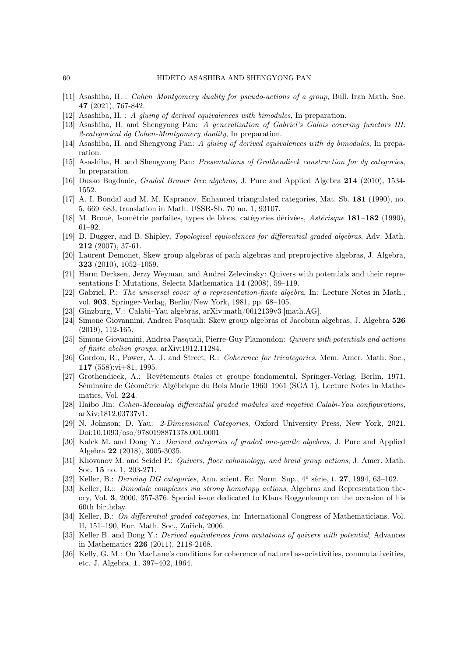- [11] Asashiba, H. : Cohen–Montgomery duality for pseudo-actions of a group, Bull. Iran Math. Soc. 47 (2021), 767-842.
- [12] Asashiba, H. : A gluing of derived equivalences with bimodules, In preparation.
- [13] Asashiba, H. and Shengyong Pan: A generalization of Gabriel's Galois covering functors III: 2-categorical dg Cohen-Montgomery duality, In preparation.
- [14] Asashiba, H. and Shengyong Pan: A gluing of derived equivalences with dg bimodules, In preparation.
- [15] Asashiba, H. and Shengyong Pan: Presentations of Grothendieck construction for dg categories, In preparation.
- <span id="page-59-2"></span>[16] Dusko Bogdanic, Graded Brauer tree algebras, J. Pure and Applied Algebra 214 (2010), 1534- 1552.
- <span id="page-59-0"></span>[17] A. I. Bondal and M. M. Kapranov, Enhanced triangulated categories, Mat. Sb. 181 (1990), no. 5, 669–683, translation in Math. USSR-Sb. 70 no. 1, 93107.
- [18] M. Broué, Isométrie parfaites, types de blocs, catégories dérivées, Astérisque 181–182 (1990), 61–92.
- [19] D. Dugger, and B. Shipley, Topological equivalences for differential graded algebras, Adv. Math. 212 (2007), 37-61.
- <span id="page-59-7"></span>[20] Laurent Demonet, Skew group algebras of path algebras and preprojective algebras, J. Algebra, 323 (2010), 1052–1059.
- <span id="page-59-4"></span>[21] Harm Derksen, Jerzy Weyman, and Andrei Zelevinsky: Quivers with potentials and their representations I: Mutations, Selecta Mathematica 14 (2008), 59–119.
- <span id="page-59-9"></span>[22] Gabriel, P.: The universal cover of a representation-finite algebra, In: Lecture Notes in Math., vol. 903, Springer-Verlag, Berlin/New York, 1981, pp. 68–105.
- <span id="page-59-11"></span><span id="page-59-5"></span>[23] Ginzburg, V.: Calabi–Yau algebras, arXiv:math/0612139v3 [math.AG].
- [24] Simone Giovannini, Andrea Pasquali: Skew group algebras of Jacobian algebras, J. Algebra 526 (2019), 112-165.
- <span id="page-59-6"></span>[25] Simone Giovannini, Andrea Pasquali, Pierre-Guy Plamondon: Quivers with potentials and actions of finite abelian groups, arXiv:1912.11284.
- [26] Gordon, R., Power, A. J. and Street, R.: Coherence for tricategories. Mem. Amer. Math. Soc., 117 (558):vi+81, 1995.
- [27] Grothendieck, A.: Revêtements étales et groupe fondamental, Springer-Verlag, Berlin, 1971. Séminaire de Géométrie Algébrique du Bois Marie 1960–1961 (SGA 1), Lecture Notes in Mathematics, Vol. 224.
- [28] Haibo Jin: Cohen-Macaulay differential graded modules and negative Calabi-Yau configurations, arXiv:1812.03737v1.
- [29] N. Johnson; D. Yau: 2-Dimensional Categories, Oxford University Press, New York, 2021. Doi:10.1093/oso/9780198871378.001.0001
- [30] Kalck M. and Dong Y.: Derived categories of graded one-gentle algebras, J. Pure and Applied Algebra 22 (2018), 3005-3035.
- [31] Khovanov M. and Seidel P.: Quivers, floer cohomology, and braid group actions, J. Amer. Math. Soc. 15 no. 1, 203-271.
- <span id="page-59-1"></span>[32] Keller, B.: Deriving DG categories, Ann. scient. Éc. Norm. Sup., 4<sup>e</sup> série, t. 27, 1994, 63-102.
- [33] Keller, B.:: *Bimodule complexes via strong homotopy actions*, Algebras and Representation theory, Vol. 3, 2000, 357-376. Special issue dedicated to Klaus Roggenkamp on the occasion of his 60th birthday.
- <span id="page-59-3"></span>[34] Keller, B.: On differential graded categories, in: International Congress of Mathematicians. Vol. II, 151–190, Eur. Math. Soc., Zu¨rich, 2006.
- <span id="page-59-8"></span>[35] Keller B. and Dong Y.: Derived equivalences from mutations of quivers with potential, Advances in Mathematics 226 (2011), 2118-2168.
- <span id="page-59-10"></span>[36] Kelly, G. M.: On MacLane's conditions for coherence of natural associativities, commutativeities, etc. J. Algebra, 1, 397–402, 1964.